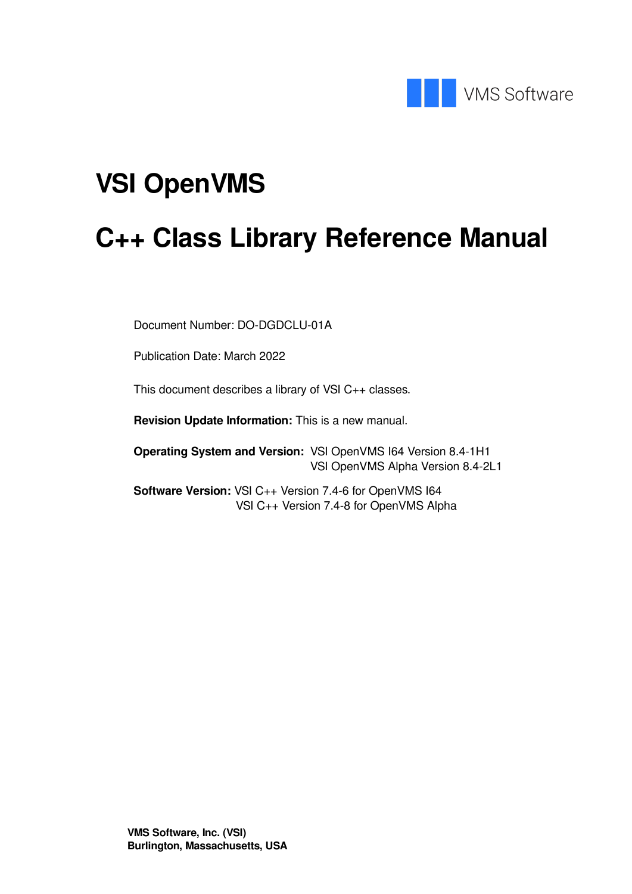

# **VSI OpenVMS**

# **C++ Class Library Reference Manual**

Document Number: DO-DGDCLU-01A

Publication Date: March 2022

This document describes a library of VSI C++ classes.

**Revision Update Information:** This is a new manual.

**Operating System and Version:** VSI OpenVMS I64 Version 8.4-1H1 VSI OpenVMS Alpha Version 8.4-2L1

**Software Version:** VSI C++ Version 7.4-6 for OpenVMS I64 VSI C++ Version 7.4-8 for OpenVMS Alpha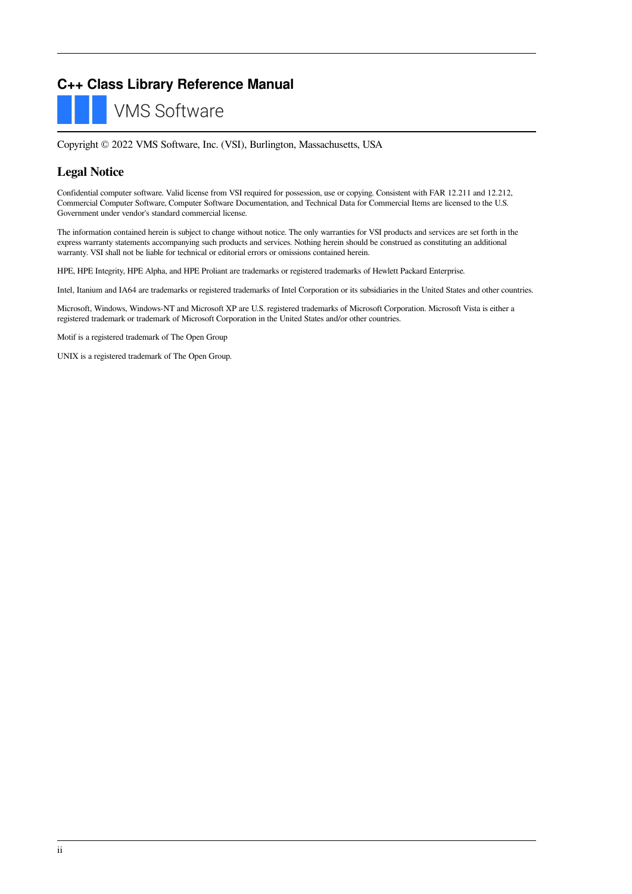## **C++ Class Library Reference Manual**

**VMS Software** 

Copyright © 2022 VMS Software, Inc. (VSI), Burlington, Massachusetts, USA

#### **Legal Notice**

Confidential computer software. Valid license from VSI required for possession, use or copying. Consistent with FAR 12.211 and 12.212, Commercial Computer Software, Computer Software Documentation, and Technical Data for Commercial Items are licensed to the U.S. Government under vendor's standard commercial license.

The information contained herein is subject to change without notice. The only warranties for VSI products and services are set forth in the express warranty statements accompanying such products and services. Nothing herein should be construed as constituting an additional warranty. VSI shall not be liable for technical or editorial errors or omissions contained herein.

HPE, HPE Integrity, HPE Alpha, and HPE Proliant are trademarks or registered trademarks of Hewlett Packard Enterprise.

Intel, Itanium and IA64 are trademarks or registered trademarks of Intel Corporation or its subsidiaries in the United States and other countries.

Microsoft, Windows, Windows-NT and Microsoft XP are U.S. registered trademarks of Microsoft Corporation. Microsoft Vista is either a registered trademark or trademark of Microsoft Corporation in the United States and/or other countries.

Motif is a registered trademark of The Open Group

UNIX is a registered trademark of The Open Group.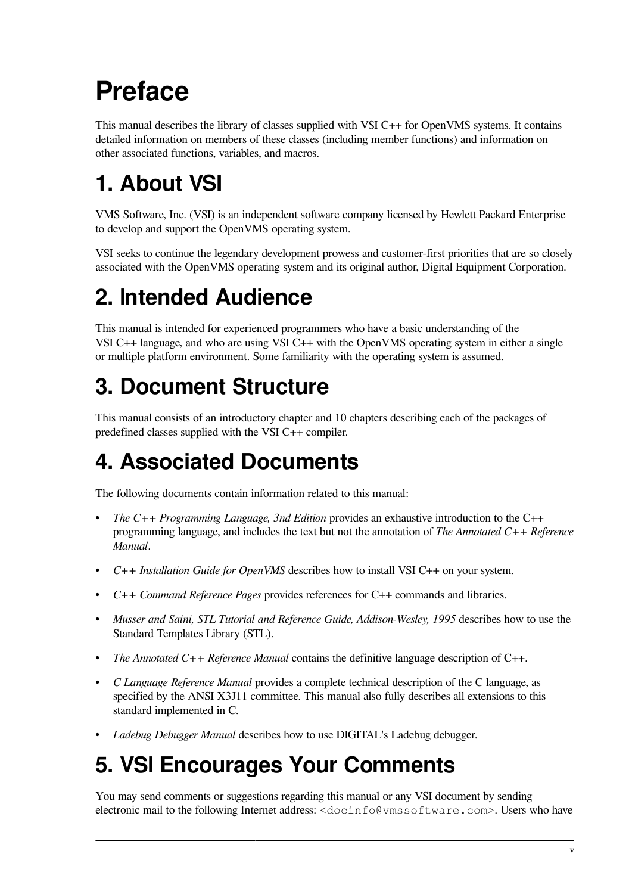# <span id="page-4-0"></span>**Preface**

This manual describes the library of classes supplied with VSI C++ for OpenVMS systems. It contains detailed information on members of these classes (including member functions) and information on other associated functions, variables, and macros.

# <span id="page-4-1"></span>**1. About VSI**

VMS Software, Inc. (VSI) is an independent software company licensed by Hewlett Packard Enterprise to develop and support the OpenVMS operating system.

VSI seeks to continue the legendary development prowess and customer-first priorities that are so closely associated with the OpenVMS operating system and its original author, Digital Equipment Corporation.

# <span id="page-4-2"></span>**2. Intended Audience**

This manual is intended for experienced programmers who have a basic understanding of the VSI C++ language, and who are using VSI C++ with the OpenVMS operating system in either a single or multiple platform environment. Some familiarity with the operating system is assumed.

# <span id="page-4-3"></span>**3. Document Structure**

This manual consists of an introductory chapter and 10 chapters describing each of the packages of predefined classes supplied with the VSI C++ compiler.

# <span id="page-4-4"></span>**4. Associated Documents**

The following documents contain information related to this manual:

- *The C++ Programming Language, 3nd Edition* provides an exhaustive introduction to the C++ programming language, and includes the text but not the annotation of *The Annotated C++ Reference Manual*.
- *C++ Installation Guide for OpenVMS* describes how to install VSI C++ on your system.
- *C++ Command Reference Pages* provides references for C++ commands and libraries.
- *Musser and Saini, STL Tutorial and Reference Guide, Addison-Wesley, 1995* describes how to use the Standard Templates Library (STL).
- *The Annotated C++ Reference Manual* contains the definitive language description of C++.
- *C Language Reference Manual* provides a complete technical description of the C language, as specified by the ANSI X3J11 committee. This manual also fully describes all extensions to this standard implemented in C.
- *Ladebug Debugger Manual* describes how to use DIGITAL's Ladebug debugger.

## <span id="page-4-5"></span>**5. VSI Encourages Your Comments**

You may send comments or suggestions regarding this manual or any VSI document by sending electronic mail to the following Internet address: <docinfo@vmssoftware.com>. Users who have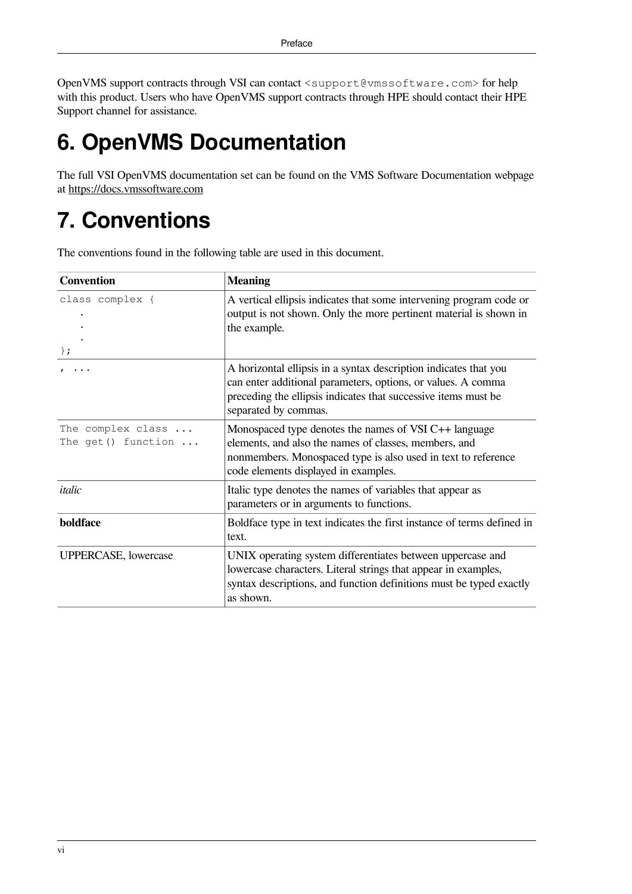OpenVMS support contracts through VSI can contact <support@vmssoftware.com> for help with this product. Users who have OpenVMS support contracts through HPE should contact their HPE Support channel for assistance.

# <span id="page-5-0"></span>**6. OpenVMS Documentation**

The full VSI OpenVMS documentation set can be found on the VMS Software Documentation webpage at <https://docs.vmssoftware.com>

# <span id="page-5-1"></span>**7. Conventions**

The conventions found in the following table are used in this document.

| <b>Convention</b>                                 | <b>Meaning</b>                                                                                                                                                                                                             |  |
|---------------------------------------------------|----------------------------------------------------------------------------------------------------------------------------------------------------------------------------------------------------------------------------|--|
| class complex {<br>$\}$ ;                         | A vertical ellipsis indicates that some intervening program code or<br>output is not shown. Only the more pertinent material is shown in<br>the example.                                                                   |  |
|                                                   | A horizontal ellipsis in a syntax description indicates that you<br>can enter additional parameters, options, or values. A comma<br>preceding the ellipsis indicates that successive items must be<br>separated by commas. |  |
| The complex class<br>The get () function $\ldots$ | Monospaced type denotes the names of VSI C++ language<br>elements, and also the names of classes, members, and<br>nonmembers. Monospaced type is also used in text to reference<br>code elements displayed in examples.    |  |
| italic                                            | Italic type denotes the names of variables that appear as<br>parameters or in arguments to functions.                                                                                                                      |  |
| boldface                                          | Boldface type in text indicates the first instance of terms defined in<br>text.                                                                                                                                            |  |
| <b>UPPERCASE, lowercase</b>                       | UNIX operating system differentiates between uppercase and<br>lowercase characters. Literal strings that appear in examples,<br>syntax descriptions, and function definitions must be typed exactly<br>as shown.           |  |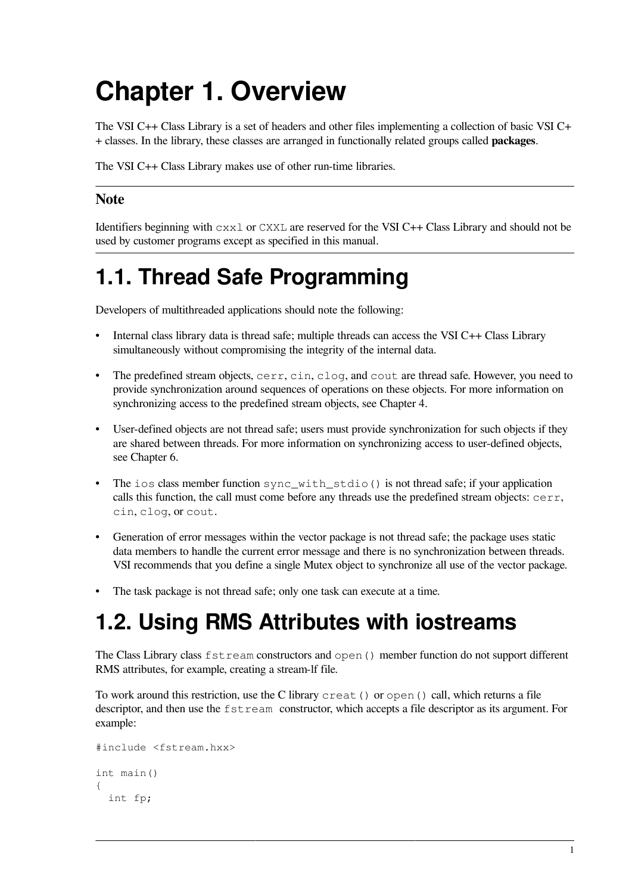# <span id="page-6-0"></span>**Chapter 1. Overview**

The VSI C++ Class Library is a set of headers and other files implementing a collection of basic VSI C+ + classes. In the library, these classes are arranged in functionally related groups called **packages**.

The VSI C++ Class Library makes use of other run-time libraries.

#### **Note**

Identifiers beginning with  $c \times x \perp$  or CXXL are reserved for the VSI C++ Class Library and should not be used by customer programs except as specified in this manual.

# <span id="page-6-1"></span>**1.1. Thread Safe Programming**

Developers of multithreaded applications should note the following:

- Internal class library data is thread safe; multiple threads can access the VSI C++ Class Library simultaneously without compromising the integrity of the internal data.
- The predefined stream objects, cerr, cin, clog, and cout are thread safe. However, you need to provide synchronization around sequences of operations on these objects. For more information on synchronizing access to the predefined stream objects, see [Chapter](#page-22-0) 4.
- User-defined objects are not thread safe; users must provide synchronization for such objects if they are shared between threads. For more information on synchronizing access to user-defined objects, see [Chapter](#page-86-0) 6.
- The ios class member function sync\_with\_stdio() is not thread safe; if your application calls this function, the call must come before any threads use the predefined stream objects:  $cerr$ , cin, clog, or cout.
- Generation of error messages within the vector package is not thread safe; the package uses static data members to handle the current error message and there is no synchronization between threads. VSI recommends that you define a single Mutex object to synchronize all use of the vector package.
- The task package is not thread safe; only one task can execute at a time.

# <span id="page-6-2"></span>**1.2. Using RMS Attributes with iostreams**

The Class Library class fstream constructors and open() member function do not support different RMS attributes, for example, creating a stream-lf file.

To work around this restriction, use the C library creat() or open() call, which returns a file descriptor, and then use the fstream constructor, which accepts a file descriptor as its argument. For example:

```
#include <fstream.hxx>
int main()
{
   int fp;
```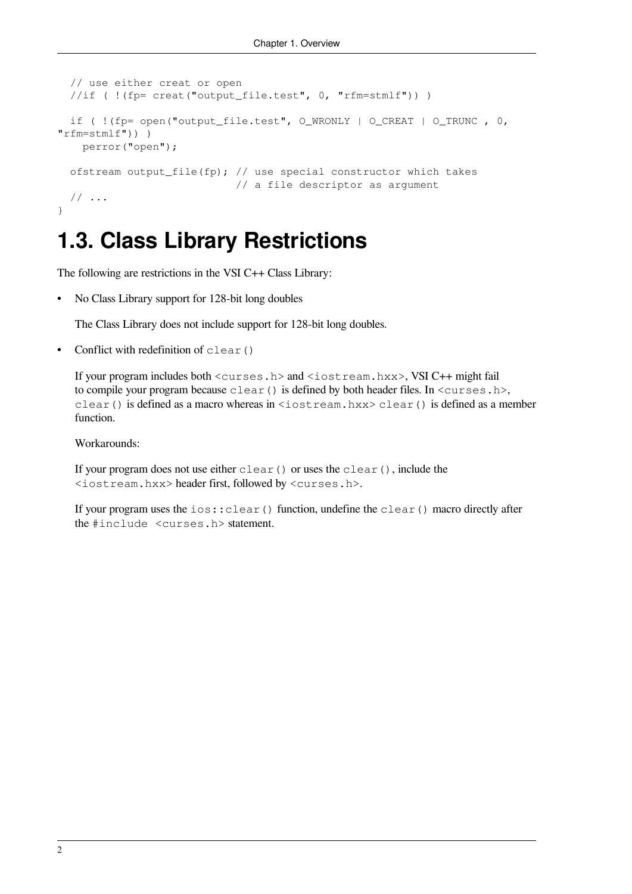```
 // use either creat or open
  //if ( !(fp= creat("output_file.test", 0, "rfm=stmlf")) )
  if ( !(fp= open("output_file.test", O_WRONLY | O_CREAT | O_TRUNC , 0,
"rfm=stmlf")) )
    perror("open");
 ofstream output_file(fp); // use special constructor which takes
                              // a file descriptor as argument
  // ...
}
```
## <span id="page-7-0"></span>**1.3. Class Library Restrictions**

The following are restrictions in the VSI C++ Class Library:

• No Class Library support for 128-bit long doubles

The Class Library does not include support for 128-bit long doubles.

Conflict with redefinition of  $\text{clear}$  ()

If your program includes both <curses.h> and <iostream.hxx>, VSI C++ might fail to compile your program because  $\text{clear}(t)$  is defined by both header files. In  $\text{curses.h>},$ clear() is defined as a macro whereas in <iostream.hxx> clear() is defined as a member function.

Workarounds:

If your program does not use either clear() or uses the clear(), include the <iostream.hxx> header first, followed by <curses.h>.

If your program uses the  $i \circ s : c \cdot \text{learn}$  () function, undefine the clear() macro directly after the #include <curses.h> statement.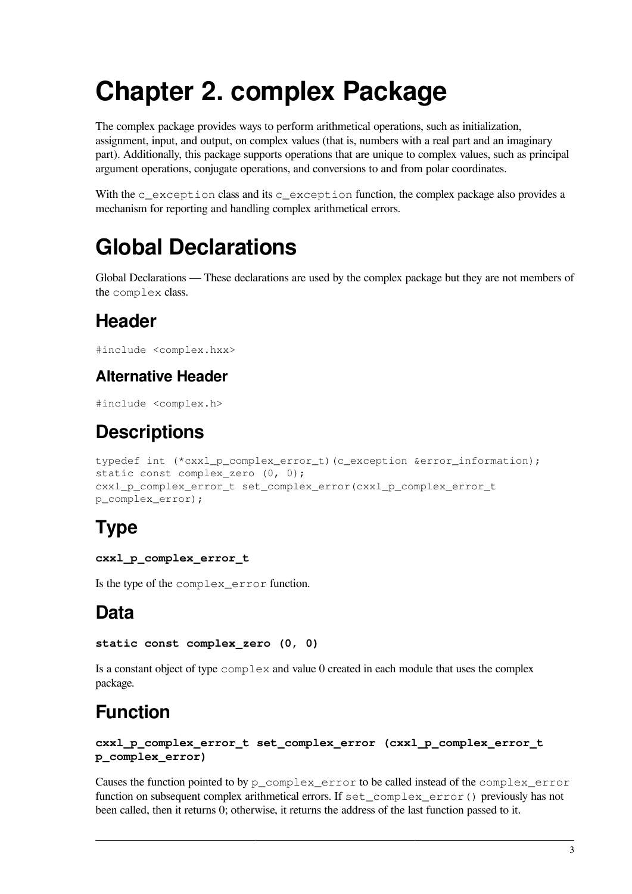# <span id="page-8-0"></span>**Chapter 2. complex Package**

The complex package provides ways to perform arithmetical operations, such as initialization, assignment, input, and output, on complex values (that is, numbers with a real part and an imaginary part). Additionally, this package supports operations that are unique to complex values, such as principal argument operations, conjugate operations, and conversions to and from polar coordinates.

With the c\_exception class and its c\_exception function, the complex package also provides a mechanism for reporting and handling complex arithmetical errors.

# <span id="page-8-1"></span>**Global Declarations**

Global Declarations — These declarations are used by the complex package but they are not members of the complex class.

## **Header**

```
#include <complex.hxx>
```
### **Alternative Header**

```
#include <complex.h>
```
## **Descriptions**

```
typedef int (*cxxl_p_complex_error_t)(c_exception &error_information);
static const complex zero (0, 0);
cxxl_p_complex_error_t set_complex_error(cxxl_p_complex_error_t
p_complex_error);
```
## **Type**

#### **cxxl\_p\_complex\_error\_t**

Is the type of the complex\_error function.

## **Data**

```
static const complex_zero (0, 0)
```
Is a constant object of type  $\text{complex}$  and value 0 created in each module that uses the complex package.

## <span id="page-8-2"></span>**Function**

```
cxxl_p_complex_error_t set_complex_error (cxxl_p_complex_error_t
p_complex_error)
```
Causes the function pointed to by p\_complex\_error to be called instead of the complex\_error function on subsequent complex arithmetical errors. If set\_complex\_error() previously has not been called, then it returns 0; otherwise, it returns the address of the last function passed to it.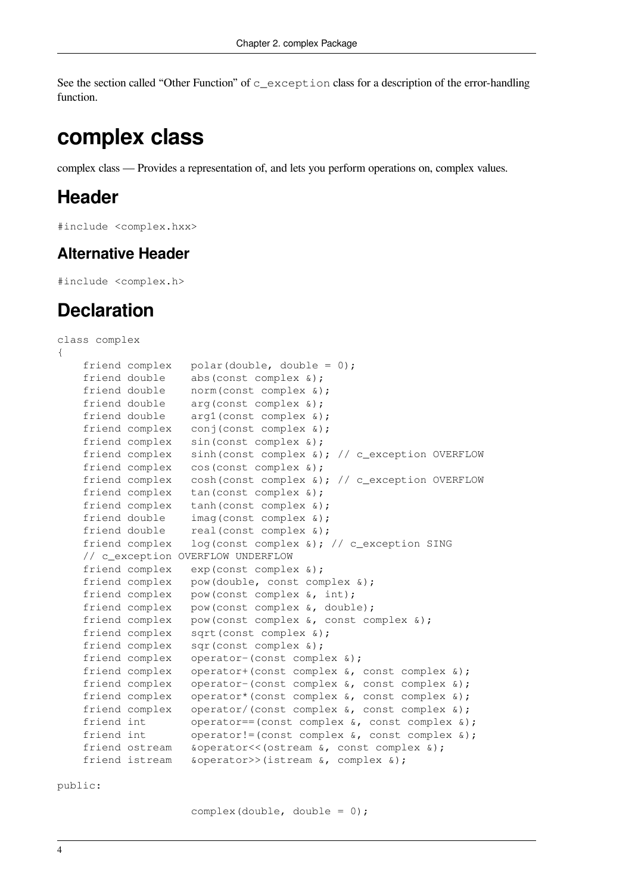See the section called "Other [Function"](#page-15-0) of c\_exception class for a description of the error-handling function.

## <span id="page-9-0"></span>**complex class**

complex class — Provides a representation of, and lets you perform operations on, complex values.

### **Header**

#include <complex.hxx>

#### **Alternative Header**

#include <complex.h>

### **Declaration**

```
class complex
{
    friend complex polar(double, double = 0);
   friend double abs(const complex \&);
 friend double norm(const complex &);
friend double arg(const complex &);
friend double arg1(const complex &);
friend complex conj(const complex &);
    friend complex sin(const complex &);
    friend complex sinh(const complex &); // c_exception OVERFLOW
    friend complex cos(const complex &);
   friend complex cosh(const complex \&); // c_exception OVERFLOW
   friend complex tan(const complex &);
    friend complex tanh(const complex &);
friend double imag(const complex &);
friend double real(const complex &);
    friend complex log(const complex &); // c_exception SING
    // c_exception OVERFLOW UNDERFLOW
    friend complex exp(const complex &);
    friend complex pow(double, const complex &);
   friend complex pow(const complex \&, int);
    friend complex pow(const complex &, double);
    friend complex pow(const complex &, const complex &);
    friend complex sqrt(const complex &);
    friend complex sqr(const complex &);
    friend complex operator-(const complex &);
    friend complex operator+(const complex &, const complex &);
 friend complex operator-(const complex &, const complex &);
 friend complex operator*(const complex &, const complex &);
    friend complex operator/(const complex &, const complex &);
 friend int operator==(const complex &, const complex &);
 friend int operator!=(const complex &, const complex &);
    friend ostream &operator<<(ostream &, const complex &);
    friend istream &operator>>(istream &, complex &);
```
public:

complex(double, double =  $0$ );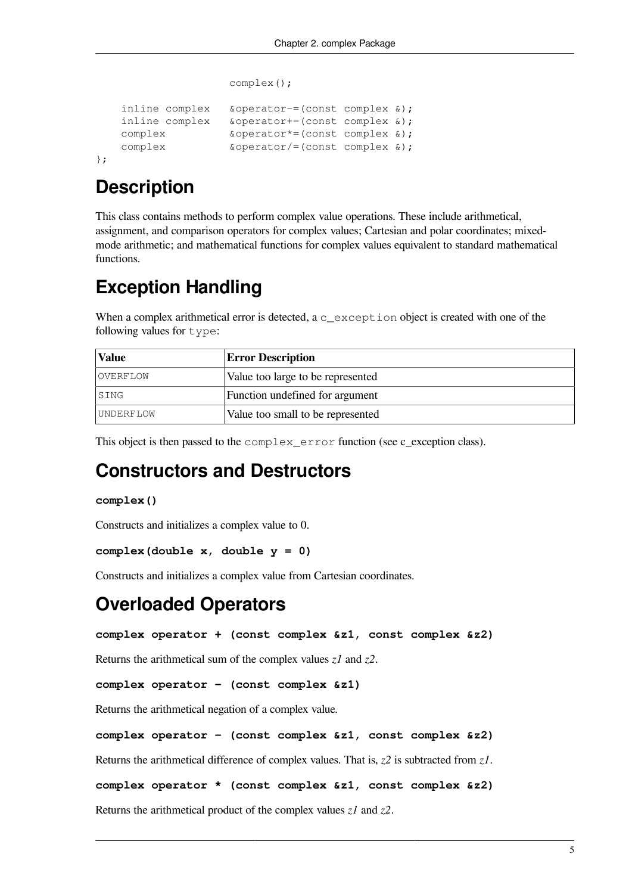```
 complex();
inline complex &operator-=(const complex &);
 inline complex &operator+=(const complex &);
complex \&\text{operator*}=(\text{const} \text{ complex } \&\text{)};
complex \&\text{operator}/=(\text{const} \text{complex } \&\text{)};
```
#### };

## **Description**

This class contains methods to perform complex value operations. These include arithmetical, assignment, and comparison operators for complex values; Cartesian and polar coordinates; mixedmode arithmetic; and mathematical functions for complex values equivalent to standard mathematical functions.

## **Exception Handling**

When a complex arithmetical error is detected, a  $c$  exception object is created with one of the following values for type:

| Value            | <b>Error Description</b>          |  |
|------------------|-----------------------------------|--|
| OVERFLOW         | Value too large to be represented |  |
| SING             | Function undefined for argument   |  |
| <i>UNDERFLOW</i> | Value too small to be represented |  |

This object is then passed to the complex\_error function (see [c\\_exception](#page-14-0) class).

## **Constructors and Destructors**

#### **complex()**

Constructs and initializes a complex value to 0.

```
complex(double x, double y = 0)
```
Constructs and initializes a complex value from Cartesian coordinates.

### **Overloaded Operators**

**complex operator + (const complex &z1, const complex &z2)**

Returns the arithmetical sum of the complex values *z1* and *z2*.

**complex operator – (const complex &z1)**

Returns the arithmetical negation of a complex value.

```
complex operator – (const complex &z1, const complex &z2)
```
Returns the arithmetical difference of complex values. That is, *z2* is subtracted from *z1*.

**complex operator \* (const complex &z1, const complex &z2)**

Returns the arithmetical product of the complex values *z1* and *z2*.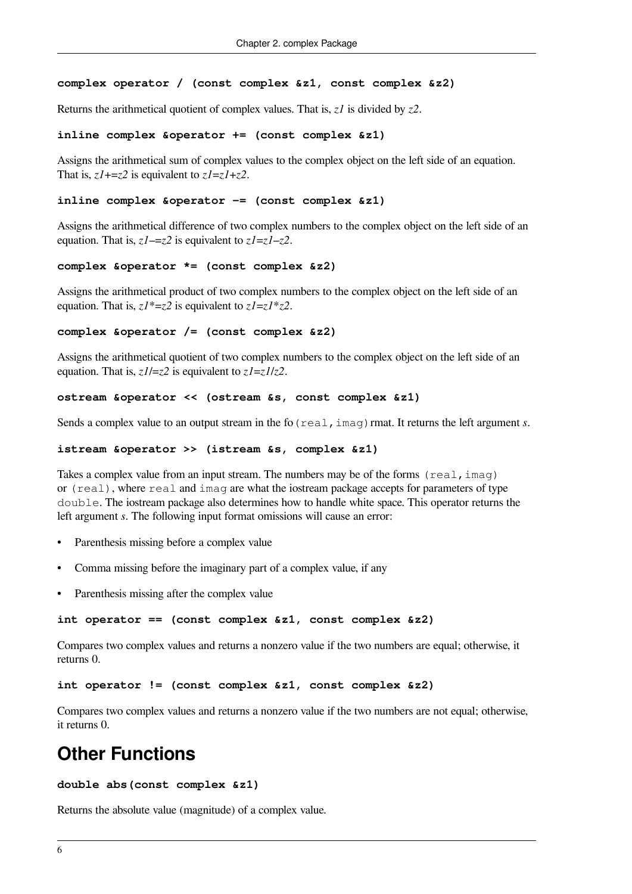#### **complex operator / (const complex &z1, const complex &z2)**

Returns the arithmetical quotient of complex values. That is, *z1* is divided by *z2*.

#### **inline complex &operator += (const complex &z1)**

Assigns the arithmetical sum of complex values to the complex object on the left side of an equation. That is,  $zI + z2$  is equivalent to  $zI = zI + z2$ .

#### **inline complex &operator –= (const complex &z1)**

Assigns the arithmetical difference of two complex numbers to the complex object on the left side of an equation. That is, *z1*–=*z2* is equivalent to *z1*=*z1*–*z2*.

#### **complex &operator \*= (const complex &z2)**

Assigns the arithmetical product of two complex numbers to the complex object on the left side of an equation. That is, *z1*\*=*z2* is equivalent to *z1*=*z1*\**z2*.

#### **complex &operator /= (const complex &z2)**

Assigns the arithmetical quotient of two complex numbers to the complex object on the left side of an equation. That is, *z1*/=*z2* is equivalent to *z1*=*z1*/*z2*.

#### **ostream &operator << (ostream &s, const complex &z1)**

Sends a complex value to an output stream in the fo (real, imag) rmat. It returns the left argument *s*.

#### **istream &operator >> (istream &s, complex &z1)**

Takes a complex value from an input stream. The numbers may be of the forms  $(\text{real},\text{imag})$ or (real), where real and imag are what the iostream package accepts for parameters of type double. The iostream package also determines how to handle white space. This operator returns the left argument *s*. The following input format omissions will cause an error:

- Parenthesis missing before a complex value
- Comma missing before the imaginary part of a complex value, if any
- Parenthesis missing after the complex value

#### **int operator == (const complex &z1, const complex &z2)**

Compares two complex values and returns a nonzero value if the two numbers are equal; otherwise, it returns 0.

#### **int operator != (const complex &z1, const complex &z2)**

Compares two complex values and returns a nonzero value if the two numbers are not equal; otherwise, it returns 0.

### **Other Functions**

#### **double abs(const complex &z1)**

Returns the absolute value (magnitude) of a complex value.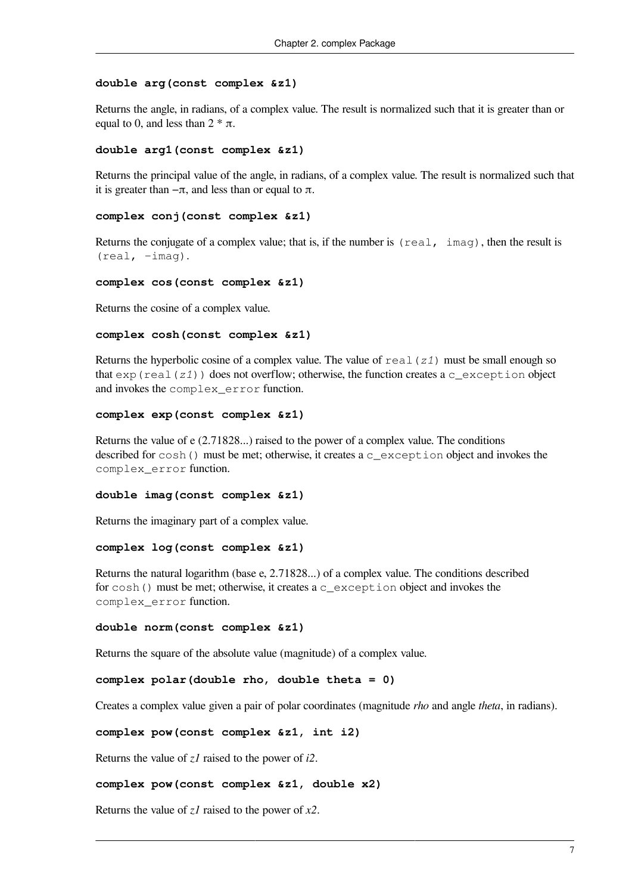#### **double arg(const complex &z1)**

Returns the angle, in radians, of a complex value. The result is normalized such that it is greater than or equal to 0, and less than  $2 * \pi$ .

#### **double arg1(const complex &z1)**

Returns the principal value of the angle, in radians, of a complex value. The result is normalized such that it is greater than  $-\pi$ , and less than or equal to  $\pi$ .

#### **complex conj(const complex &z1)**

Returns the conjugate of a complex value; that is, if the number is (real, imag), then the result is  $(\text{real}, -\text{imag}).$ 

#### **complex cos(const complex &z1)**

Returns the cosine of a complex value.

#### **complex cosh(const complex &z1)**

Returns the hyperbolic cosine of a complex value. The value of real(*z1*) must be small enough so that  $\exp(\text{real}(z1))$  does not overflow; otherwise, the function creates a c\_exception object and invokes the complex\_error function.

#### **complex exp(const complex &z1)**

Returns the value of e (2.71828...) raised to the power of a complex value. The conditions described for cosh() must be met; otherwise, it creates a c\_exception object and invokes the complex\_error function.

#### **double imag(const complex &z1)**

Returns the imaginary part of a complex value.

#### **complex log(const complex &z1)**

Returns the natural logarithm (base e, 2.71828...) of a complex value. The conditions described for  $cosh()$  must be met; otherwise, it creates a c\_exception object and invokes the complex\_error function.

#### **double norm(const complex &z1)**

Returns the square of the absolute value (magnitude) of a complex value.

```
complex polar(double rho, double theta = 0)
```
Creates a complex value given a pair of polar coordinates (magnitude *rho* and angle *theta*, in radians).

```
complex pow(const complex &z1, int i2)
```
Returns the value of *z1* raised to the power of *i2*.

#### **complex pow(const complex &z1, double x2)**

Returns the value of *z1* raised to the power of *x2*.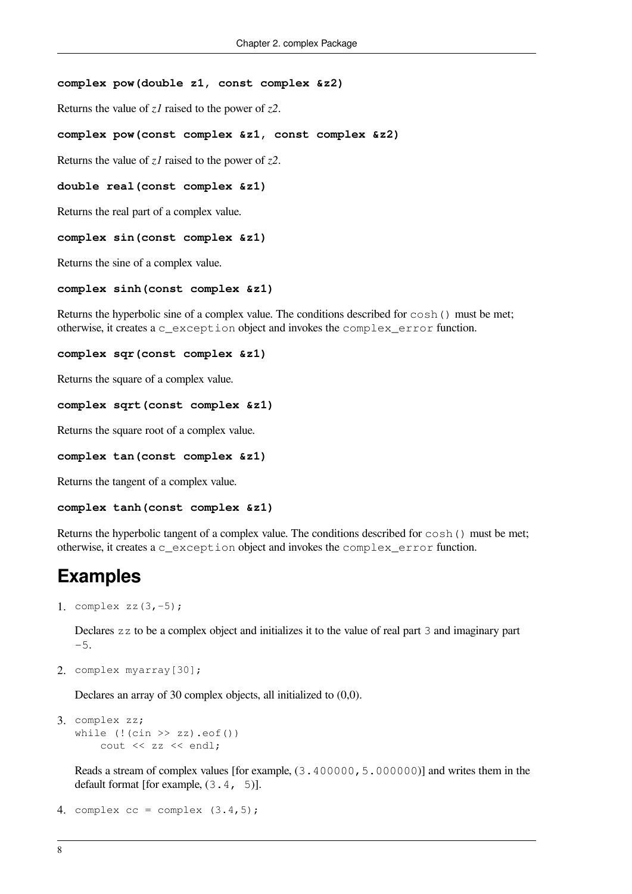#### **complex pow(double z1, const complex &z2)**

Returns the value of *z1* raised to the power of *z2*.

#### **complex pow(const complex &z1, const complex &z2)**

Returns the value of *z1* raised to the power of *z2*.

#### **double real(const complex &z1)**

Returns the real part of a complex value.

#### **complex sin(const complex &z1)**

Returns the sine of a complex value.

#### **complex sinh(const complex &z1)**

Returns the hyperbolic sine of a complex value. The conditions described for cosh() must be met; otherwise, it creates a c\_exception object and invokes the complex\_error function.

#### **complex sqr(const complex &z1)**

Returns the square of a complex value.

#### **complex sqrt(const complex &z1)**

Returns the square root of a complex value.

#### **complex tan(const complex &z1)**

Returns the tangent of a complex value.

#### **complex tanh(const complex &z1)**

Returns the hyperbolic tangent of a complex value. The conditions described for cosh() must be met; otherwise, it creates a c\_exception object and invokes the complex\_error function.

### **Examples**

1. complex zz(3,-5);

Declares zz to be a complex object and initializes it to the value of real part 3 and imaginary part -5.

2. complex myarray[30];

Declares an array of 30 complex objects, all initialized to (0,0).

```
3. complex zz;
   while (! (cin >> zz) . eof()) cout << zz << endl;
```
Reads a stream of complex values [for example, (3.400000,5.000000)] and writes them in the default format [for example,  $(3.4, 5)$ ].

```
4. complex cc = complex (3.4, 5);
```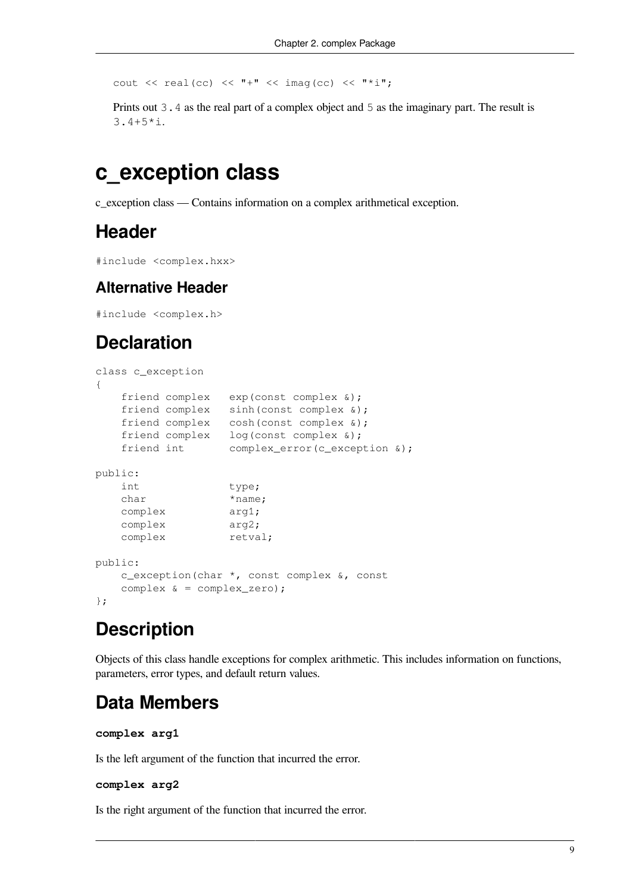cout  $\langle\langle$  real(cc)  $\langle\langle$  "+"  $\langle\langle$  imag(cc)  $\langle\langle$  "\*i";

Prints out 3.4 as the real part of a complex object and 5 as the imaginary part. The result is 3.4+5\*i.

## <span id="page-14-0"></span>**c\_exception class**

c\_exception class — Contains information on a complex arithmetical exception.

### **Header**

```
#include <complex.hxx>
```
#### **Alternative Header**

#include <complex.h>

## **Declaration**

```
class c_exception
{
    friend complex exp(const complex &);
friend complex sinh(const complex &);
friend complex cosh(const complex &);
friend complex log(const complex &);
    friend int complex_error(c_exception &);
public:
   int type;
   char *name;
    complex arg1;
    complex arg2;
   complex retval;
public:
    c_exception(char *, const complex &, const
   complex \& = complex_zero);
};
```
## **Description**

Objects of this class handle exceptions for complex arithmetic. This includes information on functions, parameters, error types, and default return values.

## **Data Members**

#### **complex arg1**

Is the left argument of the function that incurred the error.

#### **complex arg2**

Is the right argument of the function that incurred the error.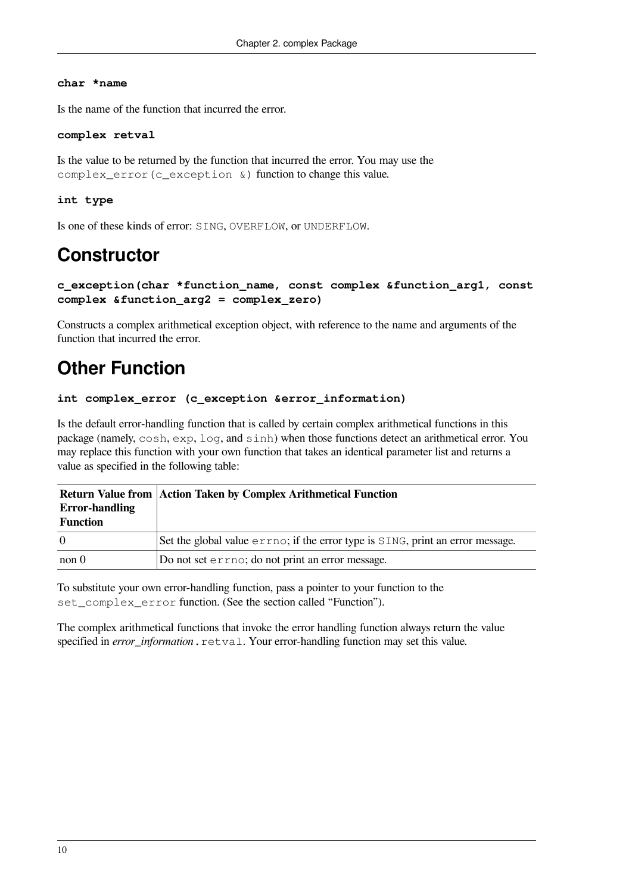#### **char \*name**

Is the name of the function that incurred the error.

#### **complex retval**

Is the value to be returned by the function that incurred the error. You may use the complex\_error(c\_exception &) function to change this value.

#### **int type**

Is one of these kinds of error: SING, OVERFLOW, or UNDERFLOW.

## **Constructor**

```
c_exception(char *function_name, const complex &function_arg1, const
complex &function_arg2 = complex_zero)
```
Constructs a complex arithmetical exception object, with reference to the name and arguments of the function that incurred the error.

## <span id="page-15-0"></span>**Other Function**

#### **int complex\_error (c\_exception &error\_information)**

Is the default error-handling function that is called by certain complex arithmetical functions in this package (namely, cosh, exp, log, and sinh) when those functions detect an arithmetical error. You may replace this function with your own function that takes an identical parameter list and returns a value as specified in the following table:

|                       | <b>Return Value from Action Taken by Complex Arithmetical Function</b>         |
|-----------------------|--------------------------------------------------------------------------------|
| <b>Error-handling</b> |                                                                                |
| Function              |                                                                                |
| $\overline{0}$        | Set the global value errno; if the error type is SING, print an error message. |
| non 0                 | Do not set errno; do not print an error message.                               |

To substitute your own error-handling function, pass a pointer to your function to the set\_complex\_error function. (See the section called ["Function"](#page-8-2)).

The complex arithmetical functions that invoke the error handling function always return the value specified in *error\_information*.retval. Your error-handling function may set this value.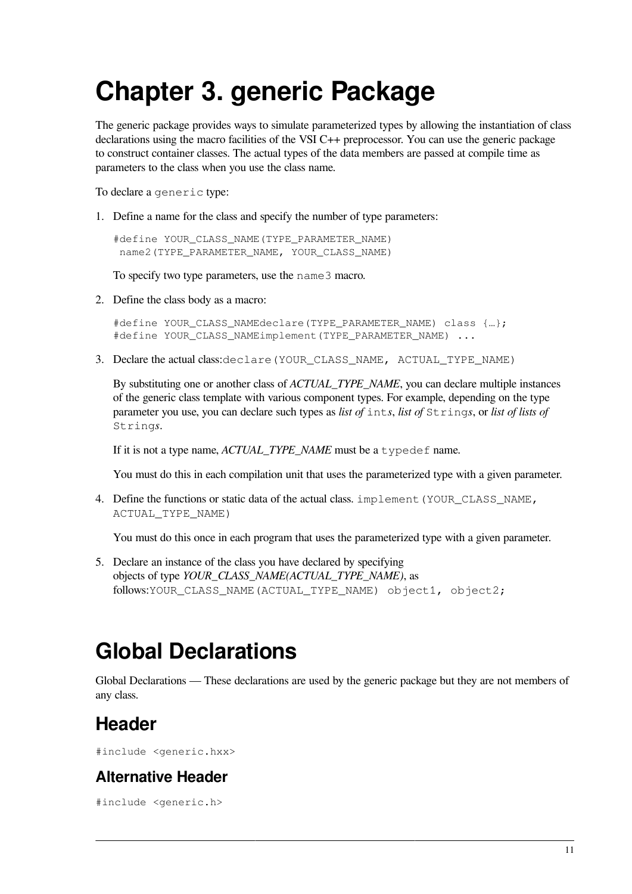# <span id="page-16-0"></span>**Chapter 3. generic Package**

The generic package provides ways to simulate parameterized types by allowing the instantiation of class declarations using the macro facilities of the VSI C++ preprocessor. You can use the generic package to construct container classes. The actual types of the data members are passed at compile time as parameters to the class when you use the class name.

To declare a generic type:

1. Define a name for the class and specify the number of type parameters:

#define YOUR CLASS NAME(TYPE PARAMETER NAME) name2(TYPE\_PARAMETER\_NAME, YOUR\_CLASS\_NAME)

To specify two type parameters, use the name3 macro.

2. Define the class body as a macro:

```
#define YOUR CLASS NAMEdeclare(TYPE PARAMETER NAME) class {...};
#define YOUR_CLASS_NAMEimplement(TYPE_PARAMETER_NAME) ...
```
3. Declare the actual class: declare (YOUR\_CLASS\_NAME, ACTUAL\_TYPE\_NAME)

By substituting one or another class of *ACTUAL\_TYPE\_NAME*, you can declare multiple instances of the generic class template with various component types. For example, depending on the type parameter you use, you can declare such types as *list of* int*s*, *list of* String*s*, or *list of lists of* String*s*.

If it is not a type name, *ACTUAL\_TYPE\_NAME* must be a typedef name.

You must do this in each compilation unit that uses the parameterized type with a given parameter.

4. Define the functions or static data of the actual class. implement (YOUR\_CLASS\_NAME, ACTUAL\_TYPE\_NAME)

You must do this once in each program that uses the parameterized type with a given parameter.

5. Declare an instance of the class you have declared by specifying objects of type *YOUR\_CLASS\_NAME(ACTUAL\_TYPE\_NAME)*, as follows:YOUR CLASS NAME(ACTUAL TYPE NAME) object1, object2;

## <span id="page-16-1"></span>**Global Declarations**

Global Declarations — These declarations are used by the generic package but they are not members of any class.

## **Header**

#include <generic.hxx>

### **Alternative Header**

#include <generic.h>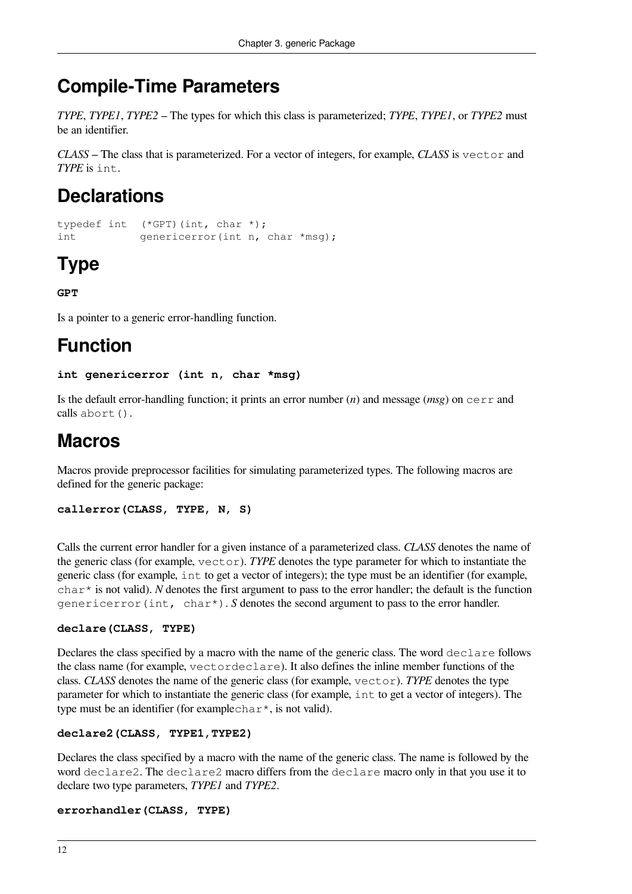## **Compile-Time Parameters**

*TYPE*, *TYPE1*, *TYPE2* – The types for which this class is parameterized; *TYPE*, *TYPE1*, or *TYPE2* must be an identifier.

*CLASS* – The class that is parameterized. For a vector of integers, for example, *CLASS* is vector and *TYPE* is int.

## **Declarations**

```
typedef int (*GPT)(int, char *);
int genericerror(int n, char *msq);
```
## **Type**

**GPT**

Is a pointer to a generic error-handling function.

## **Function**

#### **int genericerror (int n, char \*msg)**

Is the default error-handling function; it prints an error number (*n*) and message (*msg*) on cerr and calls abort().

## **Macros**

Macros provide preprocessor facilities for simulating parameterized types. The following macros are defined for the generic package:

```
callerror(CLASS, TYPE, N, S)
```
Calls the current error handler for a given instance of a parameterized class. *CLASS* denotes the name of the generic class (for example, vector). *TYPE* denotes the type parameter for which to instantiate the generic class (for example, int to get a vector of integers); the type must be an identifier (for example,  $char*$  is not valid). *N* denotes the first argument to pass to the error handler; the default is the function genericerror(int, char\*). *S* denotes the second argument to pass to the error handler.

#### **declare(CLASS, TYPE)**

Declares the class specified by a macro with the name of the generic class. The word declare follows the class name (for example, vectordeclare). It also defines the inline member functions of the class. *CLASS* denotes the name of the generic class (for example, vector). *TYPE* denotes the type parameter for which to instantiate the generic class (for example, int to get a vector of integers). The type must be an identifier (for example char<sup>\*</sup>, is not valid).

#### **declare2(CLASS, TYPE1,TYPE2)**

Declares the class specified by a macro with the name of the generic class. The name is followed by the word declare2. The declare2 macro differs from the declare macro only in that you use it to declare two type parameters, *TYPE1* and *TYPE2*.

#### **errorhandler(CLASS, TYPE)**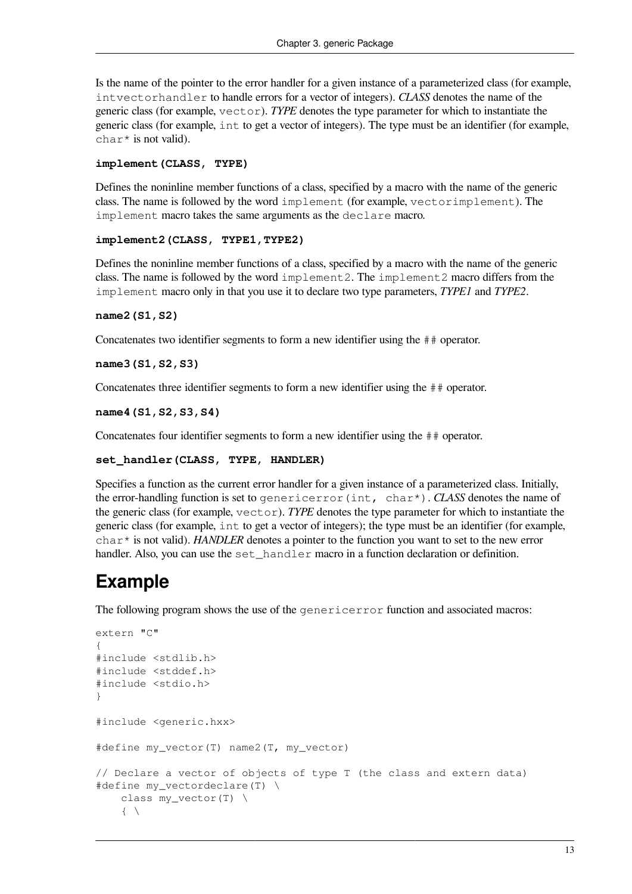Is the name of the pointer to the error handler for a given instance of a parameterized class (for example, intvectorhandler to handle errors for a vector of integers). *CLASS* denotes the name of the generic class (for example, vector). *TYPE* denotes the type parameter for which to instantiate the generic class (for example, int to get a vector of integers). The type must be an identifier (for example, char<sup>\*</sup> is not valid).

#### **implement(CLASS, TYPE)**

Defines the noninline member functions of a class, specified by a macro with the name of the generic class. The name is followed by the word implement (for example, vectorimplement). The implement macro takes the same arguments as the declare macro.

#### **implement2(CLASS, TYPE1,TYPE2)**

Defines the noninline member functions of a class, specified by a macro with the name of the generic class. The name is followed by the word implement2. The implement2 macro differs from the implement macro only in that you use it to declare two type parameters, *TYPE1* and *TYPE2*.

#### **name2(S1,S2)**

Concatenates two identifier segments to form a new identifier using the ## operator.

#### **name3(S1,S2,S3)**

Concatenates three identifier segments to form a new identifier using the ## operator.

#### **name4(S1,S2,S3,S4)**

Concatenates four identifier segments to form a new identifier using the ## operator.

#### **set\_handler(CLASS, TYPE, HANDLER)**

Specifies a function as the current error handler for a given instance of a parameterized class. Initially, the error-handling function is set to genericerror(int, char\*). *CLASS* denotes the name of the generic class (for example, vector). *TYPE* denotes the type parameter for which to instantiate the generic class (for example, int to get a vector of integers); the type must be an identifier (for example, char\* is not valid). *HANDLER* denotes a pointer to the function you want to set to the new error handler. Also, you can use the set handler macro in a function declaration or definition.

## **Example**

The following program shows the use of the genericerror function and associated macros:

```
extern "C"
{
#include <stdlib.h>
#include <stddef.h>
#include <stdio.h>
}
#include <generic.hxx>
#define my_vector(T) name2(T, my_vector)
// Declare a vector of objects of type T (the class and extern data)
#define my_vectordeclare(T) \
     class my_vector(T) \
    \{ \quad \backslash
```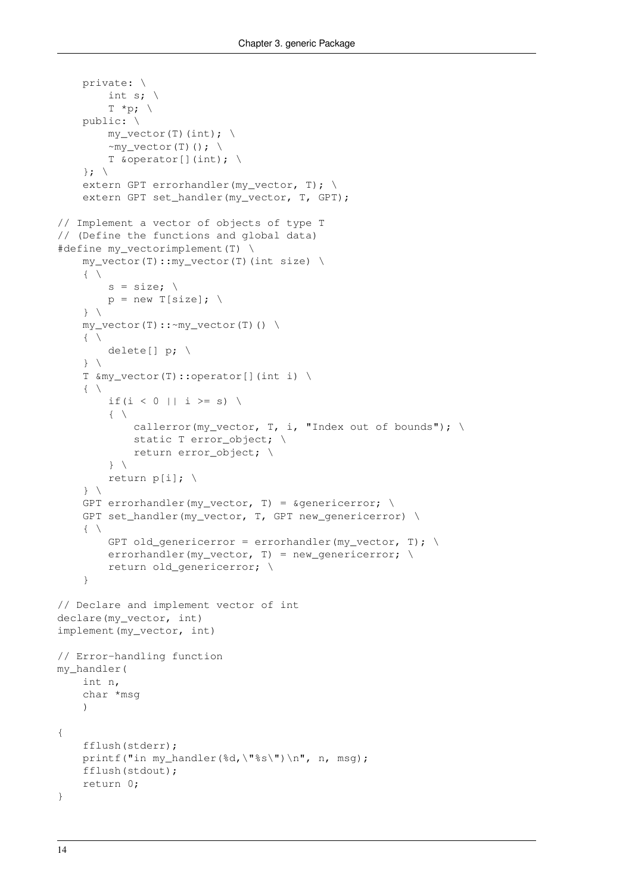```
 private: \
          int s; \
         T \star p; \
     public: \
         my\_vector(T) (int); \
         ~\simmy_vector(T)(); \
         T &operator[](int); \
    \}; \
    extern GPT errorhandler(my_vector, T); \
    extern GPT set_handler(my_vector, T, GPT);
// Implement a vector of objects of type T
// (Define the functions and global data)
#define my_vectorimplement(T) \
     my_vector(T)::my_vector(T)(int size) \
    \{ \ \ \}s = size; \ \ \ \ \ \p = new T[size]; \
    \} my_vector(T)::~my_vector(T)() \
    \{ \ \ \set delete[] p; \
     } \
     T &my_vector(T)::operator[](int i) \
    \{ \ \ \backslashif(i < 0 || i >= s) \
         \left\{ \begin{array}{c} \end{array} \right\}callerror(my_vector, T, i, "Index out of bounds"); \
             static T error_object; \
              return error_object; \
         \rightarrow return p[i]; \
    \}GPT errorhandler(my vector, T) = \text{agenericerror}; \
    GPT set handler(my vector, T, GPT new genericerror) \setminus\{ \ \ \setGPT old genericerror = errorhandler(my vector, T); \setminuserrorhandler(my_vector, T) = new_genericerror; \
         return old genericerror; \
     }
// Declare and implement vector of int
declare(my_vector, int)
implement(my_vector, int)
// Error-handling function
my_handler(
     int n,
     char *msg
    \lambda{
     fflush(stderr);
    printf("in my_handler(%d,\"%s\")\n", n, msg);
     fflush(stdout);
     return 0;
}
```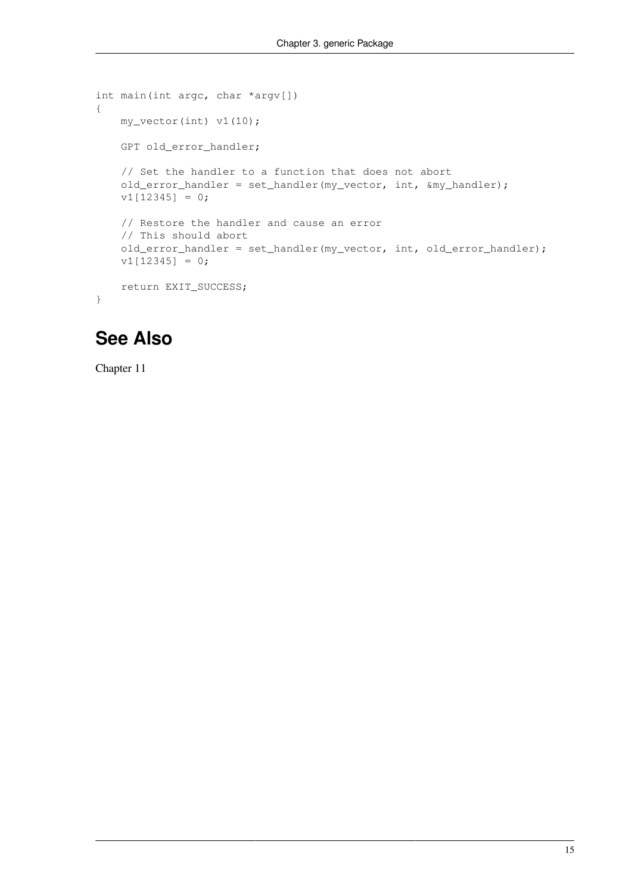```
int main(int argc, char *argv[])
{
     my_vector(int) v1(10);
     GPT old_error_handler;
     // Set the handler to a function that does not abort
     old_error_handler = set_handler(my_vector, int, &my_handler);
    v1[12345] = 0; // Restore the handler and cause an error
     // This should abort
     old_error_handler = set_handler(my_vector, int, old_error_handler);
    v1[12345] = 0; return EXIT_SUCCESS;
}
```
## **See Also**

[Chapter](#page-130-0) 11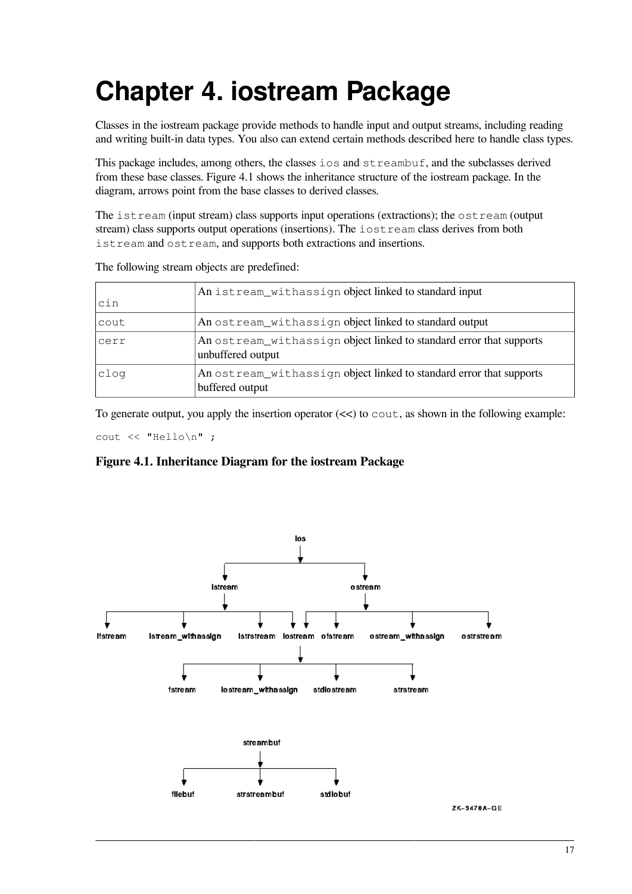# <span id="page-22-0"></span>**Chapter 4. iostream Package**

Classes in the iostream package provide methods to handle input and output streams, including reading and writing built-in data types. You also can extend certain methods described here to handle class types.

This package includes, among others, the classes ios and streambuf, and the subclasses derived from these base classes. [Figure](#page-22-1) 4.1 shows the inheritance structure of the iostream package. In the diagram, arrows point from the base classes to derived classes.

The istream (input stream) class supports input operations (extractions); the ostream (output stream) class supports output operations (insertions). The iostream class derives from both istream and ostream, and supports both extractions and insertions.

| cin  | An istream_withassign object linked to standard input                                    |
|------|------------------------------------------------------------------------------------------|
| cout | An ostream_withassign object linked to standard output                                   |
| cerr | An ostream_withassign object linked to standard error that supports<br>unbuffered output |
| clog | An ostream_withassign object linked to standard error that supports<br>buffered output   |

The following stream objects are predefined:

To generate output, you apply the insertion operator  $\ll$  to cout, as shown in the following example:

<span id="page-22-1"></span>cout << "Hello\n" ;

**Figure 4.1. Inheritance Diagram for the iostream Package**

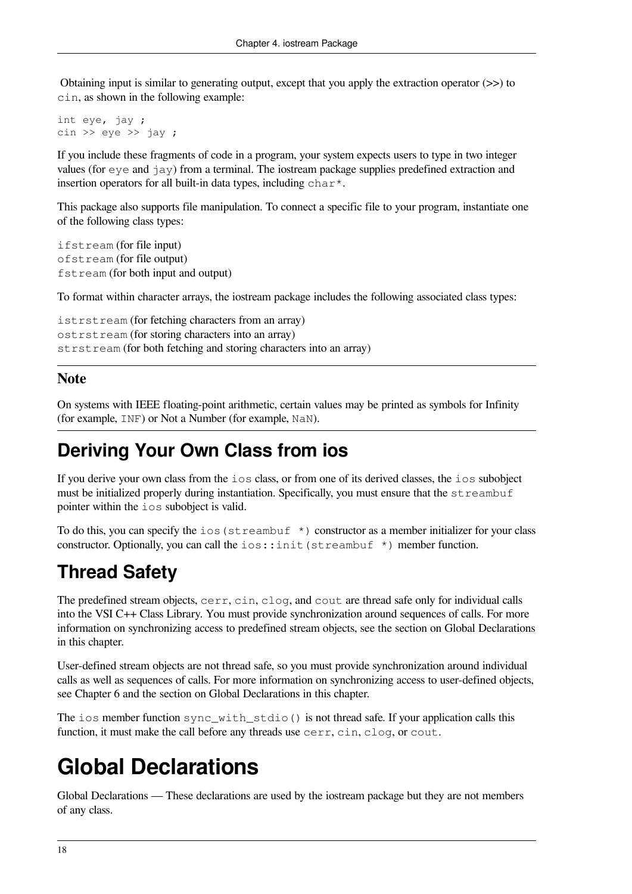Obtaining input is similar to generating output, except that you apply the extraction operator (>>) to cin, as shown in the following example:

int eye, jay ;  $\sin \gg \text{eye} \gg \text{jay}$ ;

If you include these fragments of code in a program, your system expects users to type in two integer values (for  $\epsilon$ ye and  $\alpha$ ) from a terminal. The iostream package supplies predefined extraction and insertion operators for all built-in data types, including  $char^*$ .

This package also supports file manipulation. To connect a specific file to your program, instantiate one of the following class types:

ifstream (for file input) ofstream (for file output) fstream (for both input and output)

To format within character arrays, the iostream package includes the following associated class types:

istrstream (for fetching characters from an array) ostrstream (for storing characters into an array) strstream (for both fetching and storing characters into an array)

#### **Note**

On systems with IEEE floating-point arithmetic, certain values may be printed as symbols for Infinity (for example, INF) or Not a Number (for example, NaN).

## **Deriving Your Own Class from ios**

If you derive your own class from the ios class, or from one of its derived classes, the ios subobject must be initialized properly during instantiation. Specifically, you must ensure that the streambuf pointer within the ios subobject is valid.

To do this, you can specify the  $\log$  (streambuf  $\star$ ) constructor as a member initializer for your class constructor. Optionally, you can call the  $\text{ios: :init}$  (streambuf  $\star$ ) member function.

## **Thread Safety**

The predefined stream objects, cerr, cin, clog, and cout are thread safe only for individual calls into the VSI C++ Class Library. You must provide synchronization around sequences of calls. For more information on synchronizing access to predefined stream objects, see the section on Global [Declarations](#page-23-0) in this chapter.

User-defined stream objects are not thread safe, so you must provide synchronization around individual calls as well as sequences of calls. For more information on synchronizing access to user-defined objects, see [Chapter](#page-86-0) 6 and the section on Global [Declarations](#page-23-0) in this chapter.

The ios member function sync\_with\_stdio() is not thread safe. If your application calls this function, it must make the call before any threads use cerr, cin, clog, or cout.

## <span id="page-23-0"></span>**Global Declarations**

Global Declarations — These declarations are used by the iostream package but they are not members of any class.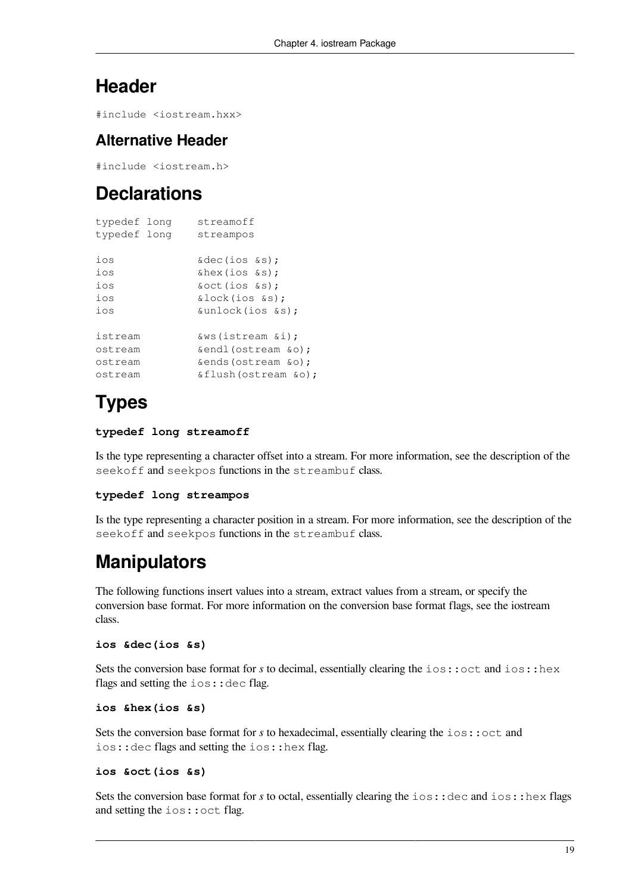### **Header**

#include <iostream.hxx>

#### **Alternative Header**

#include <iostream.h>

## **Declarations**

| typedef long | streamoff             |
|--------------|-----------------------|
| typedef long | streampos             |
|              |                       |
| ios          | & dec(ios & s);       |
| ios          | $\&$ hex(ios $\&$ s); |
| ios          | &oct(ios &s);         |
| ios          | &lock(ios &s);        |
| ios          | &unlock(ios &s);      |
|              |                       |
| istream      | &ws(istream &i);      |
| ostream      | &endl(ostream &o);    |
| ostream      | &ends(ostream &o);    |
| ostream      | &flush(ostream &o);   |

## **Types**

#### **typedef long streamoff**

Is the type representing a character offset into a stream. For more information, see the description of the seekoff and seekpos functions in the streambuf class.

#### **typedef long streampos**

Is the type representing a character position in a stream. For more information, see the description of the seekoff and seekpos functions in the streambuf class.

## **Manipulators**

The following functions insert values into a stream, extract values from a stream, or specify the conversion base format. For more information on the conversion base format flags, see the [iostream](#page-48-0) [class.](#page-48-0)

#### **ios &dec(ios &s)**

Sets the conversion base format for *s* to decimal, essentially clearing the ios::oct and ios::hex flags and setting the  $ios: :$ dec flag.

```
ios &hex(ios &s)
```
Sets the conversion base format for *s* to hexadecimal, essentially clearing the ios::oct and ios::dec flags and setting the ios::hex flag.

#### **ios &oct(ios &s)**

Sets the conversion base format for *s* to octal, essentially clearing the ios::dec and ios::hex flags and setting the ios::oct flag.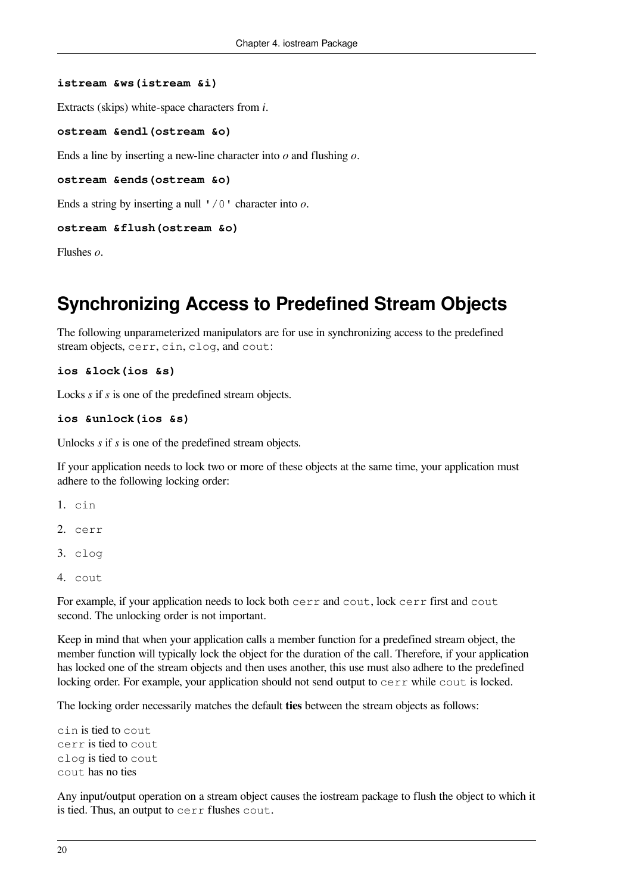#### **istream &ws(istream &i)**

Extracts (skips) white-space characters from *i*.

```
ostream &endl(ostream &o)
```
Ends a line by inserting a new-line character into *o* and flushing *o*.

```
ostream &ends(ostream &o)
```
Ends a string by inserting a null '/0' character into *o*.

#### **ostream &flush(ostream &o)**

Flushes *o*.

### **Synchronizing Access to Predefined Stream Objects**

The following unparameterized manipulators are for use in synchronizing access to the predefined stream objects, cerr, cin, clog, and cout:

```
ios &lock(ios &s)
```
Locks *s* if *s* is one of the predefined stream objects.

```
ios &unlock(ios &s)
```
Unlocks *s* if *s* is one of the predefined stream objects.

If your application needs to lock two or more of these objects at the same time, your application must adhere to the following locking order:

```
1. cin
```
- 2. cerr
- 3. clog
- 4. cout

For example, if your application needs to lock both cerr and cout, lock cerr first and cout second. The unlocking order is not important.

Keep in mind that when your application calls a member function for a predefined stream object, the member function will typically lock the object for the duration of the call. Therefore, if your application has locked one of the stream objects and then uses another, this use must also adhere to the predefined locking order. For example, your application should not send output to cerr while cout is locked.

The locking order necessarily matches the default **ties** between the stream objects as follows:

```
cin is tied to cout
cerr is tied to cout
clog is tied to cout
cout has no ties
```
Any input/output operation on a stream object causes the iostream package to flush the object to which it is tied. Thus, an output to cerr flushes cout.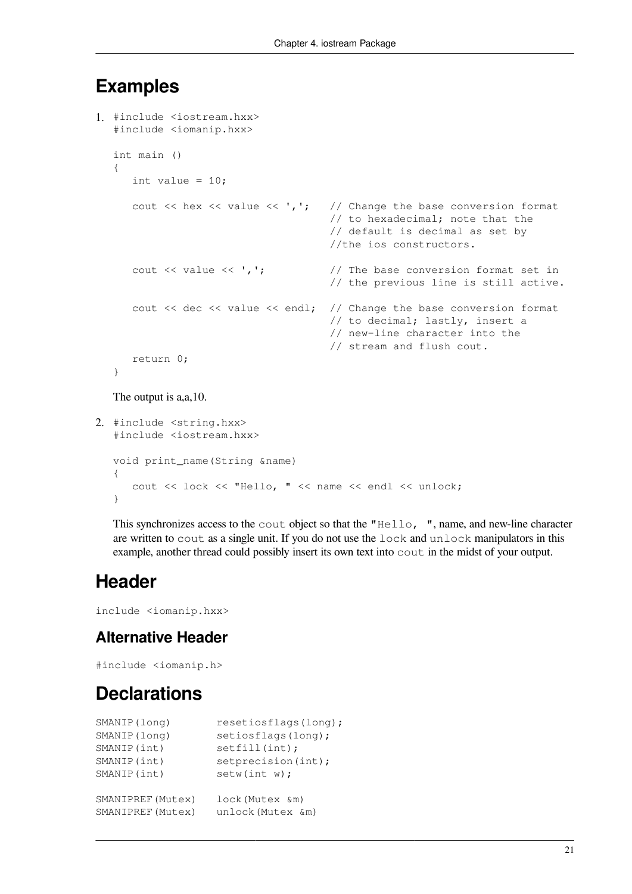### **Examples**

```
1. #include <iostream.hxx>
   #include <iomanip.hxx>
  int main ()
   {
      int value = 10;
      cout \ll hex \ll value \ll ','; // Change the base conversion format
                                          // to hexadecimal; note that the
                                          // default is decimal as set by
                                          //the ios constructors.
      cout \langle \rangle value \langle \rangle, \langle \rangle, \langle \rangle // The base conversion format set in
                                          // the previous line is still active.
      cout << dec << value << endl; // Change the base conversion format
                                          // to decimal; lastly, insert a
                                          // new-line character into the
                                          // stream and flush cout.
       return 0;
   }
```
The output is a,a,10.

```
2. #include <string.hxx>
   #include <iostream.hxx>
  void print_name(String &name)
   {
       cout << lock << "Hello, " << name << endl << unlock;
   }
```
This synchronizes access to the cout object so that the "Hello, ", name, and new-line character are written to cout as a single unit. If you do not use the lock and unlock manipulators in this example, another thread could possibly insert its own text into cout in the midst of your output.

## **Header**

include <iomanip.hxx>

### **Alternative Header**

#include <iomanip.h>

## **Declarations**

| SMANIP (long)     | resetiosflags(long); |
|-------------------|----------------------|
| SMANIP (long)     | setiosflags(long);   |
| SMANIP (int)      | setfill(int);        |
| SMANIP (int)      | setprecision(int);   |
| SMANIP (int)      | setw(int w);         |
|                   |                      |
| SMANIPREF (Mutex) | lock (Mutex &m)      |
| SMANIPREF (Mutex) | unlock (Mutex &m)    |
|                   |                      |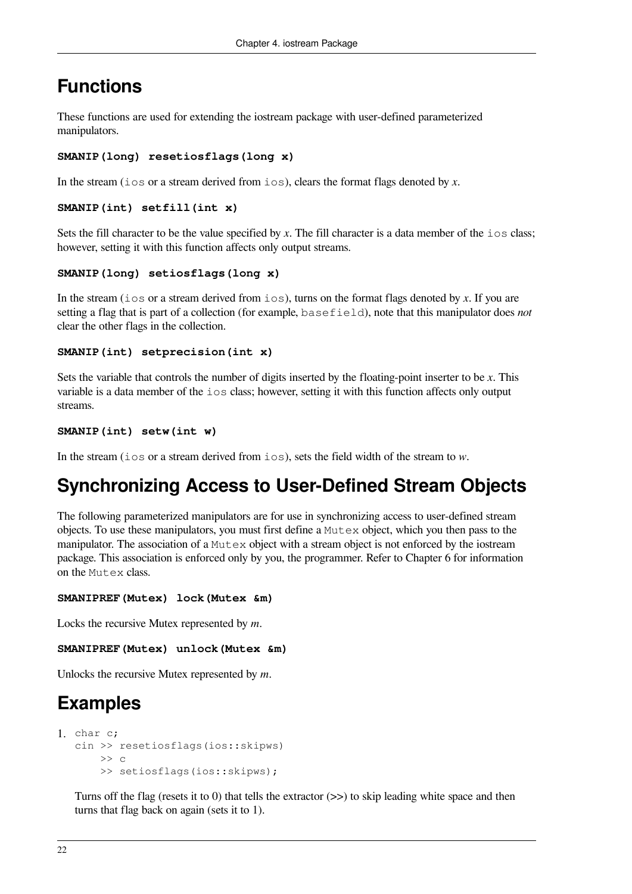## **Functions**

These functions are used for extending the iostream package with user-defined parameterized manipulators.

#### **SMANIP(long) resetiosflags(long x)**

In the stream (ios or a stream derived from ios), clears the format flags denoted by x.

```
SMANIP(int) setfill(int x)
```
Sets the fill character to be the value specified by  $x$ . The fill character is a data member of the  $\log$  class; however, setting it with this function affects only output streams.

#### **SMANIP(long) setiosflags(long x)**

In the stream (ios or a stream derived from ios), turns on the format flags denoted by *x*. If you are setting a flag that is part of a collection (for example, basefield), note that this manipulator does *not* clear the other flags in the collection.

#### **SMANIP(int) setprecision(int x)**

Sets the variable that controls the number of digits inserted by the floating-point inserter to be *x*. This variable is a data member of the ios class; however, setting it with this function affects only output streams.

```
SMANIP(int) setw(int w)
```
In the stream (ios or a stream derived from ios), sets the field width of the stream to *w*.

## **Synchronizing Access to User-Defined Stream Objects**

The following parameterized manipulators are for use in synchronizing access to user-defined stream objects. To use these manipulators, you must first define a Mutex object, which you then pass to the manipulator. The association of a  $\text{Mutzex}$  object with a stream object is not enforced by the iostream package. This association is enforced only by you, the programmer. Refer to [Chapter](#page-86-0) 6 for information on the Mutex class.

```
SMANIPREF(Mutex) lock(Mutex &m)
```
Locks the recursive Mutex represented by *m*.

**SMANIPREF(Mutex) unlock(Mutex &m)**

Unlocks the recursive Mutex represented by *m*.

## **Examples**

```
1. char c;
   cin >> resetiosflags(ios::skipws)
       \Rightarrow c
        >> setiosflags(ios::skipws);
```
Turns off the flag (resets it to 0) that tells the extractor  $(\gg)$  to skip leading white space and then turns that flag back on again (sets it to 1).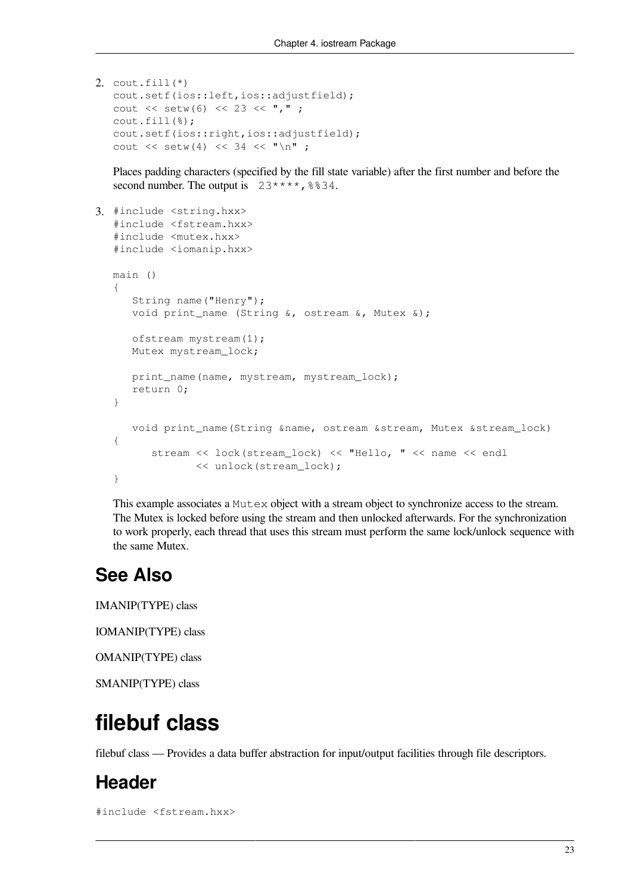```
2. cout.fill(*)
   cout.setf(ios::left,ios::adjustfield);
   cout << setw(6) << 23 << ",";
  cout.fill(%);
   cout.setf(ios::right,ios::adjustfield);
   cout \lt\lt setw(4) \lt\lt 34 \lt\lt "\n" ;
```
Places padding characters (specified by the fill state variable) after the first number and before the second number. The output is  $23***$ ,  $8834$ .

```
3. #include <string.hxx>
  #include <fstream.hxx>
   #include <mutex.hxx>
   #include <iomanip.hxx>
  main ()
   {
       String name("Henry");
      void print name (String &, ostream &, Mutex &);
       ofstream mystream(1);
     Mutex mystream lock;
      print_name(name, mystream, mystream_lock);
      return 0;
   }
       void print_name(String &name, ostream &stream, Mutex &stream_lock)
   {
          stream << lock(stream_lock) << "Hello, " << name << endl
                 << unlock(stream_lock);
   }
```
This example associates a Mutex object with a stream object to synchronize access to the stream. The Mutex is locked before using the stream and then unlocked afterwards. For the synchronization to work properly, each thread that uses this stream must perform the same lock/unlock sequence with the same Mutex.

### **See Also**

IMANIP(TYPE) class

IOMANIP(TYPE) class

OMANIP(TYPE) class

<span id="page-28-0"></span>SMANIP(TYPE) class

## **filebuf class**

filebuf class — Provides a data buffer abstraction for input/output facilities through file descriptors.

### **Header**

#include <fstream.hxx>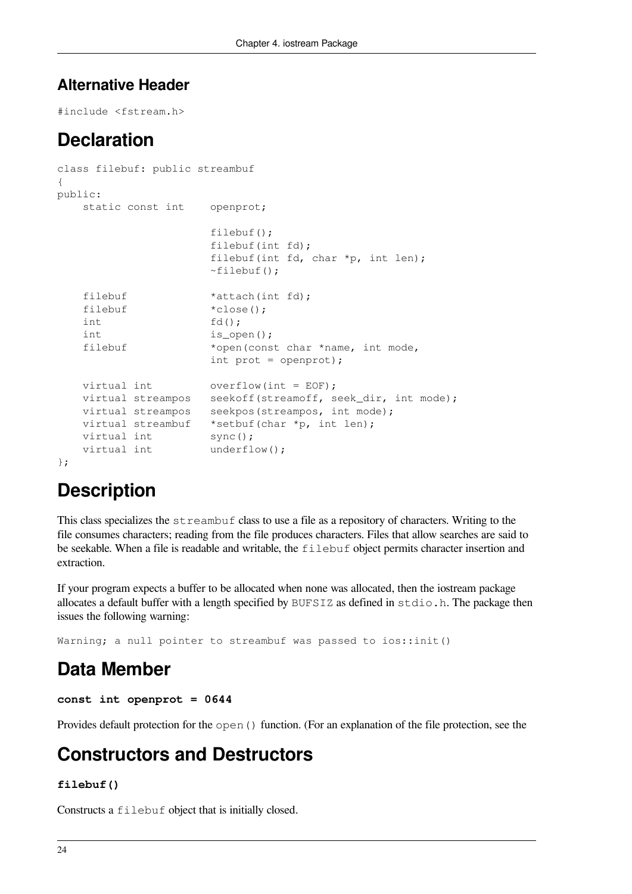### **Alternative Header**

#include <fstream.h>

## **Declaration**

```
class filebuf: public streambuf
{
public:
   static const int openprot;
                     filebuf();
                     filebuf(int fd);
                     filebuf(int fd, char *p, int len);
                    ~\simfilebuf();
   filebuf *attach(int fd);
   filebuf *close();
    int fd();
   int is open();
    filebuf *open(const char *name, int mode,
                    int prot = openprot);
   virtual int overflow(int = EOF);
   virtual streampos seekoff(streamoff, seek dir, int mode);
    virtual streampos seekpos(streampos, int mode);
   virtual streambuf *setbuf(char *p, int len);
   virtual int sync();
   virtual int underflow();
};
```
## **Description**

This class specializes the streambuf class to use a file as a repository of characters. Writing to the file consumes characters; reading from the file produces characters. Files that allow searches are said to be seekable. When a file is readable and writable, the filebuf object permits character insertion and extraction.

If your program expects a buffer to be allocated when none was allocated, then the iostream package allocates a default buffer with a length specified by BUFSIZ as defined in stdio.h. The package then issues the following warning:

Warning; a null pointer to streambuf was passed to ios::init()

## **Data Member**

```
const int openprot = 0644
```
Provides default protection for the open () function. (For an explanation of the file protection, see the

### **Constructors and Destructors**

#### **filebuf()**

Constructs a filebuf object that is initially closed.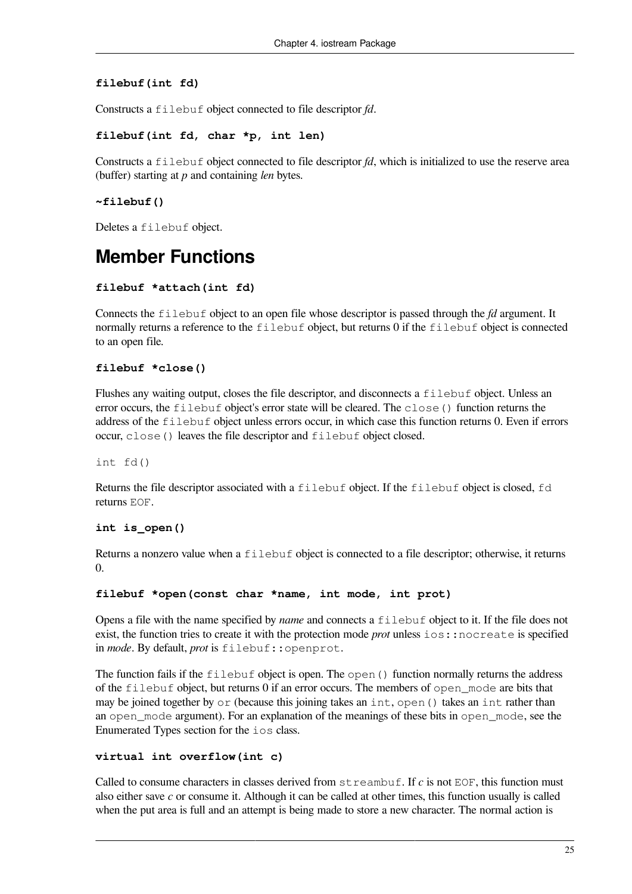#### **filebuf(int fd)**

Constructs a filebuf object connected to file descriptor *fd*.

#### **filebuf(int fd, char \*p, int len)**

Constructs a filebuf object connected to file descriptor *fd*, which is initialized to use the reserve area (buffer) starting at *p* and containing *len* bytes.

#### **~filebuf()**

Deletes a filebuf object.

### **Member Functions**

#### **filebuf \*attach(int fd)**

Connects the filebuf object to an open file whose descriptor is passed through the *fd* argument. It normally returns a reference to the filebuf object, but returns 0 if the filebuf object is connected to an open file.

#### **filebuf \*close()**

Flushes any waiting output, closes the file descriptor, and disconnects a filebuf object. Unless an error occurs, the filebuf object's error state will be cleared. The close() function returns the address of the filebuf object unless errors occur, in which case this function returns 0. Even if errors occur, close() leaves the file descriptor and filebuf object closed.

int fd()

Returns the file descriptor associated with a filebuf object. If the filebuf object is closed, fd returns EOF.

#### **int is\_open()**

Returns a nonzero value when a filebuf object is connected to a file descriptor; otherwise, it returns  $\Omega$ 

#### **filebuf \*open(const char \*name, int mode, int prot)**

Opens a file with the name specified by *name* and connects a filebuf object to it. If the file does not exist, the function tries to create it with the protection mode *prot* unless ios::nocreate is specified in *mode*. By default, *prot* is filebuf::openprot.

The function fails if the  $f$  ilebuf object is open. The open() function normally returns the address of the filebuf object, but returns 0 if an error occurs. The members of open\_mode are bits that may be joined together by or (because this joining takes an int, open () takes an int rather than an open mode argument). For an explanation of the meanings of these bits in open mode, see the Enumerated Types section for the ios class.

#### **virtual int overflow(int c)**

Called to consume characters in classes derived from streambuf. If *c* is not EOF, this function must also either save *c* or consume it. Although it can be called at other times, this function usually is called when the put area is full and an attempt is being made to store a new character. The normal action is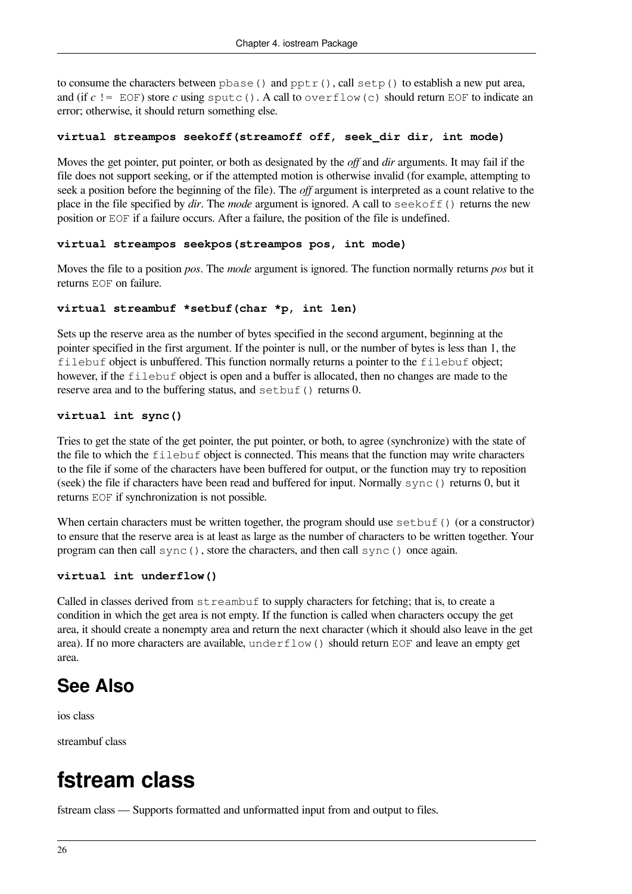to consume the characters between  $pbase()$  and  $pptr()$ , call  $setp()$  to establish a new put area, and (if  $c$  != EOF) store  $c$  using sputc(). A call to overflow(c) should return EOF to indicate an error; otherwise, it should return something else.

#### **virtual streampos seekoff(streamoff off, seek\_dir dir, int mode)**

Moves the get pointer, put pointer, or both as designated by the *off* and *dir* arguments. It may fail if the file does not support seeking, or if the attempted motion is otherwise invalid (for example, attempting to seek a position before the beginning of the file). The *off* argument is interpreted as a count relative to the place in the file specified by *dir*. The *mode* argument is ignored. A call to seekoff() returns the new position or EOF if a failure occurs. After a failure, the position of the file is undefined.

#### **virtual streampos seekpos(streampos pos, int mode)**

Moves the file to a position *pos*. The *mode* argument is ignored. The function normally returns *pos* but it returns EOF on failure.

#### **virtual streambuf \*setbuf(char \*p, int len)**

Sets up the reserve area as the number of bytes specified in the second argument, beginning at the pointer specified in the first argument. If the pointer is null, or the number of bytes is less than 1, the filebuf object is unbuffered. This function normally returns a pointer to the filebuf object; however, if the filebuf object is open and a buffer is allocated, then no changes are made to the reserve area and to the buffering status, and setbuf() returns 0.

#### **virtual int sync()**

Tries to get the state of the get pointer, the put pointer, or both, to agree (synchronize) with the state of the file to which the filebuf object is connected. This means that the function may write characters to the file if some of the characters have been buffered for output, or the function may try to reposition (seek) the file if characters have been read and buffered for input. Normally sync() returns 0, but it returns EOF if synchronization is not possible.

When certain characters must be written together, the program should use  $\text{setbut}$  () (or a constructor) to ensure that the reserve area is at least as large as the number of characters to be written together. Your program can then call sync(), store the characters, and then call sync() once again.

#### **virtual int underflow()**

Called in classes derived from  $str$ e ambuf to supply characters for fetching; that is, to create a condition in which the get area is not empty. If the function is called when characters occupy the get area, it should create a nonempty area and return the next character (which it should also leave in the get area). If no more characters are available, underflow() should return EOF and leave an empty get area.

## **See Also**

ios class

<span id="page-31-0"></span>streambuf class

## **fstream class**

fstream class — Supports formatted and unformatted input from and output to files.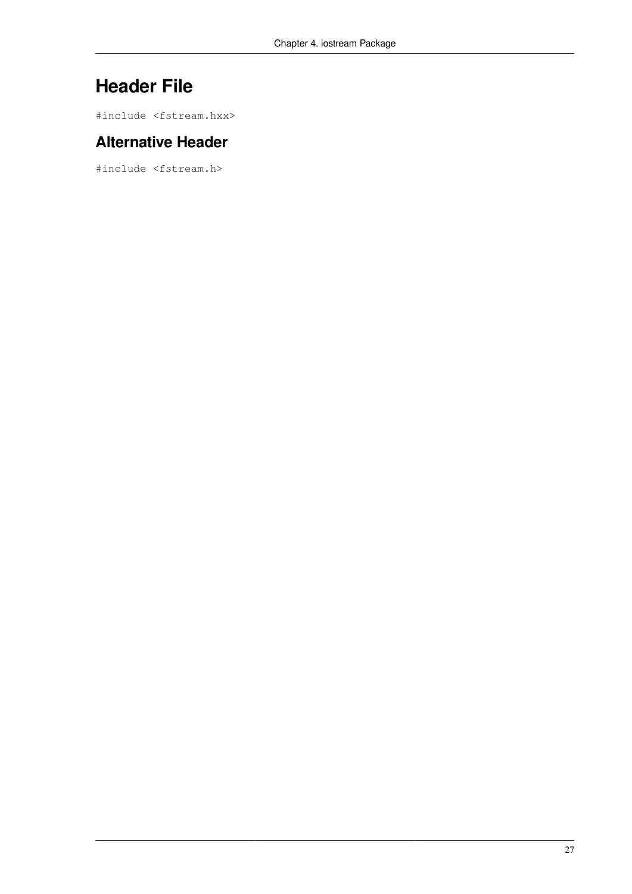## **Header File**

#include <fstream.hxx>

### **Alternative Header**

#include <fstream.h>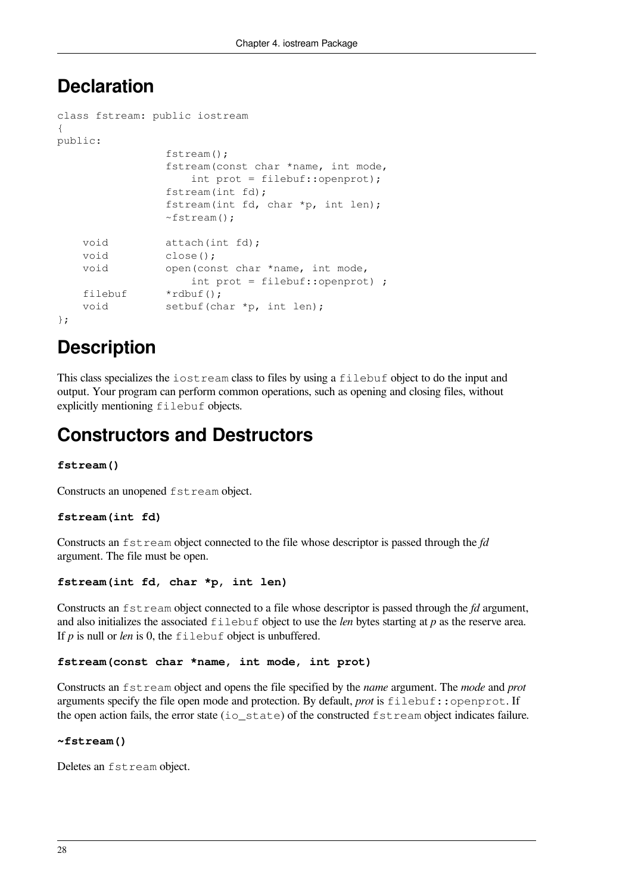### **Declaration**

```
class fstream: public iostream
{
public:
                 fstream();
                 fstream(const char *name, int mode,
                     int prot = filebuf::openprot);
                 fstream(int fd);
                 fstream(int fd, char *p, int len);
                 ~fstream();
   void attach(int fd);
    void close();
    void open(const char *name, int mode,
                     int prot = filebuf::openprot) ;
   filebuf *rdbuf();
   void setbuf(char *p, int len);
};
```
## **Description**

This class specializes the iostream class to files by using a filebuf object to do the input and output. Your program can perform common operations, such as opening and closing files, without explicitly mentioning filebuf objects.

## **Constructors and Destructors**

#### **fstream()**

Constructs an unopened fstream object.

#### **fstream(int fd)**

Constructs an fstream object connected to the file whose descriptor is passed through the *fd* argument. The file must be open.

#### **fstream(int fd, char \*p, int len)**

Constructs an fstream object connected to a file whose descriptor is passed through the *fd* argument, and also initializes the associated filebuf object to use the *len* bytes starting at *p* as the reserve area. If *p* is null or *len* is 0, the filebuf object is unbuffered.

#### **fstream(const char \*name, int mode, int prot)**

Constructs an fstream object and opens the file specified by the *name* argument. The *mode* and *prot* arguments specify the file open mode and protection. By default, *prot* is filebuf::openprot. If the open action fails, the error state (io  $\sigma$  state) of the constructed fstream object indicates failure.

#### **~fstream()**

Deletes an fstream object.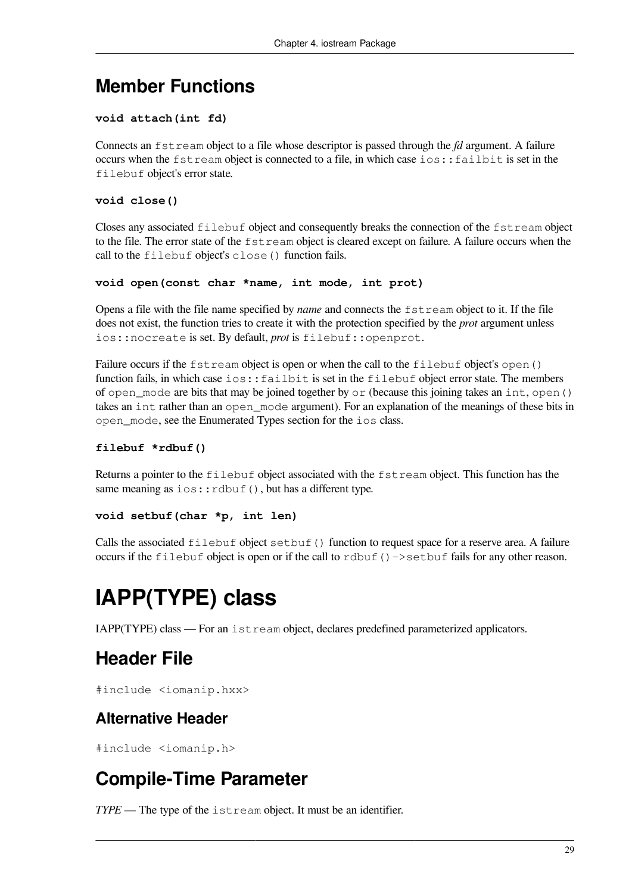### **Member Functions**

#### **void attach(int fd)**

Connects an fstream object to a file whose descriptor is passed through the *fd* argument. A failure occurs when the fstream object is connected to a file, in which case ios::failbit is set in the filebuf object's error state.

#### **void close()**

Closes any associated filebuf object and consequently breaks the connection of the fstream object to the file. The error state of the fstream object is cleared except on failure. A failure occurs when the call to the filebuf object's close() function fails.

#### **void open(const char \*name, int mode, int prot)**

Opens a file with the file name specified by *name* and connects the fstream object to it. If the file does not exist, the function tries to create it with the protection specified by the *prot* argument unless ios::nocreate is set. By default, *prot* is filebuf::openprot.

Failure occurs if the fstream object is open or when the call to the filebuf object's open () function fails, in which case ios::failbit is set in the filebuf object error state. The members of open mode are bits that may be joined together by  $\circ$  r (because this joining takes an int, open() takes an int rather than an open mode argument). For an explanation of the meanings of these bits in open\_mode, see the Enumerated Types section for the ios class.

#### **filebuf \*rdbuf()**

Returns a pointer to the filebuf object associated with the fstream object. This function has the same meaning as  $\text{ios::rdbuf}$  (), but has a different type.

#### **void setbuf(char \*p, int len)**

Calls the associated  $filebut object setbuf()$  function to request space for a reserve area. A failure occurs if the filebuf object is open or if the call to  $r \text{dbuf}( )$  ->setbuf fails for any other reason.

# <span id="page-34-0"></span>**IAPP(TYPE) class**

IAPP(TYPE) class — For an istream object, declares predefined parameterized applicators.

## **Header File**

#include <iomanip.hxx>

### **Alternative Header**

#include <iomanip.h>

## **Compile-Time Parameter**

*TYPE* — The type of the istream object. It must be an identifier.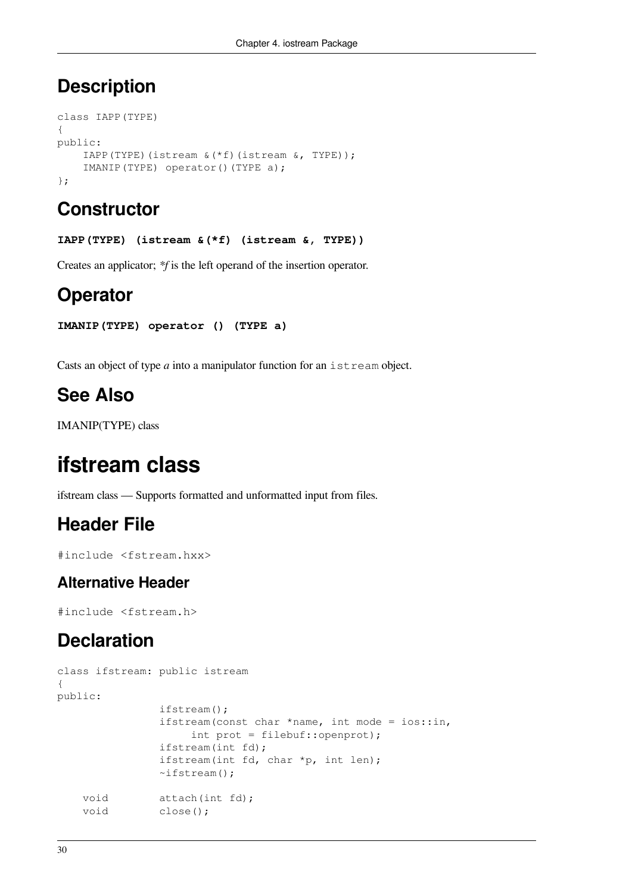## **Description**

```
class IAPP(TYPE)
{
public:
     IAPP(TYPE)(istream &(*f)(istream &, TYPE));
     IMANIP(TYPE) operator()(TYPE a);
};
```
## **Constructor**

**IAPP(TYPE) (istream &(\*f) (istream &, TYPE))**

Creates an applicator; *\*f* is the left operand of the insertion operator.

## **Operator**

```
IMANIP(TYPE) operator () (TYPE a)
```
Casts an object of type *a* into a manipulator function for an istream object.

## **See Also**

<span id="page-35-0"></span>IMANIP(TYPE) class

## **ifstream class**

ifstream class — Supports formatted and unformatted input from files.

### **Header File**

#include <fstream.hxx>

### **Alternative Header**

#include <fstream.h>

### **Declaration**

```
class ifstream: public istream
{
public:
                 ifstream();
                 ifstream(const char *name, int mode = ios::in,
                      int prot = filebuf::openprot);
                 ifstream(int fd);
                 ifstream(int fd, char *p, int len);
                \simifstream();
    void attach(int fd);
   void close();
```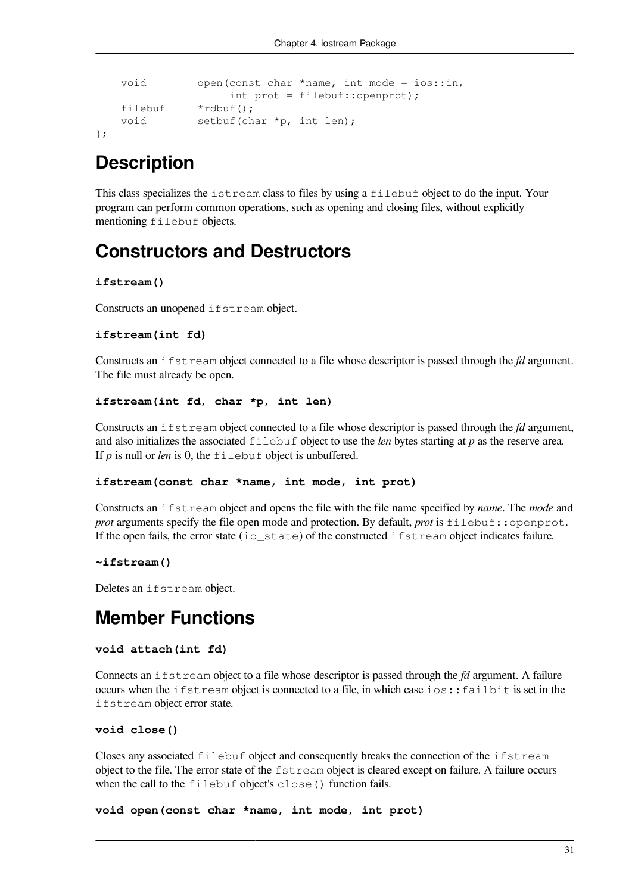```
 void open(const char *name, int mode = ios::in,
                int prot = filebuf::openprot);
 filebuf *rdbuf();
void setbuf(char *p, int len);
```
};

### **Description**

This class specializes the istream class to files by using a filebuf object to do the input. Your program can perform common operations, such as opening and closing files, without explicitly mentioning filebuf objects.

### **Constructors and Destructors**

#### **ifstream()**

Constructs an unopened ifstream object.

#### **ifstream(int fd)**

Constructs an ifstream object connected to a file whose descriptor is passed through the *fd* argument. The file must already be open.

#### **ifstream(int fd, char \*p, int len)**

Constructs an ifstream object connected to a file whose descriptor is passed through the *fd* argument, and also initializes the associated filebuf object to use the *len* bytes starting at *p* as the reserve area. If *p* is null or *len* is 0, the filebuf object is unbuffered.

#### **ifstream(const char \*name, int mode, int prot)**

Constructs an ifstream object and opens the file with the file name specified by *name*. The *mode* and *prot* arguments specify the file open mode and protection. By default, *prot* is filebuf::openprot. If the open fails, the error state (io state) of the constructed if stream object indicates failure.

#### **~ifstream()**

Deletes an ifstream object.

### **Member Functions**

#### **void attach(int fd)**

Connects an ifstream object to a file whose descriptor is passed through the *fd* argument. A failure occurs when the ifstream object is connected to a file, in which case ios::failbit is set in the ifstream object error state.

#### **void close()**

Closes any associated filebuf object and consequently breaks the connection of the ifstream object to the file. The error state of the fstream object is cleared except on failure. A failure occurs when the call to the filebuf object's close() function fails.

**void open(const char \*name, int mode, int prot)**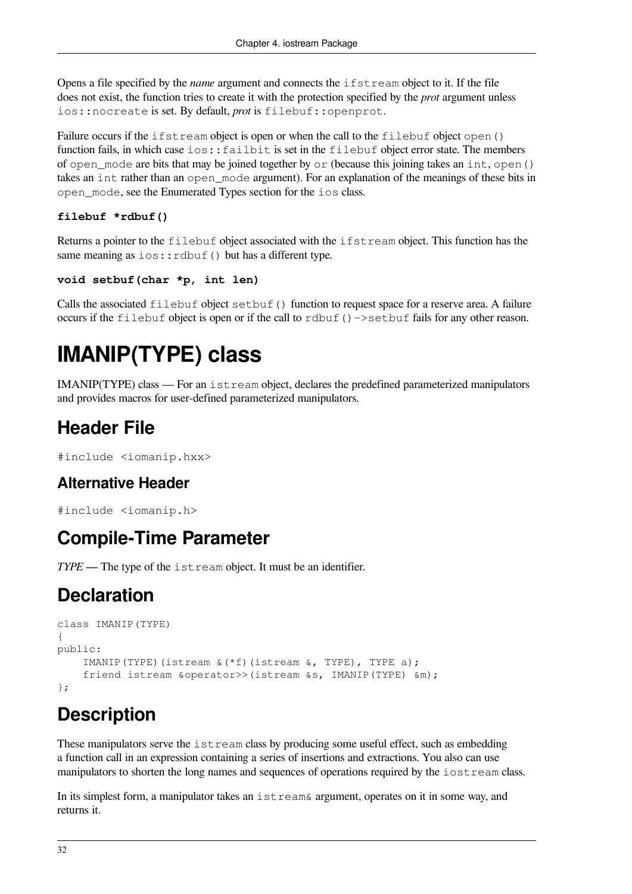Opens a file specified by the *name* argument and connects the ifstream object to it. If the file does not exist, the function tries to create it with the protection specified by the *prot* argument unless ios::nocreate is set. By default, *prot* is filebuf::openprot.

Failure occurs if the ifstream object is open or when the call to the filebuf object open() function fails, in which case ios::failbit is set in the filebuf object error state. The members of open mode are bits that may be joined together by  $\circ$  r (because this joining takes an int, open() takes an int rather than an open\_mode argument). For an explanation of the meanings of these bits in open\_mode, see the Enumerated Types section for the ios class.

#### **filebuf \*rdbuf()**

Returns a pointer to the filebuf object associated with the ifstream object. This function has the same meaning as  $ios::rdbuf()$  but has a different type.

```
void setbuf(char *p, int len)
```
Calls the associated  $filebut object setbuf()$  function to request space for a reserve area. A failure occurs if the filebuf object is open or if the call to rdbuf()->setbuf fails for any other reason.

# **IMANIP(TYPE) class**

IMANIP(TYPE) class — For an istream object, declares the predefined parameterized manipulators and provides macros for user-defined parameterized manipulators.

## **Header File**

```
#include <iomanip.hxx>
```
#### **Alternative Header**

```
#include <iomanip.h>
```
### **Compile-Time Parameter**

*TYPE* — The type of the istream object. It must be an identifier.

# **Declaration**

```
class IMANIP(TYPE)
{
public:
     IMANIP(TYPE)(istream &(*f)(istream &, TYPE), TYPE a);
     friend istream &operator>>(istream &s, IMANIP(TYPE) &m);
};
```
# **Description**

These manipulators serve the istream class by producing some useful effect, such as embedding a function call in an expression containing a series of insertions and extractions. You also can use manipulators to shorten the long names and sequences of operations required by the iostream class.

In its simplest form, a manipulator takes an istream& argument, operates on it in some way, and returns it.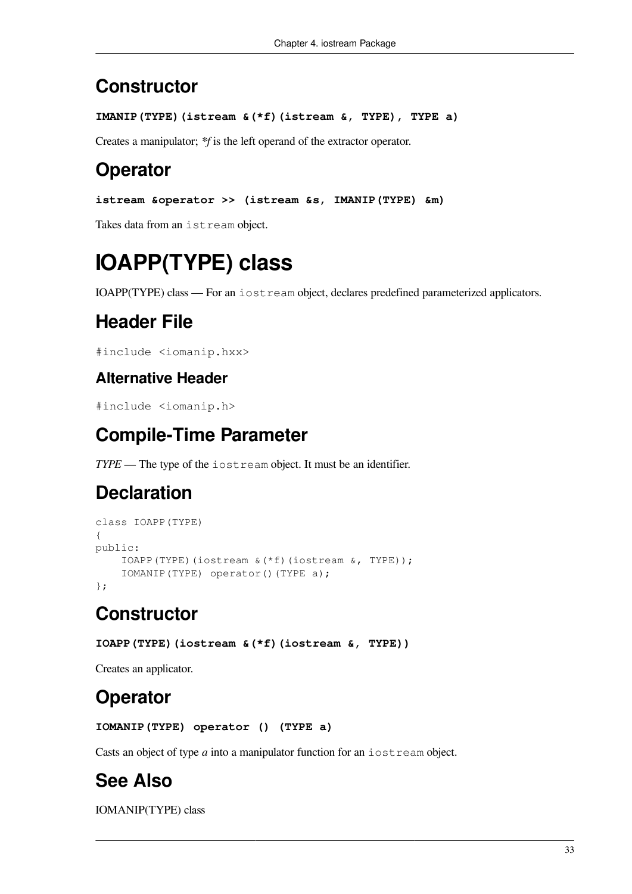## **Constructor**

```
IMANIP(TYPE)(istream &(*f)(istream &, TYPE), TYPE a)
```
Creates a manipulator; *\*f* is the left operand of the extractor operator.

# **Operator**

```
istream &operator >> (istream &s, IMANIP(TYPE) &m)
```
Takes data from an istream object.

# **IOAPP(TYPE) class**

IOAPP(TYPE) class — For an iostream object, declares predefined parameterized applicators.

# **Header File**

#include <iomanip.hxx>

#### **Alternative Header**

#include <iomanip.h>

# **Compile-Time Parameter**

*TYPE* — The type of the iostream object. It must be an identifier.

# **Declaration**

```
class IOAPP(TYPE)
{
public:
     IOAPP(TYPE)(iostream &(*f)(iostream &, TYPE));
     IOMANIP(TYPE) operator()(TYPE a);
};
```
# **Constructor**

```
IOAPP(TYPE)(iostream &(*f)(iostream &, TYPE))
```
Creates an applicator.

# **Operator**

```
IOMANIP(TYPE) operator () (TYPE a)
```
Casts an object of type *a* into a manipulator function for an iostream object.

# **See Also**

IOMANIP(TYPE) class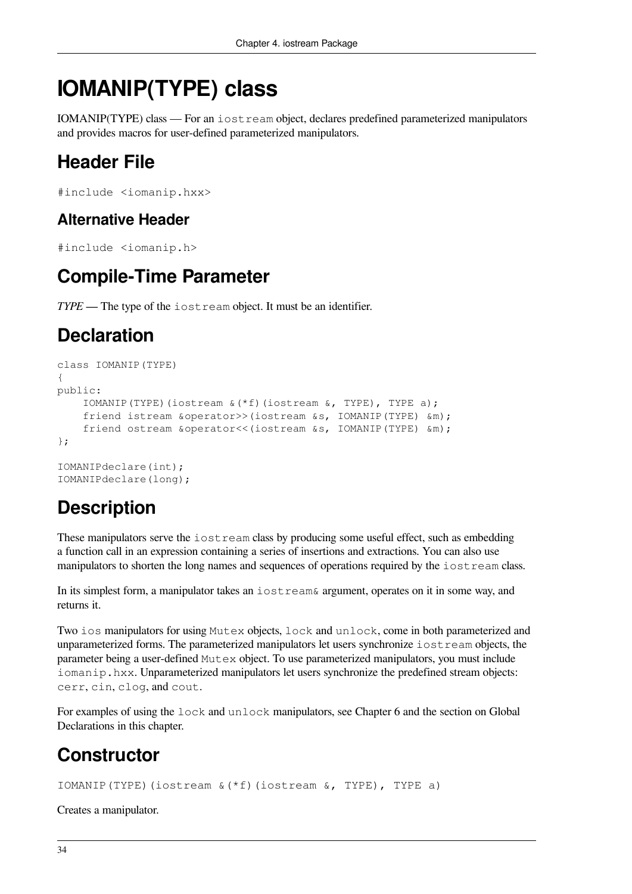# **IOMANIP(TYPE) class**

IOMANIP(TYPE) class — For an iostream object, declares predefined parameterized manipulators and provides macros for user-defined parameterized manipulators.

# **Header File**

```
#include <iomanip.hxx>
```
#### **Alternative Header**

```
#include <iomanip.h>
```
## **Compile-Time Parameter**

*TYPE* — The type of the iostream object. It must be an identifier.

## **Declaration**

```
class IOMANIP(TYPE)
{
public:
     IOMANIP(TYPE)(iostream &(*f)(iostream &, TYPE), TYPE a);
     friend istream &operator>>(iostream &s, IOMANIP(TYPE) &m);
     friend ostream &operator<<(iostream &s, IOMANIP(TYPE) &m);
};
IOMANIPdeclare(int);
IOMANIPdeclare(long);
```
# **Description**

These manipulators serve the iostream class by producing some useful effect, such as embedding a function call in an expression containing a series of insertions and extractions. You can also use manipulators to shorten the long names and sequences of operations required by the iostream class.

In its simplest form, a manipulator takes an iostream& argument, operates on it in some way, and returns it.

Two ios manipulators for using Mutex objects, lock and unlock, come in both parameterized and unparameterized forms. The parameterized manipulators let users synchronize iostream objects, the parameter being a user-defined Mutex object. To use parameterized manipulators, you must include iomanip.hxx. Unparameterized manipulators let users synchronize the predefined stream objects: cerr, cin, clog, and cout.

For examples of using the lock and unlock manipulators, see [Chapter](#page-86-0) 6 and the section on [Global](#page-23-0) [Declarations](#page-23-0) in this chapter.

# **Constructor**

IOMANIP(TYPE)(iostream &(\*f)(iostream &, TYPE), TYPE a)

Creates a manipulator.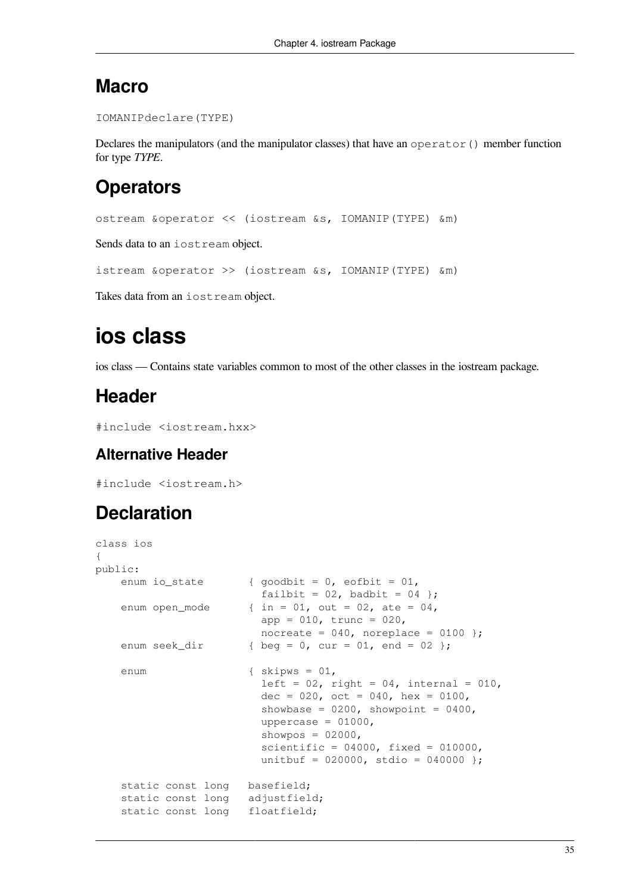#### **Macro**

```
IOMANIPdeclare(TYPE)
```
Declares the manipulators (and the manipulator classes) that have an operator () member function for type *TYPE*.

## **Operators**

```
ostream &operator << (iostream &s, IOMANIP(TYPE) &m)
```
Sends data to an iostream object.

```
istream &operator >> (iostream &s, IOMANIP(TYPE) &m)
```
Takes data from an iostream object.

# **ios class**

ios class — Contains state variables common to most of the other classes in the iostream package.

## **Header**

```
#include <iostream.hxx>
```
#### **Alternative Header**

#include <iostream.h>

# **Declaration**

```
class ios
{
public:
   enum io_state { goodbit = 0, eofbit = 01,
                          failbit = 02, badbit = 04 };
    enum open_mode \{ in = 01, out = 02, ate = 04,app = 010, trunc = 020,
                          nocreate = 040, noreplace = 0100 };
    enum seek_dir { \text{ } { \text{ } } { beg = 0, cur = 01, end = 02 };
     enum { skipws = 01,
                          left = 02, right = 04, internal = 010,
                          dec = 020, oct = 040, hex = 0100,
                          showbase = 0200, showpoint = 0400,
                          uppercase = 01000,
                          showpos = 02000,
                          scientific = 04000, fixed = 010000,
                          unitbuf = 020000, stdio = 040000 };
     static const long basefield;
     static const long adjustfield;
     static const long floatfield;
```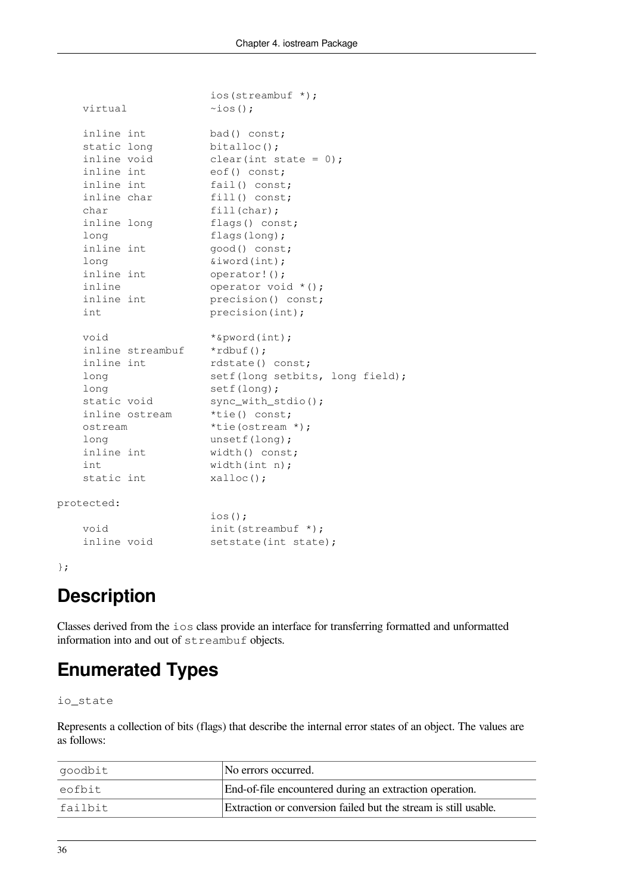|                  | ios(streambuf *);               |
|------------------|---------------------------------|
| virtual          | $\sim$ ios();                   |
|                  |                                 |
| inline int       | bad() const;                    |
| static long      | $bitalloc()$ ;                  |
| inline void      | clear(int state = $0$ );        |
| inline int       | eof() const;                    |
| inline int       | fail() const;                   |
| inline char      | $fill()$ const;                 |
| char             | fill(char);                     |
| inline long      | flags() const;                  |
| long             | flags $(long);$                 |
| inline int       | good() const;                   |
| long             | %iword(int);                    |
| inline int       | operator! ();                   |
| inline           | operator void *();              |
| inline int       | precision() const;              |
| int              | precision(int);                 |
|                  |                                 |
| void             | *&pword(int);                   |
| inline streambuf | $*$ rdbuf $()$ ;                |
| inline int       | rdstate() const;                |
| long             | setf(long setbits, long field); |
| long             | setf(long);                     |
| static void      | sync_with_stdio();              |
| inline ostream   | *tie() const;                   |
| ostream          | *tie(ostream *);                |
| long             | unsetf(long);                   |
| inline int       | width() const;                  |
| int.             | width $(int n);$                |
| static int       | $x$ alloc $()$ ;                |
| protected:       |                                 |
|                  | $ios()$ ;                       |
| void             | $init$ (streambuf $*)$ ;        |
| inline void      | setstate(int state);            |
|                  |                                 |

```
};
```
# **Description**

Classes derived from the ios class provide an interface for transferring formatted and unformatted information into and out of streambuf objects.

# **Enumerated Types**

io\_state

Represents a collection of bits (flags) that describe the internal error states of an object. The values are as follows:

| goodbit | No errors occurred.                                             |
|---------|-----------------------------------------------------------------|
| leofbit | End-of-file encountered during an extraction operation.         |
| failbit | Extraction or conversion failed but the stream is still usable. |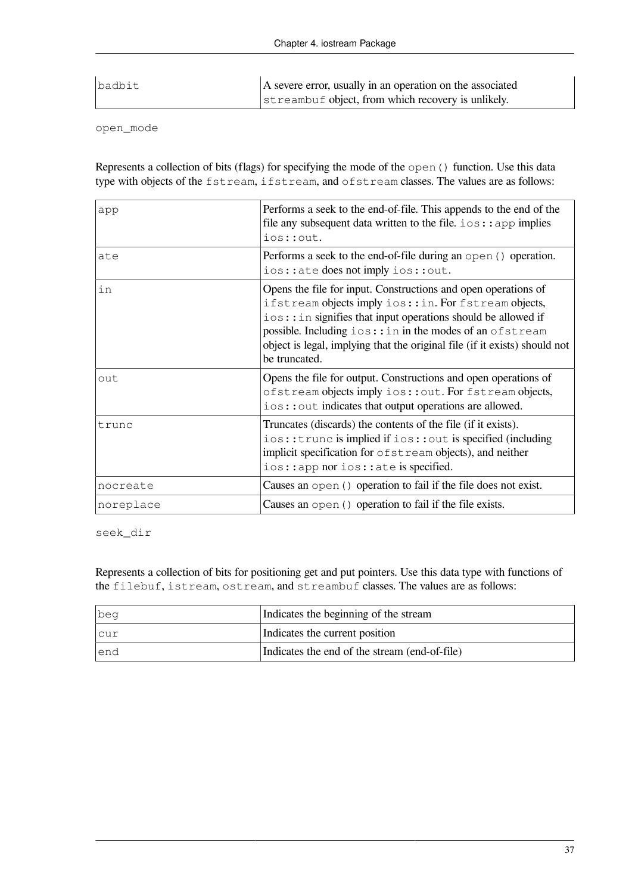| badbit | A severe error, usually in an operation on the associated |
|--------|-----------------------------------------------------------|
|        | streambuf object, from which recovery is unlikely.        |

open\_mode

Represents a collection of bits (flags) for specifying the mode of the open() function. Use this data type with objects of the fstream, ifstream, and ofstream classes. The values are as follows:

| app       | Performs a seek to the end-of-file. This appends to the end of the<br>file any subsequent data written to the file. $\log$ : : app implies<br>ios:: out.                                                                                                                                                                                           |
|-----------|----------------------------------------------------------------------------------------------------------------------------------------------------------------------------------------------------------------------------------------------------------------------------------------------------------------------------------------------------|
| ate       | Performs a seek to the end-of-file during an open () operation.<br>ios:: ate does not imply ios:: out.                                                                                                                                                                                                                                             |
| in        | Opens the file for input. Constructions and open operations of<br>ifstream objects imply ios::in. For fstream objects,<br>ios: : in signifies that input operations should be allowed if<br>possible. Including ios::in in the modes of an ofstream<br>object is legal, implying that the original file (if it exists) should not<br>be truncated. |
| out       | Opens the file for output. Constructions and open operations of<br>ofstream objects imply ios:: out. For fstream objects,<br>ios:: out indicates that output operations are allowed.                                                                                                                                                               |
| trunc     | Truncates (discards) the contents of the file (if it exists).<br>ios::trunc is implied if ios::out is specified (including<br>implicit specification for ofstream objects), and neither<br>ios::app nor ios::ate is specified.                                                                                                                     |
| nocreate  | Causes an open () operation to fail if the file does not exist.                                                                                                                                                                                                                                                                                    |
| noreplace | Causes an open () operation to fail if the file exists.                                                                                                                                                                                                                                                                                            |

seek\_dir

Represents a collection of bits for positioning get and put pointers. Use this data type with functions of the filebuf, istream, ostream, and streambuf classes. The values are as follows:

| beg   | Indicates the beginning of the stream         |
|-------|-----------------------------------------------|
| cur - | Indicates the current position                |
| lend  | Indicates the end of the stream (end-of-file) |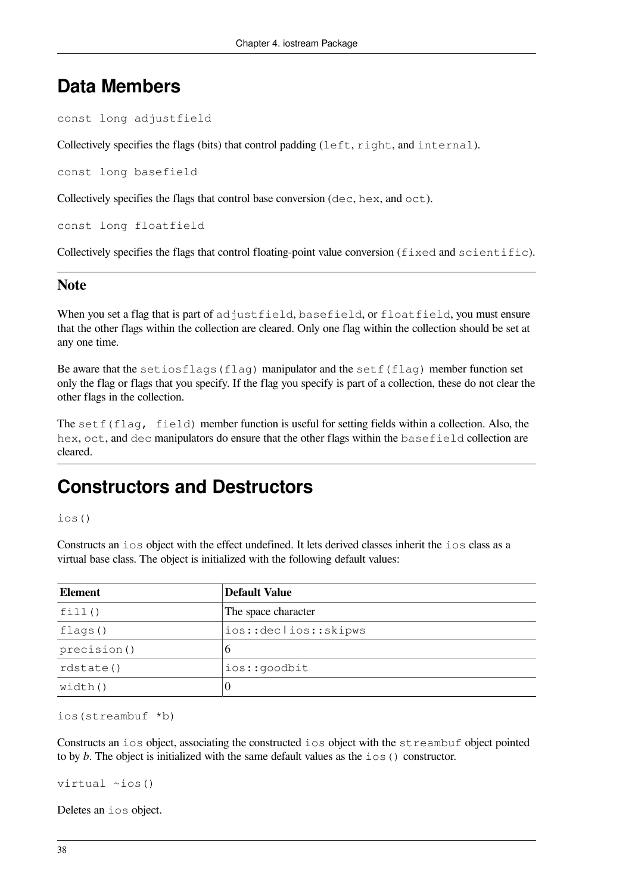#### **Data Members**

```
const long adjustfield
```
Collectively specifies the flags (bits) that control padding (left, right, and internal).

const long basefield

Collectively specifies the flags that control base conversion (dec, hex, and oct).

const long floatfield

Collectively specifies the flags that control floating-point value conversion (fixed and scientific).

#### **Note**

When you set a flag that is part of adjustfield, basefield, or floatfield, you must ensure that the other flags within the collection are cleared. Only one flag within the collection should be set at any one time.

Be aware that the setiosflags (flag) manipulator and the setf(flag) member function set only the flag or flags that you specify. If the flag you specify is part of a collection, these do not clear the other flags in the collection.

The setf(flag, field) member function is useful for setting fields within a collection. Also, the hex, oct, and dec manipulators do ensure that the other flags within the basefield collection are cleared.

#### **Constructors and Destructors**

ios()

Constructs an ios object with the effect undefined. It lets derived classes inherit the ios class as a virtual base class. The object is initialized with the following default values:

| <b>Element</b> | <b>Default Value</b> |
|----------------|----------------------|
| fill()         | The space character  |
| flags()        | ios::declios::skipws |
| precision()    | 6                    |
| rdstate()      | ios::goodbit         |
| width()        | $\theta$             |

ios(streambuf \*b)

Constructs an ios object, associating the constructed ios object with the streambuf object pointed to by *b*. The object is initialized with the same default values as the ios() constructor.

virtual ~ios()

Deletes an ios object.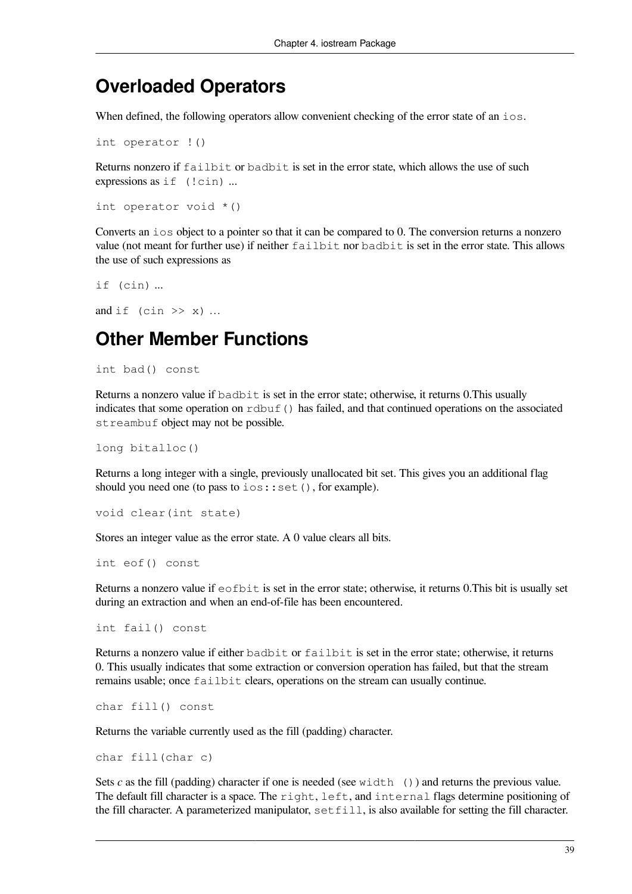#### **Overloaded Operators**

When defined, the following operators allow convenient checking of the error state of an ios.

int operator !()

Returns nonzero if failbit or badbit is set in the error state, which allows the use of such expressions as if (!cin) ...

```
int operator void *()
```
Converts an ios object to a pointer so that it can be compared to 0. The conversion returns a nonzero value (not meant for further use) if neither failbit nor badbit is set in the error state. This allows the use of such expressions as

```
if (cin) ...
```

```
and if (cin \gg x) ...
```
#### **Other Member Functions**

int bad() const

Returns a nonzero value if badbit is set in the error state; otherwise, it returns 0.This usually indicates that some operation on rdbuf() has failed, and that continued operations on the associated streambuf object may not be possible.

```
long bitalloc()
```
Returns a long integer with a single, previously unallocated bit set. This gives you an additional flag should you need one (to pass to ios::set(), for example).

```
void clear(int state)
```
Stores an integer value as the error state. A 0 value clears all bits.

int eof() const

Returns a nonzero value if  $e^{\phi}$  example is set in the error state; otherwise, it returns 0. This bit is usually set during an extraction and when an end-of-file has been encountered.

int fail() const

Returns a nonzero value if either badbit or failbit is set in the error state; otherwise, it returns 0. This usually indicates that some extraction or conversion operation has failed, but that the stream remains usable; once failbit clears, operations on the stream can usually continue.

```
char fill() const
```
Returns the variable currently used as the fill (padding) character.

```
char fill(char c)
```
Sets *c* as the fill (padding) character if one is needed (see width ()) and returns the previous value. The default fill character is a space. The right, left, and internal flags determine positioning of the fill character. A parameterized manipulator,  $\text{setfill}$ , is also available for setting the fill character.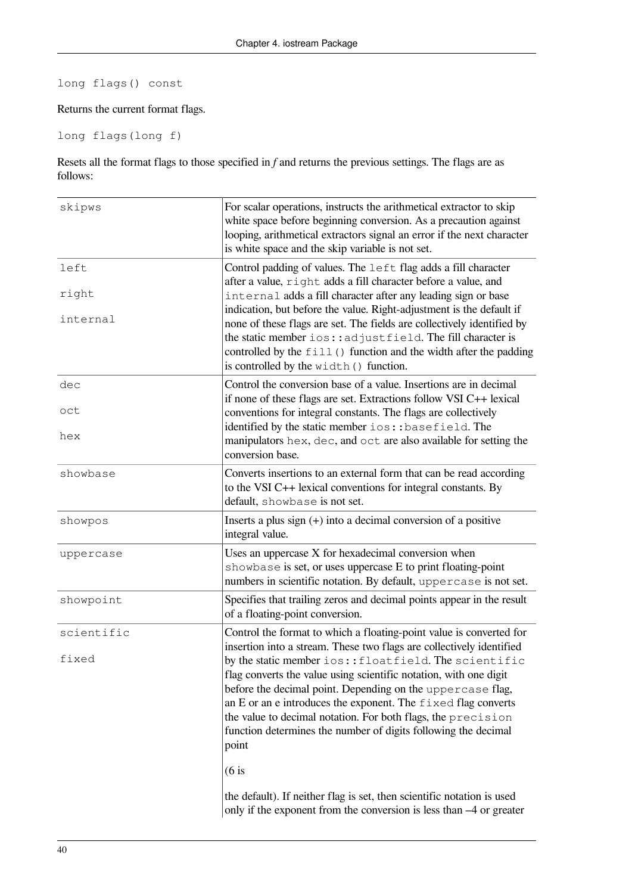#### long flags() const

#### Returns the current format flags.

#### long flags(long f)

Resets all the format flags to those specified in *f* and returns the previous settings. The flags are as follows:

| skipws            | For scalar operations, instructs the arithmetical extractor to skip<br>white space before beginning conversion. As a precaution against<br>looping, arithmetical extractors signal an error if the next character<br>is white space and the skip variable is not set.                                                                                                                                |
|-------------------|------------------------------------------------------------------------------------------------------------------------------------------------------------------------------------------------------------------------------------------------------------------------------------------------------------------------------------------------------------------------------------------------------|
| left              | Control padding of values. The left flag adds a fill character<br>after a value, right adds a fill character before a value, and                                                                                                                                                                                                                                                                     |
| right<br>internal | internal adds a fill character after any leading sign or base<br>indication, but before the value. Right-adjustment is the default if<br>none of these flags are set. The fields are collectively identified by<br>the static member ios:: adjustfield. The fill character is<br>controlled by the fill () function and the width after the padding<br>is controlled by the width () function.       |
| dec<br>oct        | Control the conversion base of a value. Insertions are in decimal<br>if none of these flags are set. Extractions follow VSI C++ lexical<br>conventions for integral constants. The flags are collectively<br>identified by the static member ios:: basefield. The                                                                                                                                    |
| hex               | manipulators hex, dec, and oct are also available for setting the<br>conversion base.                                                                                                                                                                                                                                                                                                                |
| showbase          | Converts insertions to an external form that can be read according<br>to the VSI C++ lexical conventions for integral constants. By<br>default, showbase is not set.                                                                                                                                                                                                                                 |
| showpos           | Inserts a plus sign $(+)$ into a decimal conversion of a positive<br>integral value.                                                                                                                                                                                                                                                                                                                 |
| uppercase         | Uses an uppercase X for hexadecimal conversion when<br>showbase is set, or uses uppercase E to print floating-point<br>numbers in scientific notation. By default, uppercase is not set.                                                                                                                                                                                                             |
| showpoint         | Specifies that trailing zeros and decimal points appear in the result<br>of a floating-point conversion.                                                                                                                                                                                                                                                                                             |
| scientific        | Control the format to which a floating-point value is converted for<br>insertion into a stream. These two flags are collectively identified                                                                                                                                                                                                                                                          |
| fixed             | by the static member ios:: floatfield. The scientific<br>flag converts the value using scientific notation, with one digit<br>before the decimal point. Depending on the uppercase flag,<br>an E or an e introduces the exponent. The fixed flag converts<br>the value to decimal notation. For both flags, the precision<br>function determines the number of digits following the decimal<br>point |
|                   | $(6$ is                                                                                                                                                                                                                                                                                                                                                                                              |
|                   | the default). If neither flag is set, then scientific notation is used<br>only if the exponent from the conversion is less than -4 or greater                                                                                                                                                                                                                                                        |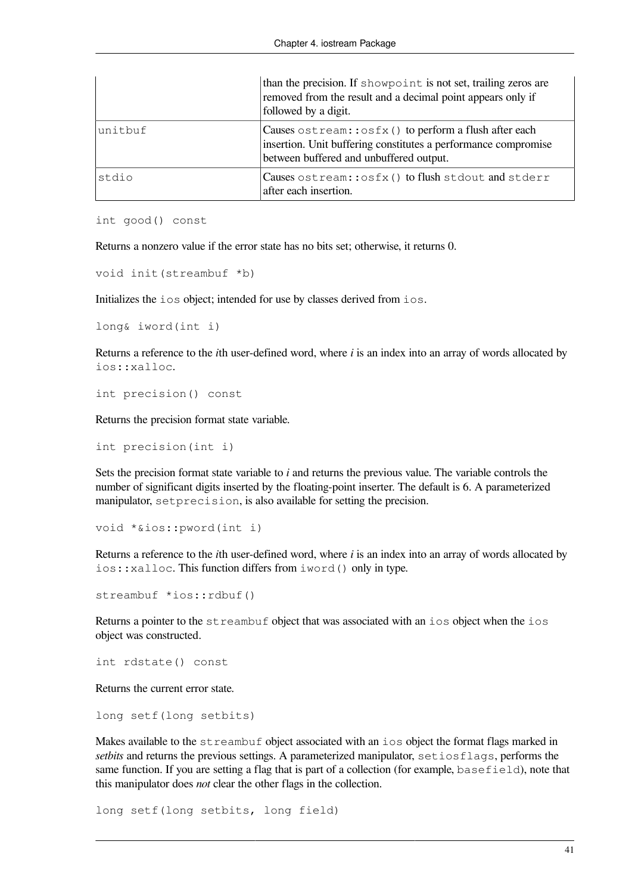|          | than the precision. If showpoint is not set, trailing zeros are<br>removed from the result and a decimal point appears only if<br>followed by a digit.             |
|----------|--------------------------------------------------------------------------------------------------------------------------------------------------------------------|
| lunitbuf | Causes ostream:: osfx() to perform a flush after each<br>insertion. Unit buffering constitutes a performance compromise<br>between buffered and unbuffered output. |
| stdio    | Causes ostream:: osfx() to flush stdout and stderr<br>after each insertion.                                                                                        |

```
int good() const
```
Returns a nonzero value if the error state has no bits set; otherwise, it returns 0.

```
void init(streambuf *b)
```
Initializes the ios object; intended for use by classes derived from ios.

```
long& iword(int i)
```
Returns a reference to the *i*th user-defined word, where *i* is an index into an array of words allocated by ios::xalloc.

```
int precision() const
```
Returns the precision format state variable.

```
int precision(int i)
```
Sets the precision format state variable to *i* and returns the previous value. The variable controls the number of significant digits inserted by the floating-point inserter. The default is 6. A parameterized manipulator, setprecision, is also available for setting the precision.

```
void *&ios::pword(int i)
```
Returns a reference to the *i*th user-defined word, where *i* is an index into an array of words allocated by ios::xalloc. This function differs from iword() only in type.

streambuf \*ios::rdbuf()

Returns a pointer to the streambuf object that was associated with an ios object when the ios object was constructed.

int rdstate() const

Returns the current error state.

long setf(long setbits)

Makes available to the streambuf object associated with an ios object the format flags marked in *setbits* and returns the previous settings. A parameterized manipulator, setiosflags, performs the same function. If you are setting a flag that is part of a collection (for example, basefield), note that this manipulator does *not* clear the other flags in the collection.

long setf(long setbits, long field)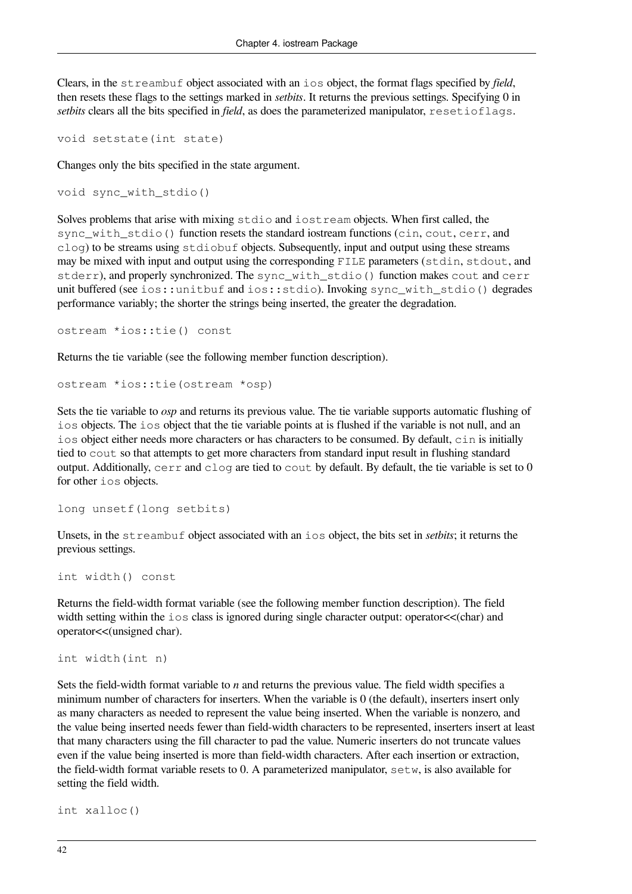Clears, in the streambuf object associated with an ios object, the format flags specified by *field*, then resets these flags to the settings marked in *setbits*. It returns the previous settings. Specifying 0 in *setbits* clears all the bits specified in *field*, as does the parameterized manipulator, resetioflags.

```
void setstate(int state)
```
Changes only the bits specified in the state argument.

```
void sync_with_stdio()
```
Solves problems that arise with mixing stdio and iostream objects. When first called, the sync\_with\_stdio() function resets the standard iostream functions (cin, cout, cerr, and clog) to be streams using stdiobuf objects. Subsequently, input and output using these streams may be mixed with input and output using the corresponding FILE parameters (stdin, stdout, and stderr), and properly synchronized. The sync with stdio() function makes cout and cerr unit buffered (see ios::unitbuf and ios::stdio). Invoking sync\_with\_stdio() degrades performance variably; the shorter the strings being inserted, the greater the degradation.

```
ostream *ios::tie() const
```
Returns the tie variable (see the following member function description).

```
ostream *ios::tie(ostream *osp)
```
Sets the tie variable to *osp* and returns its previous value. The tie variable supports automatic flushing of ios objects. The ios object that the tie variable points at is flushed if the variable is not null, and an ios object either needs more characters or has characters to be consumed. By default, cin is initially tied to cout so that attempts to get more characters from standard input result in flushing standard output. Additionally, cerr and clog are tied to cout by default. By default, the tie variable is set to 0 for other ios objects.

```
long unsetf(long setbits)
```
Unsets, in the streambuf object associated with an ios object, the bits set in *setbits*; it returns the previous settings.

```
int width() const
```
Returns the field-width format variable (see the following member function description). The field width setting within the ios class is ignored during single character output: operator  $\lt$  (char) and operator<<(unsigned char).

```
int width(int n)
```
Sets the field-width format variable to *n* and returns the previous value. The field width specifies a minimum number of characters for inserters. When the variable is 0 (the default), inserters insert only as many characters as needed to represent the value being inserted. When the variable is nonzero, and the value being inserted needs fewer than field-width characters to be represented, inserters insert at least that many characters using the fill character to pad the value. Numeric inserters do not truncate values even if the value being inserted is more than field-width characters. After each insertion or extraction, the field-width format variable resets to 0. A parameterized manipulator,  $s \in \mathbb{U}$ , is also available for setting the field width.

```
int xalloc()
```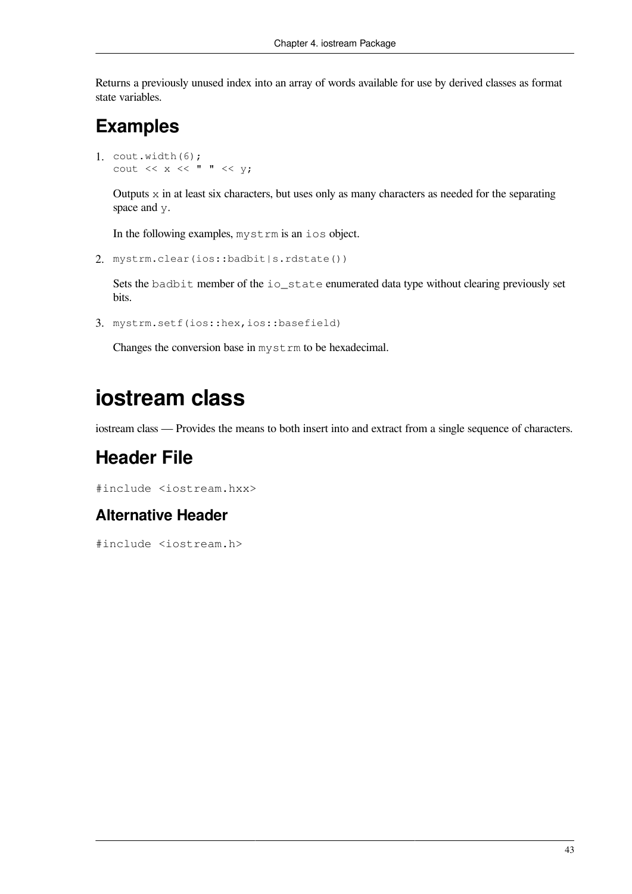Returns a previously unused index into an array of words available for use by derived classes as format state variables.

#### **Examples**

```
1. \text{count}.\text{width}(6);cout << x << \rightharpoonup " << y;
```
Outputs  $x$  in at least six characters, but uses only as many characters as needed for the separating space and y.

In the following examples, mystrm is an ios object.

2. mystrm.clear(ios::badbit|s.rdstate())

Sets the badbit member of the io\_state enumerated data type without clearing previously set bits.

3. mystrm.setf(ios::hex,ios::basefield)

Changes the conversion base in mystrm to be hexadecimal.

# **iostream class**

iostream class — Provides the means to both insert into and extract from a single sequence of characters.

#### **Header File**

#include <iostream.hxx>

#### **Alternative Header**

#include <iostream.h>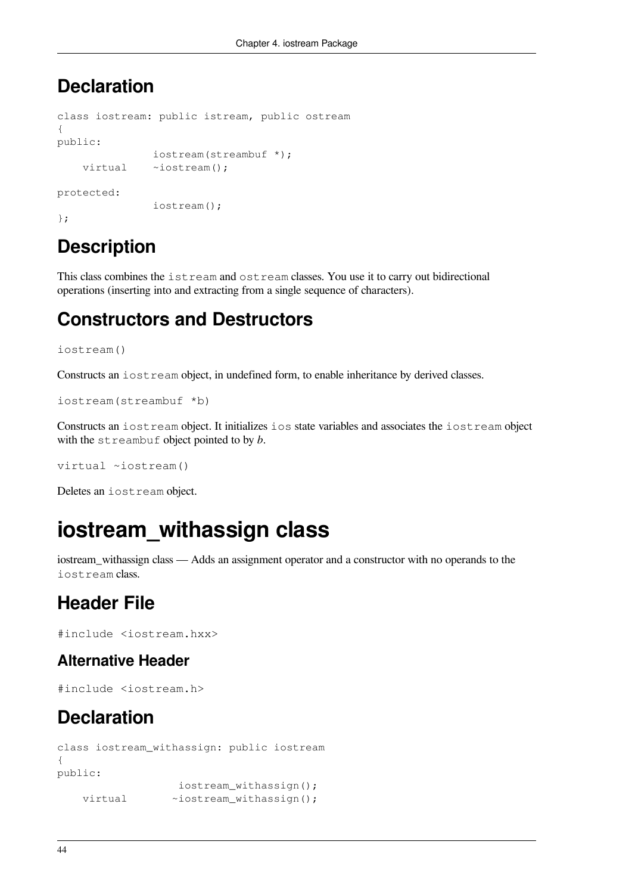#### **Declaration**

```
class iostream: public istream, public ostream
{
public:
                iostream(streambuf *);
    virtual ~iostream();
protected:
                iostream();
```
};

# **Description**

This class combines the istream and ostream classes. You use it to carry out bidirectional operations (inserting into and extracting from a single sequence of characters).

### **Constructors and Destructors**

```
iostream()
```
Constructs an iostream object, in undefined form, to enable inheritance by derived classes.

```
iostream(streambuf *b)
```
Constructs an iostream object. It initializes ios state variables and associates the iostream object with the streambuf object pointed to by *b*.

virtual ~iostream()

Deletes an iostream object.

# **iostream\_withassign class**

iostream\_withassign class — Adds an assignment operator and a constructor with no operands to the iostream class.

## **Header File**

#include <iostream.hxx>

#### **Alternative Header**

#include <iostream.h>

## **Declaration**

```
class iostream_withassign: public iostream
{
public:
                   iostream_withassign();
   virtual ~iostream_withassign();
```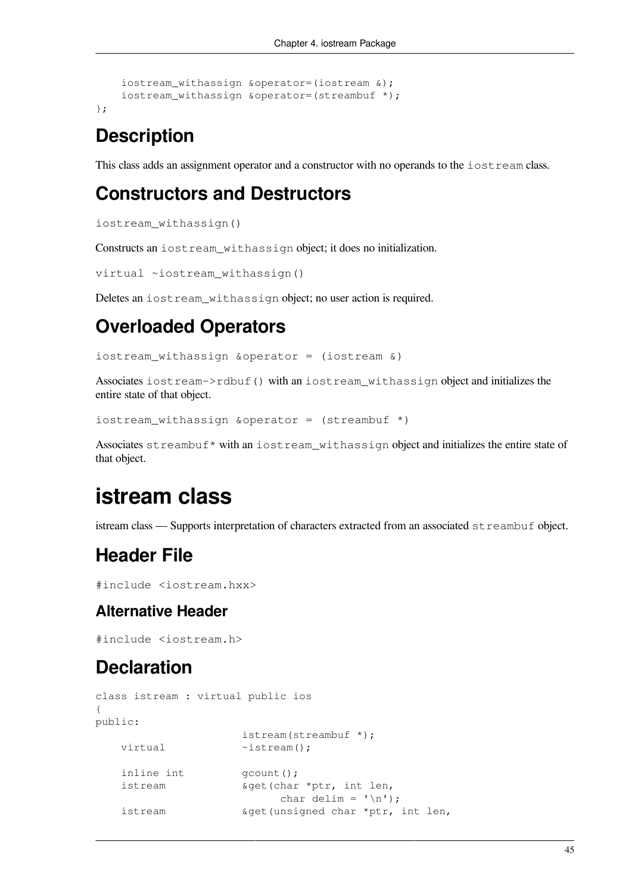```
 iostream_withassign &operator=(iostream &);
 iostream_withassign &operator=(streambuf *);
```
};

## **Description**

This class adds an assignment operator and a constructor with no operands to the iostream class.

#### **Constructors and Destructors**

iostream\_withassign()

Constructs an iostream\_withassign object; it does no initialization.

```
virtual ~iostream_withassign()
```
Deletes an iostream\_withassign object; no user action is required.

### **Overloaded Operators**

```
iostream_withassign &operator = (iostream &)
```
Associates iostream->rdbuf() with an iostream\_withassign object and initializes the entire state of that object.

```
iostream_withassign &operator = (streambuf *)
```
Associates streambuf\* with an iostream\_withassign object and initializes the entire state of that object.

# **istream class**

istream class — Supports interpretation of characters extracted from an associated  $str$ eambuf object.

## **Header File**

```
#include <iostream.hxx>
```
#### **Alternative Header**

#include <iostream.h>

### **Declaration**

```
class istream : virtual public ios
{
public:
                       istream(streambuf *);
   virtual \simistream();
   inline int \qquad \qquad \text{qcount}();
    istream &get(char *ptr, int len,
                            char delim = '\n\ln);
    istream &get(unsigned char *ptr, int len,
```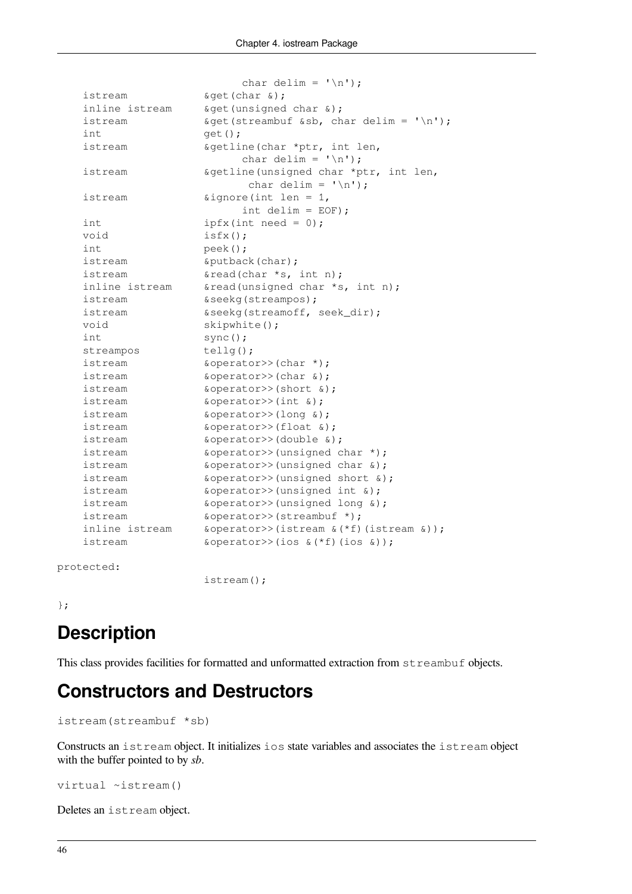|                | char delim = $'\n\ln'$ );                                                          |
|----------------|------------------------------------------------------------------------------------|
| istream        | $\texttt{sqrt}(\texttt{char} \ \&)$ ;                                              |
| inline istream | &get (unsigned char &);                                                            |
| istream        | $\text{kget}(\text{streambuf} \text{ssb}, \text{char} \text{delim} = \text{'\n'};$ |
| int            | $get()$ ;                                                                          |
| istream        | &getline(char *ptr, int len,                                                       |
|                | char delim = $'\n\ln'$ );                                                          |
| istream        | &getline(unsigned char *ptr, int len,                                              |
|                | char delim = $'\n\ln'$ );                                                          |
| istream        | $\text{signore}(\text{int len} = 1,$                                               |
|                | int delim = $EOF$ );                                                               |
| int            | $ipfx(int need = 0);$                                                              |
| void           | $isfx()$ ;                                                                         |
| int.           | $peek()$ ;                                                                         |
| istream        | &putback(char);                                                                    |
| istream        | &read(char *s, int n);                                                             |
| inline istream | &read(unsigned char *s, int n);                                                    |
| istream        | &seekg(streampos);                                                                 |
| istream        | &seekg(streamoff, seek_dir);                                                       |
| void           | skipwhite();                                                                       |
| int            | $sync()$ ;                                                                         |
| streampos      | $tellq()$ ;                                                                        |
| istream        | &operator>>(char *);                                                               |
| istream        | $\&\text{operator}\$ (char $\&\text{)}$ ;                                          |
| istream        | &operator>>(short &);                                                              |
| istream        | $\&\text{operator}>>(\text{int }\&);\;$                                            |
| istream        | $\&\text{operator}\n> (long \&);$                                                  |
| istream        | $\&operator$ ); $\&operatorname{operator}>>( \text{float } \& )$                   |
| istream        | &operator>>(double &);                                                             |
| istream        | &operator>>(unsigned char *);                                                      |
| istream        | &operator>>(unsigned char &);                                                      |
| istream        | &operator>>(unsigned short &);                                                     |
| istream        | $\&operatorname{operator}>>$ (unsigned int $\&$ );                                 |
| istream        | &operator>>(unsigned long &);                                                      |
| istream        | &operator>>(streambuf *);                                                          |
| inline istream | $\&operator$ ) (istream $\&$ (*f) (istream $\&$ ) ;                                |
| istream        | $\&\text{operator}\n\geq\&\text{operator}\n\geq\&\text{(ios < f) (ios < 0)}$       |

protected:

istream();

};

# **Description**

This class provides facilities for formatted and unformatted extraction from  $str$ e ambuf objects.

#### **Constructors and Destructors**

```
istream(streambuf *sb)
```
Constructs an istream object. It initializes ios state variables and associates the istream object with the buffer pointed to by *sb*.

```
virtual ~istream()
```
Deletes an istream object.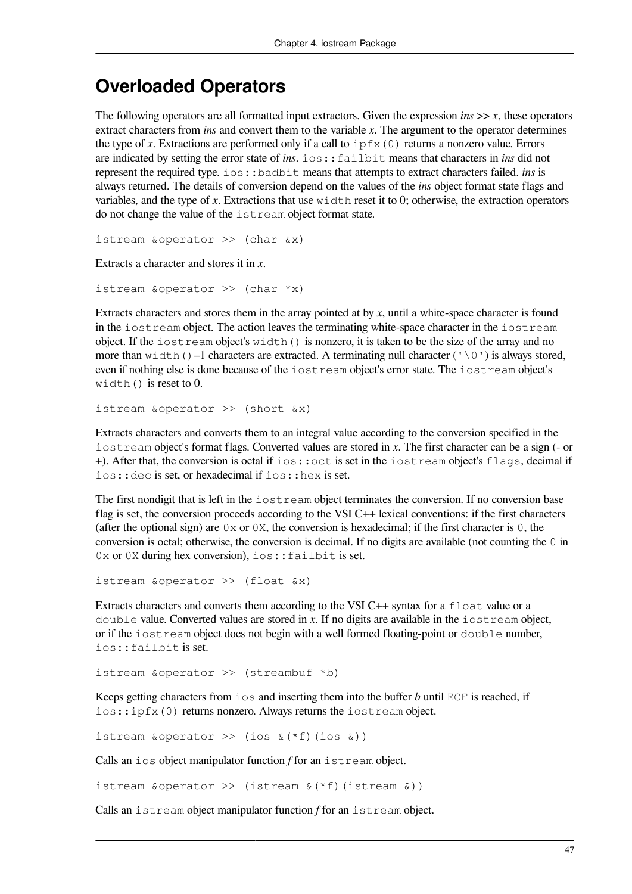#### **Overloaded Operators**

The following operators are all formatted input extractors. Given the expression *ins*  $\gg$  *x*, these operators extract characters from *ins* and convert them to the variable *x*. The argument to the operator determines the type of *x*. Extractions are performed only if a call to  $ipfx(0)$  returns a nonzero value. Errors are indicated by setting the error state of *ins*. ios::failbit means that characters in *ins* did not represent the required type. ios::badbit means that attempts to extract characters failed. *ins* is always returned. The details of conversion depend on the values of the *ins* object format state flags and variables, and the type of *x*. Extractions that use width reset it to 0; otherwise, the extraction operators do not change the value of the istream object format state.

istream &operator >> (char &x)

Extracts a character and stores it in *x*.

istream &operator >> (char \*x)

Extracts characters and stores them in the array pointed at by *x*, until a white-space character is found in the iostream object. The action leaves the terminating white-space character in the iostream object. If the  $i$ ostream object's width() is nonzero, it is taken to be the size of the array and no more than width()–1 characters are extracted. A terminating null character (' $\Diamond$ ') is always stored, even if nothing else is done because of the iostream object's error state. The iostream object's width() is reset to 0.

istream &operator >> (short &x)

Extracts characters and converts them to an integral value according to the conversion specified in the iostream object's format flags. Converted values are stored in *x*. The first character can be a sign (- or +). After that, the conversion is octal if ios::oct is set in the iostream object's flags, decimal if ios::dec is set, or hexadecimal if ios::hex is set.

The first nondigit that is left in the iostream object terminates the conversion. If no conversion base flag is set, the conversion proceeds according to the VSI C++ lexical conventions: if the first characters (after the optional sign) are  $0 \times$  or  $0 \times$ , the conversion is hexadecimal; if the first character is 0, the conversion is octal; otherwise, the conversion is decimal. If no digits are available (not counting the 0 in 0x or 0X during hex conversion), ios:: failbit is set.

istream &operator >> (float &x)

Extracts characters and converts them according to the VSI C++ syntax for a float value or a double value. Converted values are stored in *x*. If no digits are available in the iostream object, or if the iostream object does not begin with a well formed floating-point or double number, ios::failbit is set.

istream &operator >> (streambuf \*b)

Keeps getting characters from ios and inserting them into the buffer *b* until EOF is reached, if ios::ipfx(0) returns nonzero. Always returns the iostream object.

istream &operator >> (ios &(\*f)(ios &))

Calls an ios object manipulator function *f* for an istream object.

istream &operator >> (istream &(\*f)(istream &))

Calls an istream object manipulator function *f* for an istream object.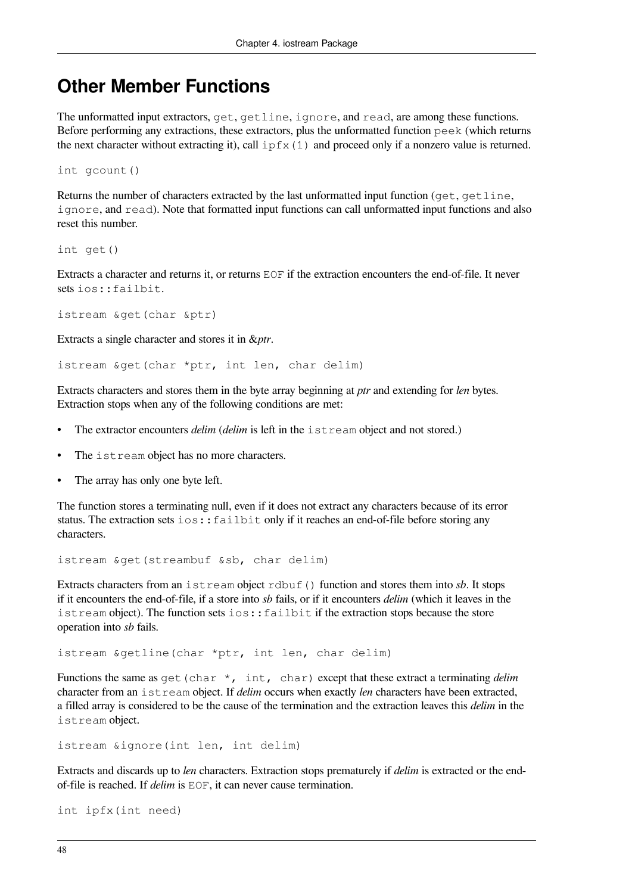#### **Other Member Functions**

The unformatted input extractors, get, getline, ignore, and read, are among these functions. Before performing any extractions, these extractors, plus the unformatted function peek (which returns the next character without extracting it), call  $ipfx(1)$  and proceed only if a nonzero value is returned.

int gcount()

Returns the number of characters extracted by the last unformatted input function ( $get, getline$ ), ignore, and read). Note that formatted input functions can call unformatted input functions and also reset this number.

int get()

Extracts a character and returns it, or returns EOF if the extraction encounters the end-of-file. It never sets ios::failbit.

istream &get(char &ptr)

Extracts a single character and stores it in &*ptr*.

istream &get(char \*ptr, int len, char delim)

Extracts characters and stores them in the byte array beginning at *ptr* and extending for *len* bytes. Extraction stops when any of the following conditions are met:

- The extractor encounters *delim* (*delim* is left in the istream object and not stored.)
- The istream object has no more characters.
- The array has only one byte left.

The function stores a terminating null, even if it does not extract any characters because of its error status. The extraction sets  $\text{i} \circ \text{s}:$   $\text{f} \text{a}$  il  $\text{b}$  it it reaches an end-of-file before storing any characters.

istream &get(streambuf &sb, char delim)

Extracts characters from an istream object rdbuf() function and stores them into *sb*. It stops if it encounters the end-of-file, if a store into *sb* fails, or if it encounters *delim* (which it leaves in the istream object). The function sets ios:: failbit if the extraction stops because the store operation into *sb* fails.

istream &getline(char \*ptr, int len, char delim)

Functions the same as get (char  $\star$ , int, char) except that these extract a terminating *delim* character from an istream object. If *delim* occurs when exactly *len* characters have been extracted, a filled array is considered to be the cause of the termination and the extraction leaves this *delim* in the istream object.

istream &ignore(int len, int delim)

Extracts and discards up to *len* characters. Extraction stops prematurely if *delim* is extracted or the endof-file is reached. If *delim* is EOF, it can never cause termination.

```
int ipfx(int need)
```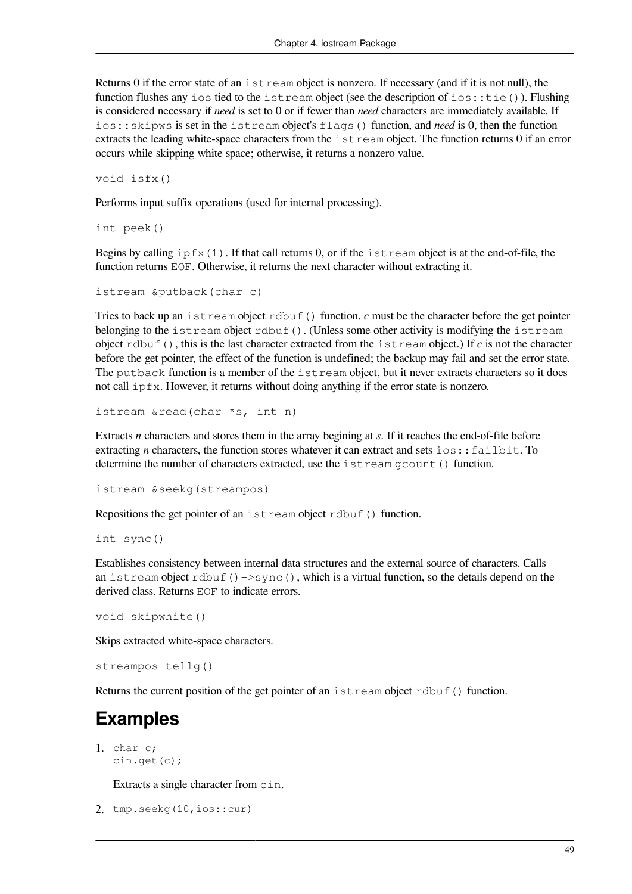Returns 0 if the error state of an istream object is nonzero. If necessary (and if it is not null), the function flushes any ios tied to the istream object (see the description of ios::tie()). Flushing is considered necessary if *need* is set to 0 or if fewer than *need* characters are immediately available. If ios::skipws is set in the istream object's flags() function, and *need* is 0, then the function extracts the leading white-space characters from the istream object. The function returns 0 if an error occurs while skipping white space; otherwise, it returns a nonzero value.

void isfx()

Performs input suffix operations (used for internal processing).

int peek()

Begins by calling  $ipfx(1)$ . If that call returns 0, or if the istream object is at the end-of-file, the function returns EOF. Otherwise, it returns the next character without extracting it.

```
istream &putback(char c)
```
Tries to back up an istream object rdbuf() function.  $c$  must be the character before the get pointer belonging to the istream object rdbuf(). (Unless some other activity is modifying the istream object rdbuf(), this is the last character extracted from the istream object.) If *c* is not the character before the get pointer, the effect of the function is undefined; the backup may fail and set the error state. The putback function is a member of the istream object, but it never extracts characters so it does not call ipfx. However, it returns without doing anything if the error state is nonzero.

istream &read(char \*s, int n)

Extracts *n* characters and stores them in the array begining at *s*. If it reaches the end-of-file before extracting *n* characters, the function stores whatever it can extract and sets ios:: failbit. To determine the number of characters extracted, use the istream gcount() function.

```
istream &seekg(streampos)
```
Repositions the get pointer of an istream object rdbuf() function.

int sync()

Establishes consistency between internal data structures and the external source of characters. Calls an istream object rdbuf()- $\ge$ sync(), which is a virtual function, so the details depend on the derived class. Returns EOF to indicate errors.

void skipwhite()

Skips extracted white-space characters.

streampos tellg()

Returns the current position of the get pointer of an  $\text{istream}\;$  object rdbuf() function.

#### **Examples**

1. char c; cin.get(c);

Extracts a single character from cin.

```
2. tmp.seekg(10,ios::cur)
```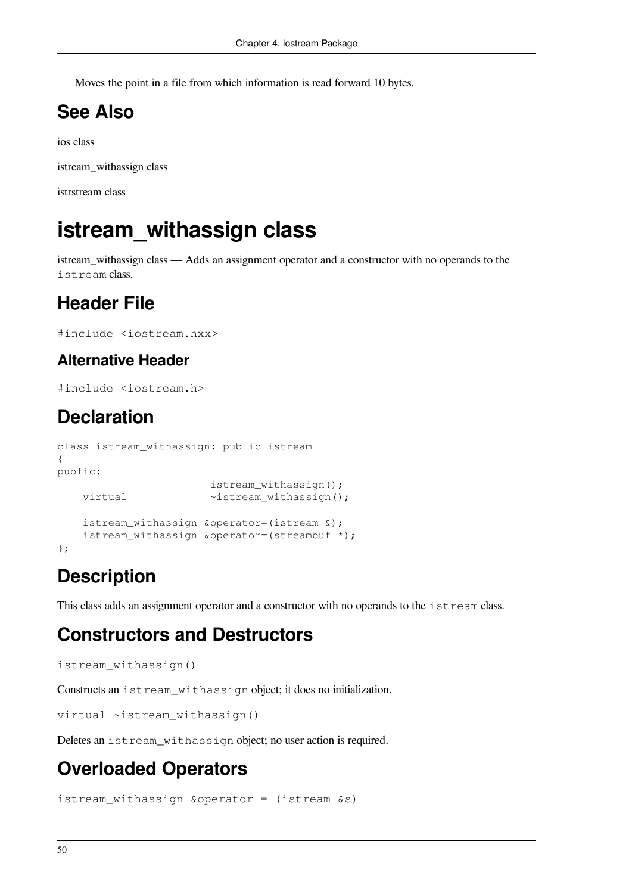Moves the point in a file from which information is read forward 10 bytes.

## **See Also**

ios class

istream\_withassign class

istrstream class

# **istream\_withassign class**

istream\_withassign class — Adds an assignment operator and a constructor with no operands to the istream class.

### **Header File**

```
#include <iostream.hxx>
```
#### **Alternative Header**

```
#include <iostream.h>
```
### **Declaration**

```
class istream_withassign: public istream
{
public:
                        istream_withassign();
   virtual \simistream_withassign();
     istream_withassign &operator=(istream &);
     istream_withassign &operator=(streambuf *);
};
```
## **Description**

This class adds an assignment operator and a constructor with no operands to the istream class.

#### **Constructors and Destructors**

```
istream_withassign()
```
Constructs an istream\_withassign object; it does no initialization.

```
virtual ~istream_withassign()
```
Deletes an istream withassign object; no user action is required.

# **Overloaded Operators**

istream\_withassign &operator = (istream &s)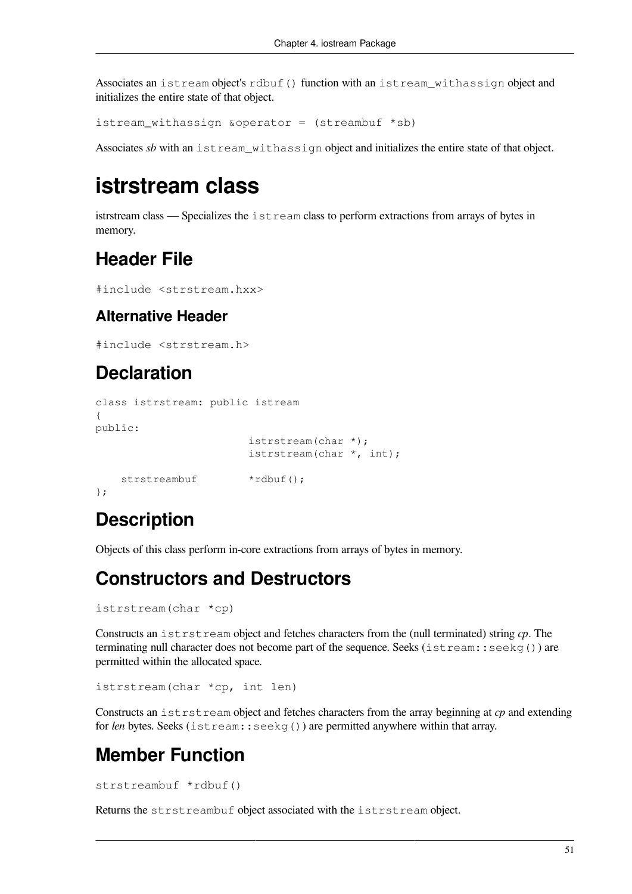Associates an istream object's rdbuf() function with an istream\_withassign object and initializes the entire state of that object.

istream\_withassign &operator =  $(\text{streambut *sb})$ 

Associates *sb* with an istream withassign object and initializes the entire state of that object.

## **istrstream class**

istrstream class — Specializes the istream class to perform extractions from arrays of bytes in memory.

# **Header File**

```
#include <strstream.hxx>
```
#### **Alternative Header**

```
#include <strstream.h>
```
#### **Declaration**

```
class istrstream: public istream
{
public:
                         istrstream(char *);
                         istrstream(char *, int);
    strstreambuf *rdbuf();
};
```
### **Description**

Objects of this class perform in-core extractions from arrays of bytes in memory.

#### **Constructors and Destructors**

```
istrstream(char *cp)
```
Constructs an istrstream object and fetches characters from the (null terminated) string *cp*. The terminating null character does not become part of the sequence. Seeks (istream::seekg()) are permitted within the allocated space.

```
istrstream(char *cp, int len)
```
Constructs an istrstream object and fetches characters from the array beginning at *cp* and extending for *len* bytes. Seeks (istream::seekg()) are permitted anywhere within that array.

### **Member Function**

```
strstreambuf *rdbuf()
```
Returns the strstreambuf object associated with the istrstream object.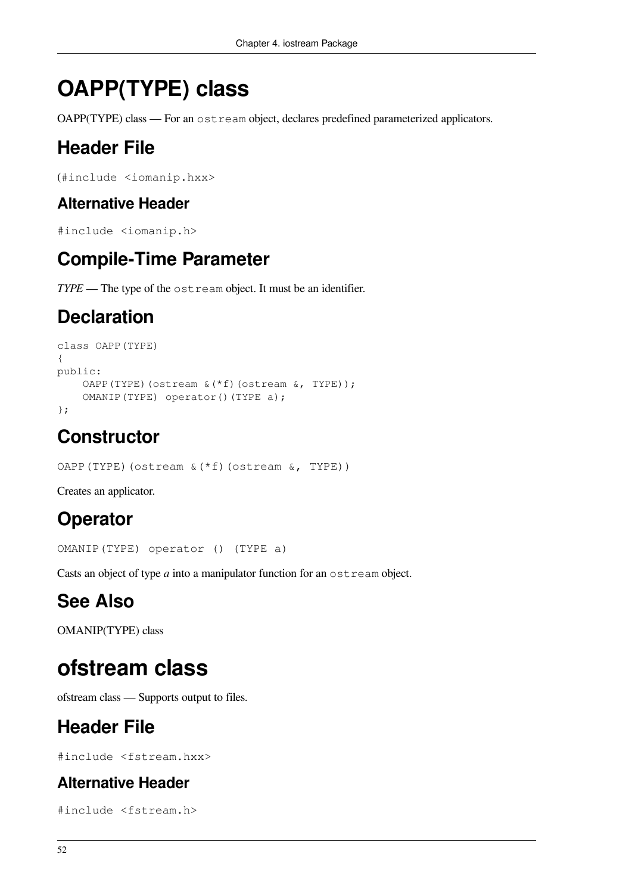# **OAPP(TYPE) class**

OAPP(TYPE) class — For an ostream object, declares predefined parameterized applicators.

# **Header File**

```
(#include <iomanip.hxx>
```
#### **Alternative Header**

```
#include <iomanip.h>
```
### **Compile-Time Parameter**

*TYPE* — The type of the ostream object. It must be an identifier.

## **Declaration**

```
class OAPP(TYPE)
{
public:
    OAPP(TYPE)(ostream &(*f)(ostream &, TYPE));
     OMANIP(TYPE) operator()(TYPE a);
};
```
## **Constructor**

```
OAPP(TYPE)(ostream &(*f)(ostream &, TYPE))
```
Creates an applicator.

# **Operator**

OMANIP(TYPE) operator () (TYPE a)

Casts an object of type *a* into a manipulator function for an ostream object.

# **See Also**

OMANIP(TYPE) class

# **ofstream class**

ofstream class — Supports output to files.

# **Header File**

#include <fstream.hxx>

#### **Alternative Header**

#include <fstream.h>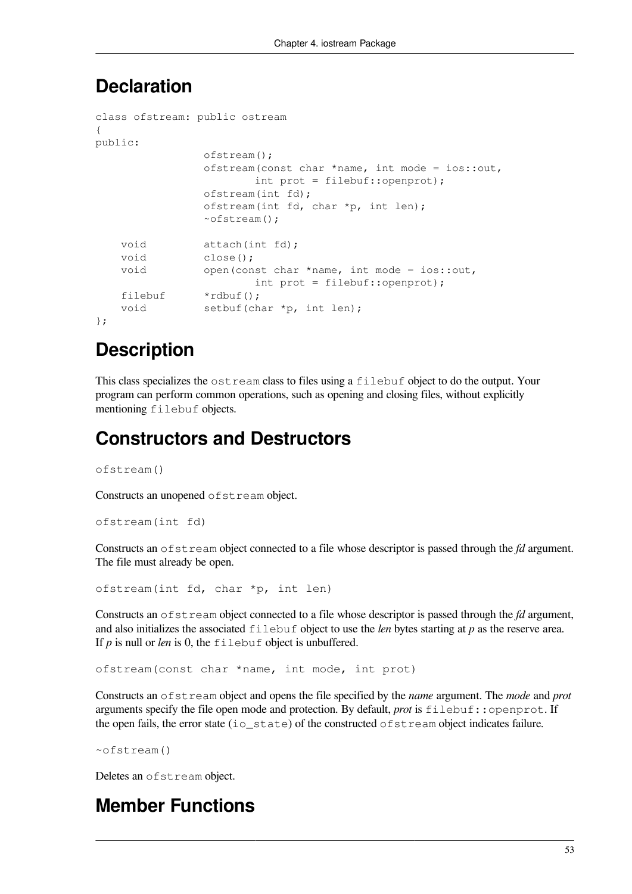#### **Declaration**

```
class ofstream: public ostream
{
public:
                 ofstream();
                 ofstream(const char *name, int mode = ios::out,
                        int prot = filebuf::openprot);
                 ofstream(int fd);
                 ofstream(int fd, char *p, int len);
                 ~ofstream();
   void attach(int fd);
    void close();
    void open(const char *name, int mode = ios::out,
                        int prot = filebuf::openprot);
   filebuf *rdbuf();
   void setbuf(char *p, int len);
};
```
## **Description**

This class specializes the ostream class to files using a filebuf object to do the output. Your program can perform common operations, such as opening and closing files, without explicitly mentioning filebuf objects.

#### **Constructors and Destructors**

ofstream()

Constructs an unopened ofstream object.

ofstream(int fd)

Constructs an ofstream object connected to a file whose descriptor is passed through the *fd* argument. The file must already be open.

```
ofstream(int fd, char *p, int len)
```
Constructs an ofstream object connected to a file whose descriptor is passed through the *fd* argument, and also initializes the associated filebuf object to use the *len* bytes starting at *p* as the reserve area. If *p* is null or *len* is 0, the filebuf object is unbuffered.

ofstream(const char \*name, int mode, int prot)

Constructs an ofstream object and opens the file specified by the *name* argument. The *mode* and *prot* arguments specify the file open mode and protection. By default, *prot* is filebuf::openprot. If the open fails, the error state (io\_state) of the constructed ofstream object indicates failure.

~ofstream()

Deletes an ofstream object.

#### **Member Functions**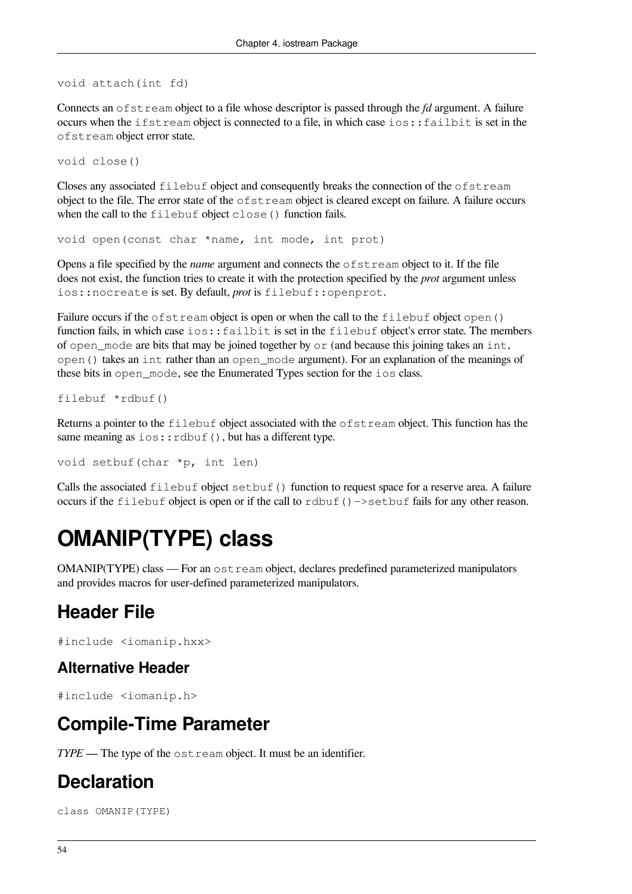void attach(int fd)

Connects an ofstream object to a file whose descriptor is passed through the *fd* argument. A failure occurs when the ifstream object is connected to a file, in which case ios::failbit is set in the ofstream object error state.

void close()

Closes any associated filebuf object and consequently breaks the connection of the ofstream object to the file. The error state of the ofstream object is cleared except on failure. A failure occurs when the call to the filebuf object close () function fails.

void open(const char \*name, int mode, int prot)

Opens a file specified by the *name* argument and connects the ofstream object to it. If the file does not exist, the function tries to create it with the protection specified by the *prot* argument unless ios::nocreate is set. By default, *prot* is filebuf::openprot.

Failure occurs if the ofstream object is open or when the call to the filebuf object open() function fails, in which case ios:: failbit is set in the filebuf object's error state. The members of open mode are bits that may be joined together by or (and because this joining takes an int, open() takes an int rather than an open\_mode argument). For an explanation of the meanings of these bits in open\_mode, see the Enumerated Types section for the ios class.

filebuf \*rdbuf()

Returns a pointer to the  $f \perp b$  object associated with the  $f \perp b$  set ream object. This function has the same meaning as  $ios::rdbuf()$ , but has a different type.

void setbuf(char \*p, int len)

Calls the associated  $filebut object setbuf()$  function to request space for a reserve area. A failure occurs if the filebuf object is open or if the call to rdbuf()->setbuf fails for any other reason.

# **OMANIP(TYPE) class**

OMANIP(TYPE) class — For an ostream object, declares predefined parameterized manipulators and provides macros for user-defined parameterized manipulators.

#### **Header File**

#include <iomanip.hxx>

#### **Alternative Header**

#include <iomanip.h>

#### **Compile-Time Parameter**

*TYPE* — The type of the ost ream object. It must be an identifier.

#### **Declaration**

class OMANIP(TYPE)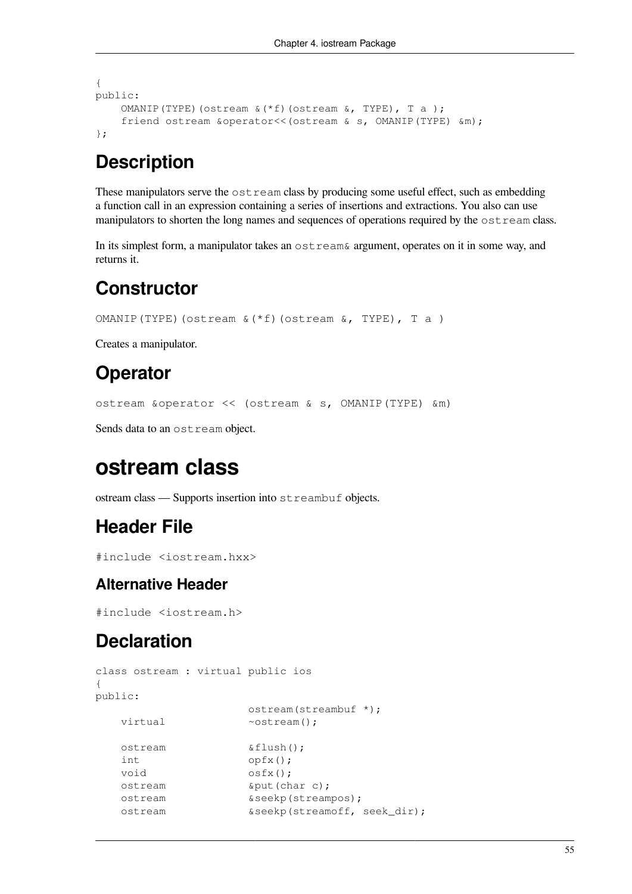```
{
public:
     OMANIP(TYPE)(ostream &(*f)(ostream &, TYPE), T a );
     friend ostream &operator<<(ostream & s, OMANIP(TYPE) &m);
};
```
#### **Description**

These manipulators serve the ostream class by producing some useful effect, such as embedding a function call in an expression containing a series of insertions and extractions. You also can use manipulators to shorten the long names and sequences of operations required by the ostream class.

In its simplest form, a manipulator takes an ostream& argument, operates on it in some way, and returns it.

#### **Constructor**

```
OMANIP(TYPE)(ostream &(*f)(ostream &, TYPE), T a )
```
Creates a manipulator.

#### **Operator**

ostream &operator << (ostream & s, OMANIP(TYPE) &m)

Sends data to an ostream object.

## **ostream class**

ostream class — Supports insertion into streambuf objects.

#### **Header File**

```
#include <iostream.hxx>
```
#### **Alternative Header**

#include <iostream.h>

#### **Declaration**

```
class ostream : virtual public ios
{
public:
                   ostream(streambuf *);
   virtual \simostream();
    ostream &flush();
    int opfx();
   void \circsfx();
    ostream &put(char c);
    ostream &seekp(streampos);
    ostream &seekp(streamoff, seek_dir);
```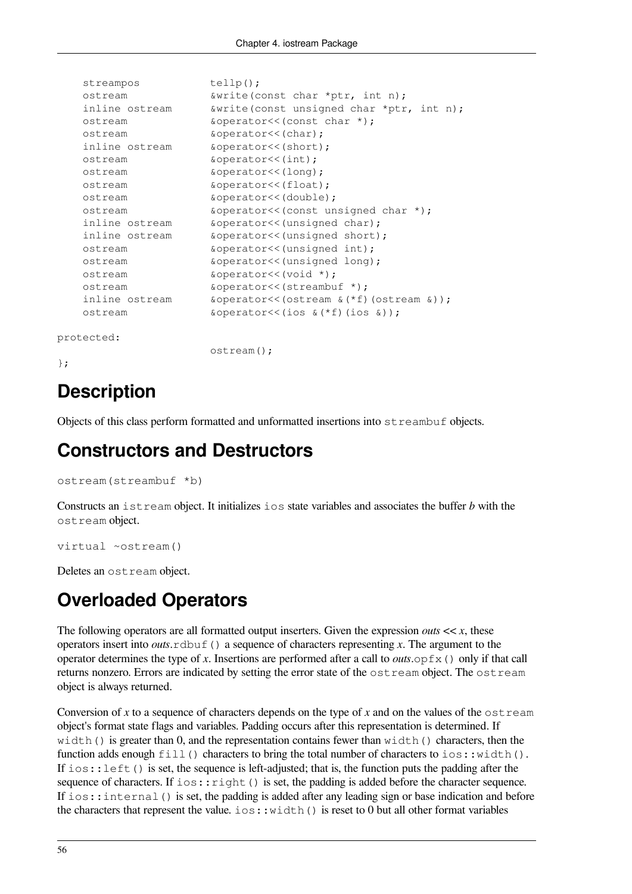| streampos      | $telllp()$ ;                                                  |
|----------------|---------------------------------------------------------------|
| ostream        | $\&\text{write}(\text{const char *ptr}, \text{int n});$       |
| inline ostream | $\&\text{write}(\text{const}$ unsigned char *ptr, int n);     |
| ostream        | &operator<< (const char *);                                   |
| ostream        | &operator<<(char);                                            |
| inline ostream | &operator<<(short);                                           |
| ostream        | $\&\text{operator}<\left(\text{int}\right);$                  |
| ostream        | &operator<<(long);                                            |
| ostream        | &operator<<(float);                                           |
| ostream        | &operator<<(double);                                          |
| ostream        | &operator<<(const unsigned char *);                           |
| inline ostream | &operator<<(unsigned char);                                   |
| inline ostream | &operator<<(unsigned short);                                  |
| ostream        | &operator<<(unsigned int);                                    |
| ostream        | &operator<<(unsigned long);                                   |
| ostream        | $\&\text{operator<}(v\text{oid}^*)$ ;                         |
| ostream        | &operator<<(streambuf *);                                     |
| inline ostream | $\&\text{operator } \&\text{)}$ :                             |
| ostream        | $\&\text{operatorc}(\cos \&\text{if})$ (ios $\&\text{if})$ ); |

```
protected:
```
ostream();

};

## **Description**

Objects of this class perform formatted and unformatted insertions into streambuf objects.

#### **Constructors and Destructors**

```
ostream(streambuf *b)
```
Constructs an istream object. It initializes ios state variables and associates the buffer *b* with the ostream object.

```
virtual ~ostream()
```
Deletes an ostream object.

# **Overloaded Operators**

The following operators are all formatted output inserters. Given the expression *outs*  $<< x$ , these operators insert into *outs*. $r$ dbuf() a sequence of characters representing *x*. The argument to the operator determines the type of x. Insertions are performed after a call to *outs*. $opfx()$  only if that call returns nonzero. Errors are indicated by setting the error state of the ostream object. The ostream object is always returned.

Conversion of x to a sequence of characters depends on the type of x and on the values of the  $\circ$ stream object's format state flags and variables. Padding occurs after this representation is determined. If width() is greater than 0, and the representation contains fewer than width() characters, then the function adds enough fill() characters to bring the total number of characters to ios::width(). If  $ios: : \text{left}(.)$  is set, the sequence is left-adjusted; that is, the function puts the padding after the sequence of characters. If  $i\circ s:$   $r \circ i \circ h$  () is set, the padding is added before the character sequence. If ios::internal() is set, the padding is added after any leading sign or base indication and before the characters that represent the value.  $\text{i} \circ \text{s}::\text{width}()$  is reset to 0 but all other format variables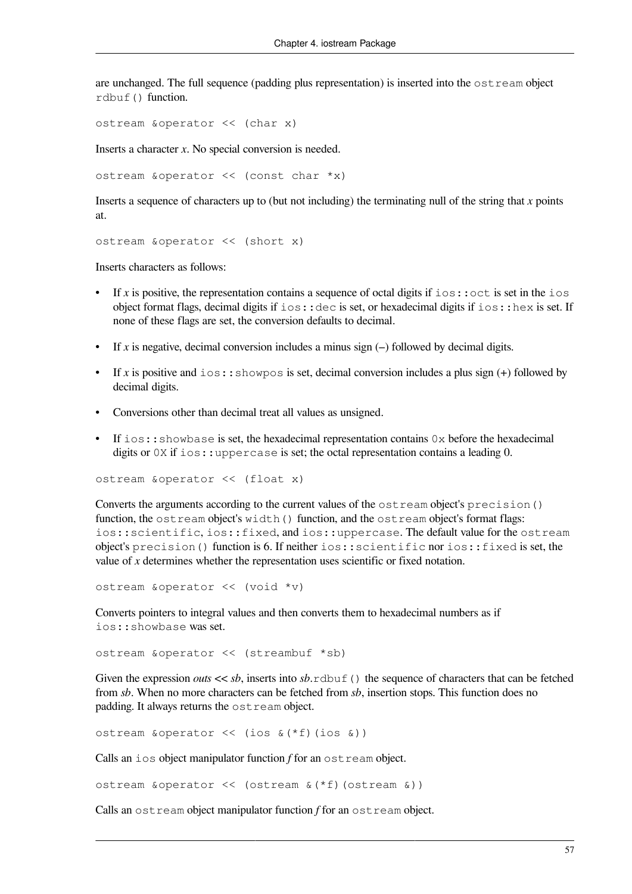are unchanged. The full sequence (padding plus representation) is inserted into the  $\circ$ stream object rdbuf() function.

ostream &operator << (char x)

Inserts a character *x*. No special conversion is needed.

ostream &operator << (const char \*x)

Inserts a sequence of characters up to (but not including) the terminating null of the string that *x* points at.

ostream &operator << (short x)

Inserts characters as follows:

- If x is positive, the representation contains a sequence of octal digits if  $i \circ s : : \circ \circ t$  is set in the  $i \circ s$ object format flags, decimal digits if ios::dec is set, or hexadecimal digits if ios::hex is set. If none of these flags are set, the conversion defaults to decimal.
- If *x* is negative, decimal conversion includes a minus sign  $(-)$  followed by decimal digits.
- If *x* is positive and  $\text{ios:}:$  showpos is set, decimal conversion includes a plus sign (+) followed by decimal digits.
- Conversions other than decimal treat all values as unsigned.
- If  $i \circ s: :$  showbase is set, the hexadecimal representation contains  $0 \times$  before the hexadecimal digits or  $0X$  if  $\text{ios}:$ : uppercase is set; the octal representation contains a leading 0.

ostream &operator << (float x)

Converts the arguments according to the current values of the ostream object's precision() function, the  $\cot t$  ream object's width() function, and the  $\cot t$  ream object's format flags: ios::scientific, ios::fixed, and ios::uppercase. The default value for the ostream object's precision() function is 6. If neither ios::scientific nor ios::fixed is set, the value of *x* determines whether the representation uses scientific or fixed notation.

ostream &operator << (void \*v)

Converts pointers to integral values and then converts them to hexadecimal numbers as if ios::showbase was set.

ostream &operator << (streambuf \*sb)

Given the expression *outs*  $<< sb$ , inserts into *sb*.rdbuf() the sequence of characters that can be fetched from *sb*. When no more characters can be fetched from *sb*, insertion stops. This function does no padding. It always returns the ostream object.

ostream &operator << (ios &(\*f)(ios &))

Calls an ios object manipulator function *f* for an ostream object.

ostream &operator << (ostream &(\*f)(ostream &))

Calls an ostream object manipulator function *f* for an ostream object.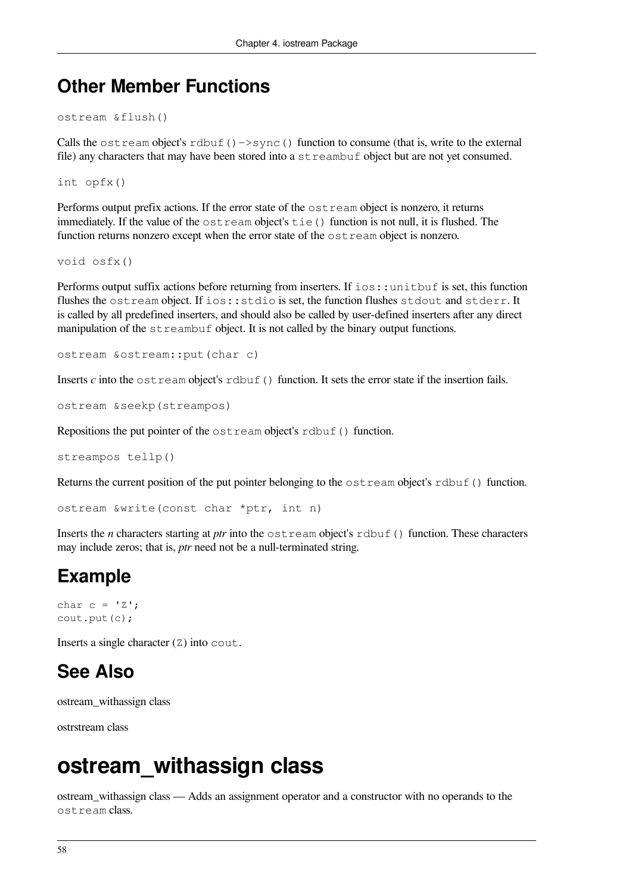#### **Other Member Functions**

```
ostream &flush()
```
Calls the ost ream object's rdbuf()->sync() function to consume (that is, write to the external file) any characters that may have been stored into a streambuf object but are not yet consumed.

int opfx()

Performs output prefix actions. If the error state of the ostream object is nonzero, it returns immediately. If the value of the ostream object's tie() function is not null, it is flushed. The function returns nonzero except when the error state of the  $\circ$ stream object is nonzero.

void osfx()

Performs output suffix actions before returning from inserters. If ios::unitbuf is set, this function flushes the ostream object. If ios::stdio is set, the function flushes stdout and stderr. It is called by all predefined inserters, and should also be called by user-defined inserters after any direct manipulation of the streambuf object. It is not called by the binary output functions.

```
ostream &ostream::put(char c)
```
Inserts  $c$  into the ostream object's rdbuf() function. It sets the error state if the insertion fails.

```
ostream &seekp(streampos)
```
Repositions the put pointer of the ostream object's rdbuf() function.

```
streampos tellp()
```
Returns the current position of the put pointer belonging to the  $\circ$ stream object's rdbuf() function.

ostream &write(const char \*ptr, int n)

Inserts the *n* characters starting at *ptr* into the  $\circ$ stream object's rdbuf() function. These characters may include zeros; that is, *ptr* need not be a null-terminated string.

## **Example**

```
char c = 'Z';cout.put(c);
```
Inserts a single character  $(Z)$  into cout.

### **See Also**

ostream\_withassign class

ostrstream class

# **ostream\_withassign class**

ostream\_withassign class — Adds an assignment operator and a constructor with no operands to the ostream class.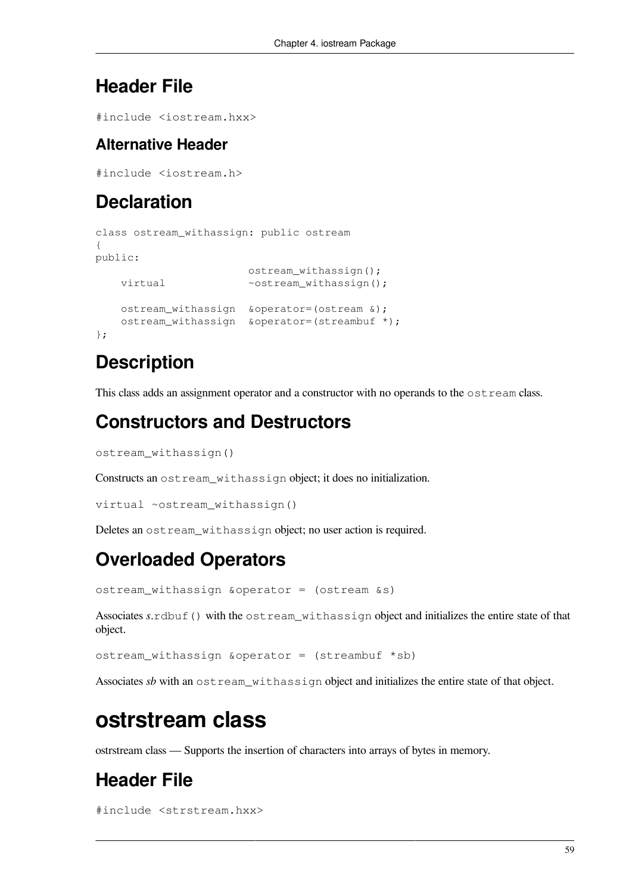## **Header File**

#include <iostream.hxx>

#### **Alternative Header**

#include <iostream.h>

# **Declaration**

```
class ostream_withassign: public ostream
{
public:
                        ostream_withassign();
   virtual ~ostream_withassign();
    ostream_withassign &operator=(ostream &);
   ostream withassign &operator=(streambuf *);
};
```
# **Description**

This class adds an assignment operator and a constructor with no operands to the  $\circ$ stream class.

# **Constructors and Destructors**

ostream\_withassign()

Constructs an ostream\_withassign object; it does no initialization.

```
virtual ~ostream_withassign()
```
Deletes an ostream\_withassign object; no user action is required.

# **Overloaded Operators**

ostream\_withassign &operator = (ostream &s)

Associates *s*.rdbuf() with the ostream\_withassign object and initializes the entire state of that object.

ostream\_withassign &operator = (streambuf \*sb)

Associates *sb* with an ostream withassign object and initializes the entire state of that object.

# **ostrstream class**

ostrstream class — Supports the insertion of characters into arrays of bytes in memory.

# **Header File**

```
#include <strstream.hxx>
```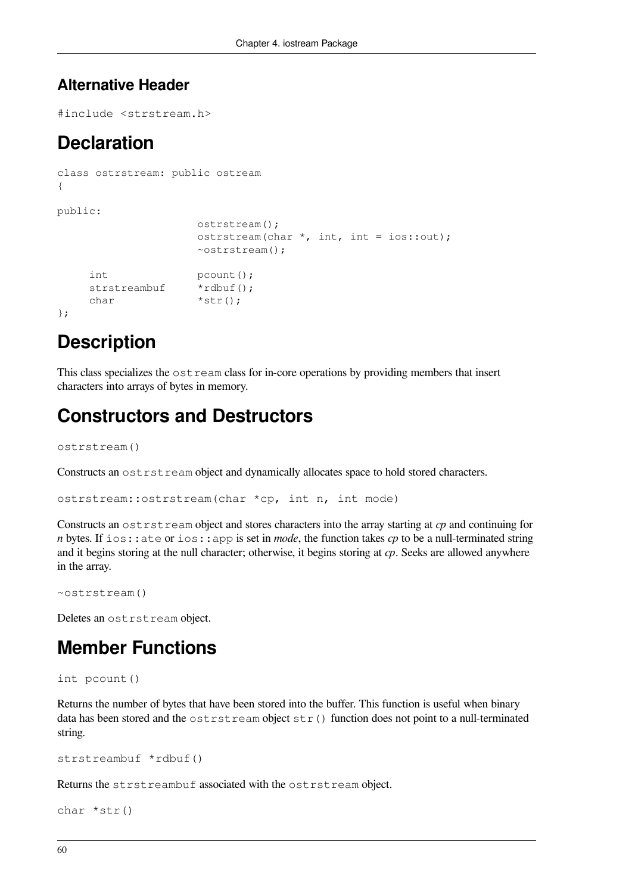#### **Alternative Header**

#include <strstream.h>

### **Declaration**

```
class ostrstream: public ostream
{
public:
                     ostrstream();
                     ostrstream(char *, int, int = ios::out);
                     ~ostrstream();
    int pcount ();
    strstreambuf *rdbuf();
    char *str();
};
```
## **Description**

This class specializes the  $\circ$ stream class for in-core operations by providing members that insert characters into arrays of bytes in memory.

### **Constructors and Destructors**

ostrstream()

Constructs an ostrstream object and dynamically allocates space to hold stored characters.

```
ostrstream::ostrstream(char *cp, int n, int mode)
```
Constructs an ostrstream object and stores characters into the array starting at *cp* and continuing for *n* bytes. If ios:: ate or ios: app is set in *mode*, the function takes *cp* to be a null-terminated string and it begins storing at the null character; otherwise, it begins storing at *cp*. Seeks are allowed anywhere in the array.

```
~ostrstream()
```
Deletes an ostrstream object.

## **Member Functions**

```
int pcount()
```
Returns the number of bytes that have been stored into the buffer. This function is useful when binary data has been stored and the  $ostrstream$  object  $str()$  function does not point to a null-terminated string.

```
strstreambuf *rdbuf()
```
Returns the strstreambuf associated with the ostrstream object.

```
char *str()
```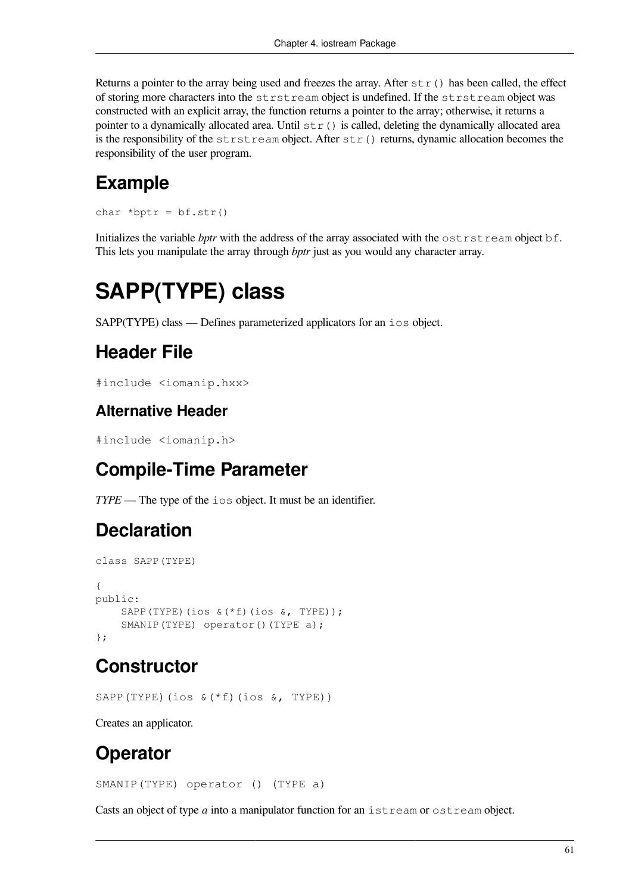Returns a pointer to the array being used and freezes the array. After  $str()$  has been called, the effect of storing more characters into the strstream object is undefined. If the strstream object was constructed with an explicit array, the function returns a pointer to the array; otherwise, it returns a pointer to a dynamically allocated area. Until  $str()$  is called, deleting the dynamically allocated area is the responsibility of the strstream object. After  $str()$  returns, dynamic allocation becomes the responsibility of the user program.

# **Example**

char \*bptr =  $bf.str()$ 

Initializes the variable *bptr* with the address of the array associated with the ostrstream object bf. This lets you manipulate the array through *bptr* just as you would any character array.

# **SAPP(TYPE) class**

SAPP(TYPE) class — Defines parameterized applicators for an ios object.

## **Header File**

```
#include <iomanip.hxx>
```
#### **Alternative Header**

#include <iomanip.h>

# **Compile-Time Parameter**

*TYPE* — The type of the ios object. It must be an identifier.

# **Declaration**

```
class SAPP(TYPE)
{
public:
     SAPP(TYPE)(ios &(*f)(ios &, TYPE));
    SMANIP(TYPE) operator()(TYPE a);
};
```
# **Constructor**

SAPP(TYPE)(ios &(\*f)(ios &, TYPE))

Creates an applicator.

## **Operator**

SMANIP(TYPE) operator () (TYPE a)

Casts an object of type *a* into a manipulator function for an istream or ostream object.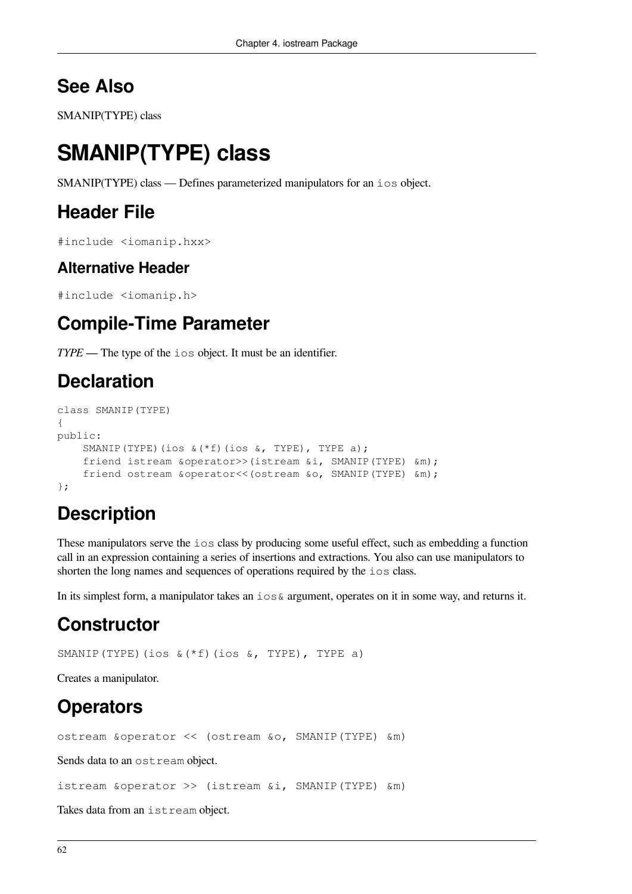#### **See Also**

SMANIP(TYPE) class

# **SMANIP(TYPE) class**

SMANIP(TYPE) class — Defines parameterized manipulators for an ios object.

#### **Header File**

#include <iomanip.hxx>

#### **Alternative Header**

#include <iomanip.h>

#### **Compile-Time Parameter**

*TYPE* — The type of the ios object. It must be an identifier.

#### **Declaration**

```
class SMANIP(TYPE)
{
public:
     SMANIP(TYPE)(ios &(*f)(ios &, TYPE), TYPE a);
     friend istream &operator>>(istream &i, SMANIP(TYPE) &m);
     friend ostream &operator<<(ostream &o, SMANIP(TYPE) &m);
};
```
## **Description**

These manipulators serve the ios class by producing some useful effect, such as embedding a function call in an expression containing a series of insertions and extractions. You also can use manipulators to shorten the long names and sequences of operations required by the ios class.

In its simplest form, a manipulator takes an  $\log \epsilon$  argument, operates on it in some way, and returns it.

### **Constructor**

SMANIP(TYPE)(ios &(\*f)(ios &, TYPE), TYPE a)

Creates a manipulator.

# **Operators**

ostream &operator << (ostream &o, SMANIP(TYPE) &m)

Sends data to an ostream object.

istream &operator >> (istream &i, SMANIP(TYPE) &m)

Takes data from an istream object.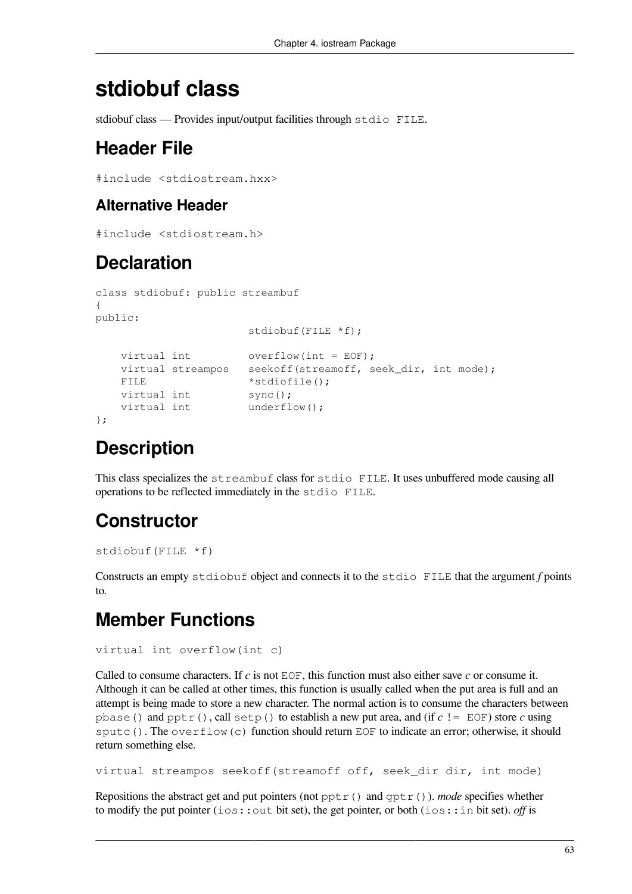# **stdiobuf class**

stdiobuf class — Provides input/output facilities through stdio FILE.

## **Header File**

```
#include <stdiostream.hxx>
```
#### **Alternative Header**

```
#include <stdiostream.h>
```
### **Declaration**

```
class stdiobuf: public streambuf
{
public:
                     stdiobuf(FILE *f);
   virtual int overflow(int = EOF);
   virtual streampos seekoff(streamoff, seek dir, int mode);
   FILE *stdiofile();
   virtual int sync();
   virtual int underflow();
};
```
### **Description**

This class specializes the streambuf class for stdio FILE. It uses unbuffered mode causing all operations to be reflected immediately in the stdio FILE.

## **Constructor**

```
stdiobuf(FILE *f)
```
Constructs an empty stdiobuf object and connects it to the stdio FILE that the argument *f* points to.

# **Member Functions**

```
virtual int overflow(int c)
```
Called to consume characters. If *c* is not EOF, this function must also either save *c* or consume it. Although it can be called at other times, this function is usually called when the put area is full and an attempt is being made to store a new character. The normal action is to consume the characters between pbase() and pptr(), call setp() to establish a new put area, and (if *c* != EOF) store *c* using sputc(). The overflow(c) function should return EOF to indicate an error; otherwise, it should return something else.

```
virtual streampos seekoff(streamoff off, seek_dir dir, int mode)
```
Repositions the abstract get and put pointers (not  $pptr()$ ) and  $qptr()$ ). *mode* specifies whether to modify the put pointer (ios::out bit set), the get pointer, or both (ios::in bit set). *off* is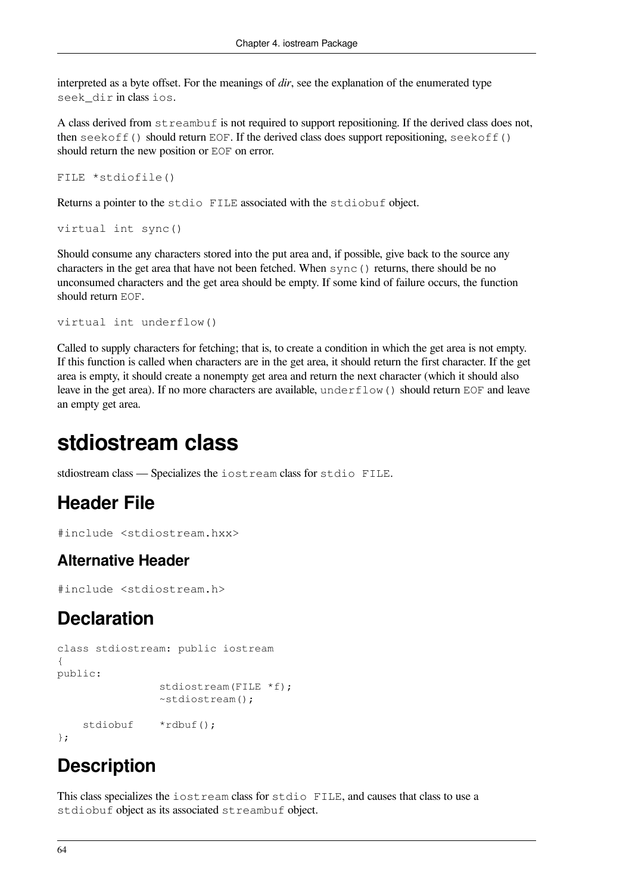interpreted as a byte offset. For the meanings of *dir*, see the explanation of the enumerated type seek\_dir in class ios.

A class derived from streambuf is not required to support repositioning. If the derived class does not, then seekoff() should return EOF. If the derived class does support repositioning, seekoff() should return the new position or EOF on error.

```
FILE *stdiofile()
```
Returns a pointer to the stdio FILE associated with the stdiobuf object.

```
virtual int sync()
```
Should consume any characters stored into the put area and, if possible, give back to the source any characters in the get area that have not been fetched. When sync() returns, there should be no unconsumed characters and the get area should be empty. If some kind of failure occurs, the function should return EOF.

```
virtual int underflow()
```
Called to supply characters for fetching; that is, to create a condition in which the get area is not empty. If this function is called when characters are in the get area, it should return the first character. If the get area is empty, it should create a nonempty get area and return the next character (which it should also leave in the get area). If no more characters are available, underflow() should return EOF and leave an empty get area.

# **stdiostream class**

stdiostream class — Specializes the iostream class for stdio FILE.

#### **Header File**

```
#include <stdiostream.hxx>
```
#### **Alternative Header**

#include <stdiostream.h>

### **Declaration**

```
class stdiostream: public iostream
{
public:
                 stdiostream(FILE *f);
                 ~stdiostream();
     stdiobuf *rdbuf();
};
```
### **Description**

This class specializes the iostream class for stdio FILE, and causes that class to use a stdiobuf object as its associated streambuf object.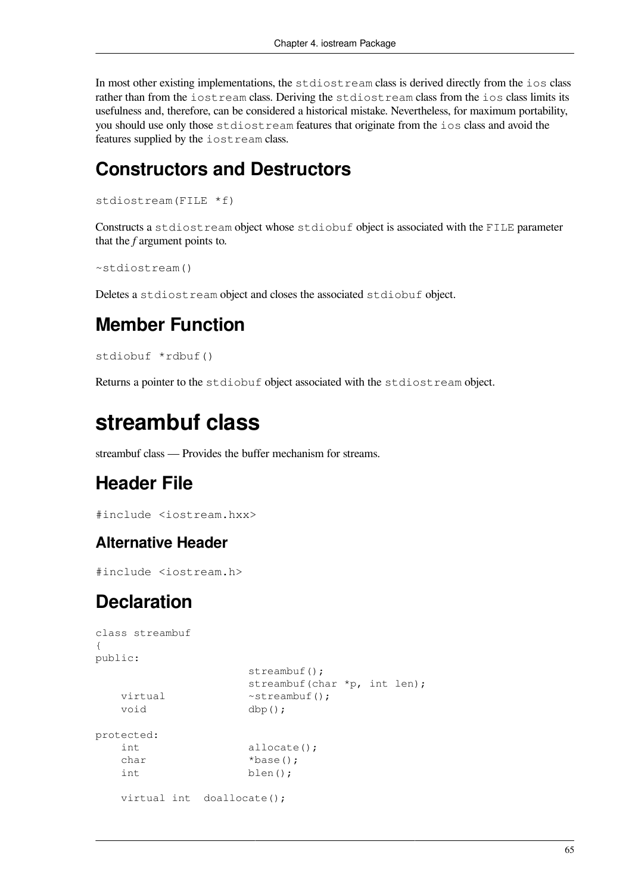In most other existing implementations, the stdiostream class is derived directly from the ios class rather than from the iostream class. Deriving the stdiostream class from the ios class limits its usefulness and, therefore, can be considered a historical mistake. Nevertheless, for maximum portability, you should use only those stdiostream features that originate from the ios class and avoid the features supplied by the iostream class.

#### **Constructors and Destructors**

```
stdiostream(FILE *f)
```
Constructs a stdiostream object whose stdiobuf object is associated with the FILE parameter that the *f* argument points to.

```
~stdiostream()
```
Deletes a stdiostream object and closes the associated stdiobuf object.

## **Member Function**

```
stdiobuf *rdbuf()
```
Returns a pointer to the stdiobuf object associated with the stdiostream object.

# **streambuf class**

streambuf class — Provides the buffer mechanism for streams.

## **Header File**

```
#include <iostream.hxx>
```
#### **Alternative Header**

```
#include <iostream.h>
```
### **Declaration**

```
class streambuf
{
public:
                  streambuf();
                   streambuf(char *p, int len);
   virtual ~streambuf();
    void dbp();
protected:
    int allocate();
   char *base();
    int blen();
   virtual int doallocate();
```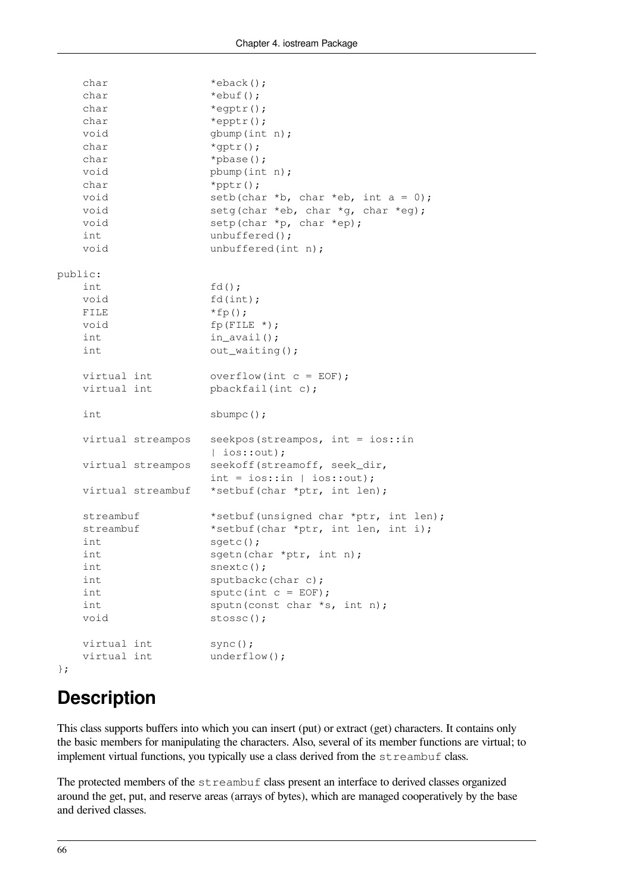```
char *eback();
  char *ebuf();
  char *egptr();
  char *epptr();
  void gbump(int n);
  char *qptr();
  char *pbase();
  void pbump(int n);
  char *pptr();
  void setb(char *b, char *eb, int a = 0);
  void setg(char *eb, char *g, char *eg);
  void setp(char *p, char *ep);
  int unbuffered();
  void unbuffered(int n);
public:
   int fd();
  void fd(int);
  FILE *fp();
  void fp(FILE *);
  int in_avail();
  int out_waiting();
  virtual int overflow(int c = EOF);virtual int pbackfail(int c);
  int sbumpc();
   virtual streampos seekpos(streampos, int = ios::in
                 | ios::out);
  virtual streampos seekoff(streamoff, seek dir,
                int = ios::in | ios::out);
  virtual streambuf *setbuf(char *ptr, int len);
  streambuf *setbuf(unsigned char *ptr, int len);
  streambuf *setbuf(char *ptr, int len, int i);
  int sqetc();
  int sqetn(char *ptr, int n);
  int snextc();
  int sputbackc(char c);
  int sputc(int c = EOF);
  int sputn(const char *s, int n);
  void stossc();
  virtual int sync();
  virtual int underflow();
};
```
## **Description**

This class supports buffers into which you can insert (put) or extract (get) characters. It contains only the basic members for manipulating the characters. Also, several of its member functions are virtual; to implement virtual functions, you typically use a class derived from the  $str$ eambuf class.

The protected members of the streambuf class present an interface to derived classes organized around the get, put, and reserve areas (arrays of bytes), which are managed cooperatively by the base and derived classes.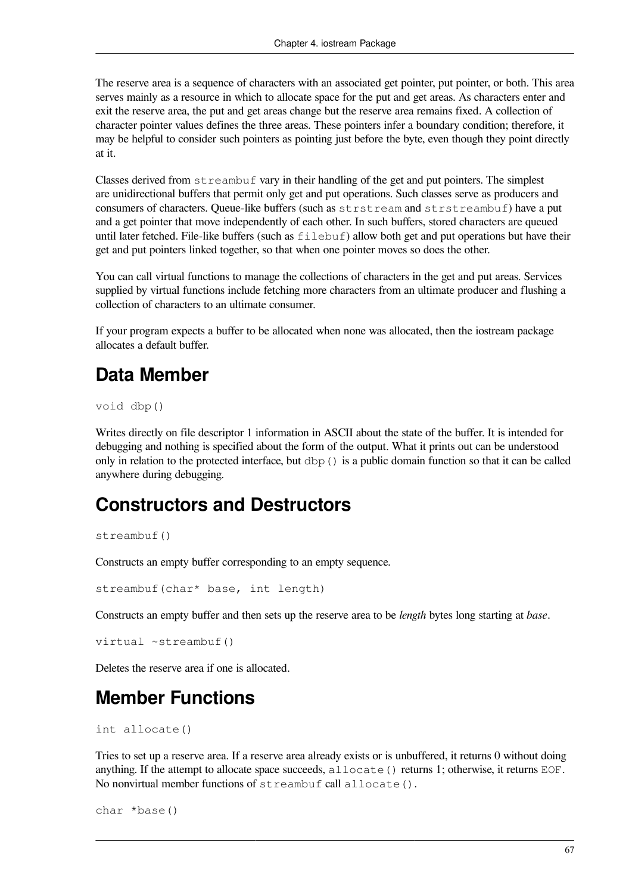The reserve area is a sequence of characters with an associated get pointer, put pointer, or both. This area serves mainly as a resource in which to allocate space for the put and get areas. As characters enter and exit the reserve area, the put and get areas change but the reserve area remains fixed. A collection of character pointer values defines the three areas. These pointers infer a boundary condition; therefore, it may be helpful to consider such pointers as pointing just before the byte, even though they point directly at it.

Classes derived from streambuf vary in their handling of the get and put pointers. The simplest are unidirectional buffers that permit only get and put operations. Such classes serve as producers and consumers of characters. Queue-like buffers (such as strstream and strstreambuf) have a put and a get pointer that move independently of each other. In such buffers, stored characters are queued until later fetched. File-like buffers (such as  $f \in L$  ebuf) allow both get and put operations but have their get and put pointers linked together, so that when one pointer moves so does the other.

You can call virtual functions to manage the collections of characters in the get and put areas. Services supplied by virtual functions include fetching more characters from an ultimate producer and flushing a collection of characters to an ultimate consumer.

If your program expects a buffer to be allocated when none was allocated, then the iostream package allocates a default buffer.

## **Data Member**

void dbp()

Writes directly on file descriptor 1 information in ASCII about the state of the buffer. It is intended for debugging and nothing is specified about the form of the output. What it prints out can be understood only in relation to the protected interface, but dbp() is a public domain function so that it can be called anywhere during debugging.

## **Constructors and Destructors**

streambuf()

Constructs an empty buffer corresponding to an empty sequence.

```
streambuf(char* base, int length)
```
Constructs an empty buffer and then sets up the reserve area to be *length* bytes long starting at *base*.

```
virtual ~streambuf()
```
Deletes the reserve area if one is allocated.

## **Member Functions**

```
int allocate()
```
Tries to set up a reserve area. If a reserve area already exists or is unbuffered, it returns 0 without doing anything. If the attempt to allocate space succeeds, allocate() returns 1; otherwise, it returns EOF. No nonvirtual member functions of streambuf call allocate().

```
char *base()
```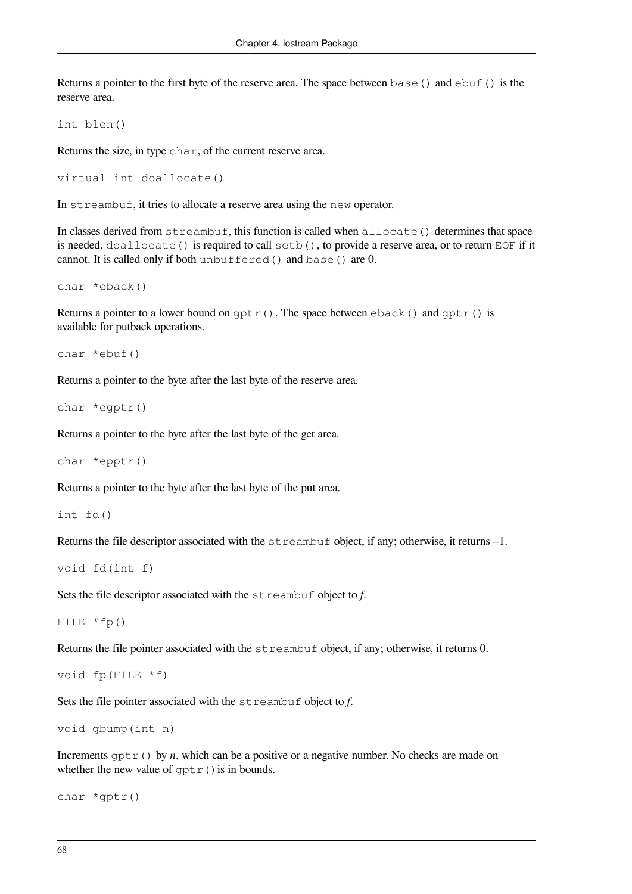Returns a pointer to the first byte of the reserve area. The space between  $base()$  and  $ebuf()$  is the reserve area.

int blen()

Returns the size, in type char, of the current reserve area.

```
virtual int doallocate()
```
In streambuf, it tries to allocate a reserve area using the new operator.

In classes derived from  $str$ eambuf, this function is called when  $all$ ocate() determines that space is needed. doallocate() is required to call setb(), to provide a reserve area, or to return EOF if it cannot. It is called only if both unbuffered() and base() are 0.

char \*eback()

Returns a pointer to a lower bound on  $gptr()$ . The space between eback() and  $gptr()$  is available for putback operations.

char \*ebuf()

Returns a pointer to the byte after the last byte of the reserve area.

```
char *egptr()
```
Returns a pointer to the byte after the last byte of the get area.

char \*epptr()

Returns a pointer to the byte after the last byte of the put area.

int fd()

Returns the file descriptor associated with the streambuf object, if any; otherwise, it returns  $-1$ .

```
void fd(int f)
```
Sets the file descriptor associated with the streambuf object to *f*.

FILE  $*fp()$ 

Returns the file pointer associated with the streambuf object, if any; otherwise, it returns 0.

```
void fp(FILE *f)
```
Sets the file pointer associated with the streambuf object to *f*.

```
void gbump(int n)
```
Increments  $\text{optr}(x)$  by *n*, which can be a positive or a negative number. No checks are made on whether the new value of  $qptr()$  is in bounds.

```
char *gptr()
```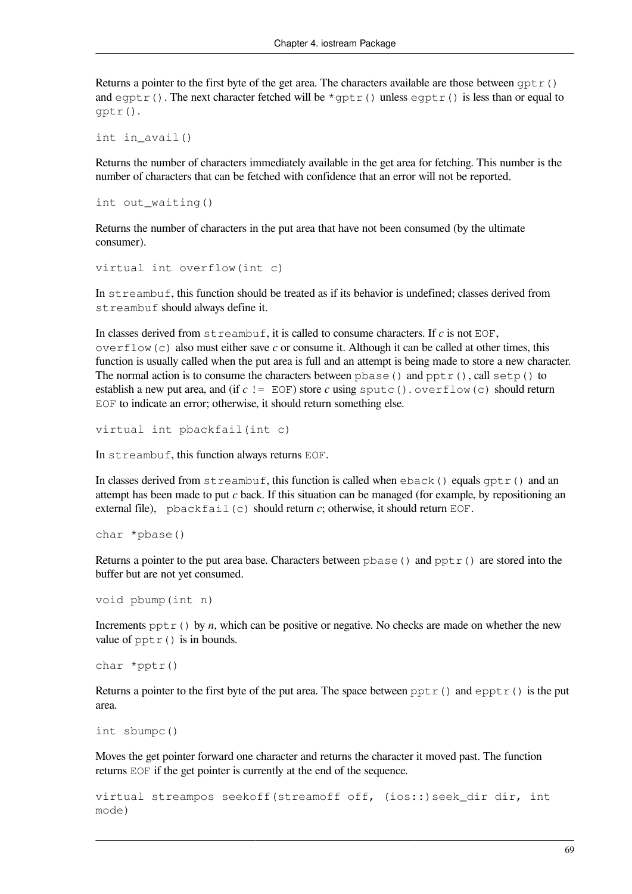Returns a pointer to the first byte of the get area. The characters available are those between  $qptr()$ and eqptr(). The next character fetched will be  $*$ gptr() unless eqptr() is less than or equal to gptr().

```
int in_avail()
```
Returns the number of characters immediately available in the get area for fetching. This number is the number of characters that can be fetched with confidence that an error will not be reported.

```
int out_waiting()
```
Returns the number of characters in the put area that have not been consumed (by the ultimate consumer).

```
virtual int overflow(int c)
```
In streambuf, this function should be treated as if its behavior is undefined; classes derived from streambuf should always define it.

In classes derived from  $str$ eambuf, it is called to consume characters. If  $c$  is not EOF, overflow(c) also must either save *c* or consume it. Although it can be called at other times, this function is usually called when the put area is full and an attempt is being made to store a new character. The normal action is to consume the characters between  $pbase()$  and  $pptr()$ , call  $setp()$  to establish a new put area, and (if  $c := E$ OF) store *c* using sputc(). overflow(c) should return EOF to indicate an error; otherwise, it should return something else.

```
virtual int pbackfail(int c)
```
In streambuf, this function always returns EOF.

In classes derived from  $str$ eambuf, this function is called when  $eback()$  equals  $qptr()$  and an attempt has been made to put *c* back. If this situation can be managed (for example, by repositioning an external file), pbackfail(c) should return *c*; otherwise, it should return EOF.

```
char *pbase()
```
Returns a pointer to the put area base. Characters between  $pbase()$  and  $pptr()$  are stored into the buffer but are not yet consumed.

```
void pbump(int n)
```
Increments  $pptr()$  by *n*, which can be positive or negative. No checks are made on whether the new value of pptr() is in bounds.

```
char *pptr()
```
Returns a pointer to the first byte of the put area. The space between  $pptr()$  and  $epptr()$  is the put area.

```
int sbumpc()
```
Moves the get pointer forward one character and returns the character it moved past. The function returns EOF if the get pointer is currently at the end of the sequence.

```
virtual streampos seekoff(streamoff off, (ios::)seek_dir dir, int
mode)
```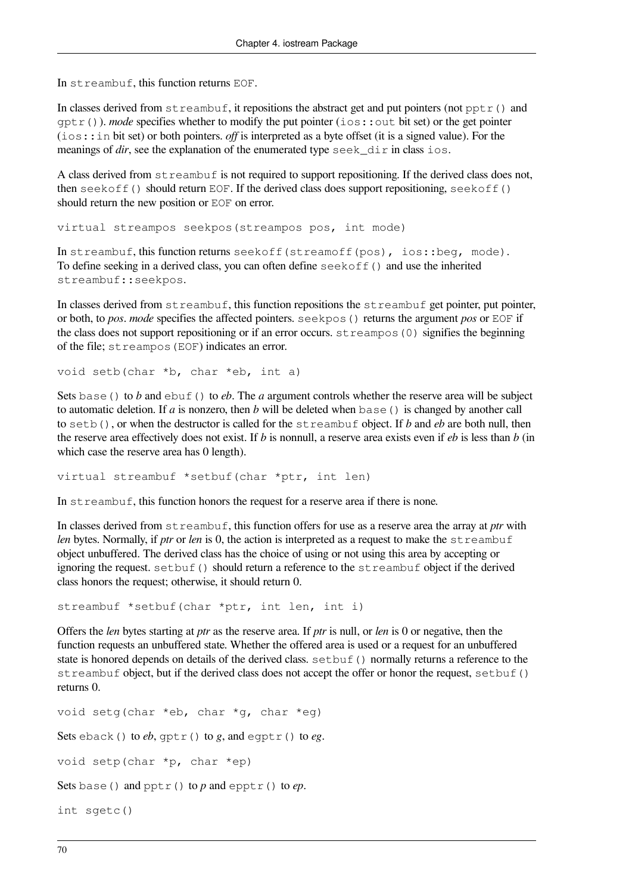In streambuf, this function returns EOF.

In classes derived from  $str$ eambuf, it repositions the abstract get and put pointers (not pptr() and gptr()). *mode* specifies whether to modify the put pointer (ios::out bit set) or the get pointer (ios::in bit set) or both pointers. *off* is interpreted as a byte offset (it is a signed value). For the meanings of *dir*, see the explanation of the enumerated type seek dir in class ios.

A class derived from streambuf is not required to support repositioning. If the derived class does not, then seekoff() should return EOF. If the derived class does support repositioning, seekoff() should return the new position or EOF on error.

virtual streampos seekpos(streampos pos, int mode)

In streambuf, this function returns seekoff(streamoff(pos), ios::beg, mode). To define seeking in a derived class, you can often define seekoff() and use the inherited streambuf::seekpos.

In classes derived from streambuf, this function repositions the streambuf get pointer, put pointer, or both, to *pos*. *mode* specifies the affected pointers. seekpos() returns the argument *pos* or EOF if the class does not support repositioning or if an error occurs.  $str$ eampos(0) signifies the beginning of the file; streampos(EOF) indicates an error.

void setb(char \*b, char \*eb, int a)

Sets base() to *b* and ebuf() to *eb*. The *a* argument controls whether the reserve area will be subject to automatic deletion. If *a* is nonzero, then *b* will be deleted when base() is changed by another call to setb(), or when the destructor is called for the streambuf object. If *b* and *eb* are both null, then the reserve area effectively does not exist. If *b* is nonnull, a reserve area exists even if *eb* is less than *b* (in which case the reserve area has 0 length).

virtual streambuf \*setbuf(char \*ptr, int len)

In streambuf, this function honors the request for a reserve area if there is none.

In classes derived from streambuf, this function offers for use as a reserve area the array at *ptr* with *len* bytes. Normally, if *ptr* or *len* is 0, the action is interpreted as a request to make the streambuf object unbuffered. The derived class has the choice of using or not using this area by accepting or ignoring the request. setbuf() should return a reference to the streambuf object if the derived class honors the request; otherwise, it should return 0.

streambuf \*setbuf(char \*ptr, int len, int i)

Offers the *len* bytes starting at *ptr* as the reserve area. If *ptr* is null, or *len* is 0 or negative, then the function requests an unbuffered state. Whether the offered area is used or a request for an unbuffered state is honored depends on details of the derived class. setbuf() normally returns a reference to the streambuf object, but if the derived class does not accept the offer or honor the request, setbuf() returns 0.

```
void setg(char *eb, char *g, char *eg)
Sets eback() to eb, gptr() to g, and egptr() to eg.
void setp(char *p, char *ep)
Sets base() and pptr() to p and epptr() to ep.
int sgetc()
```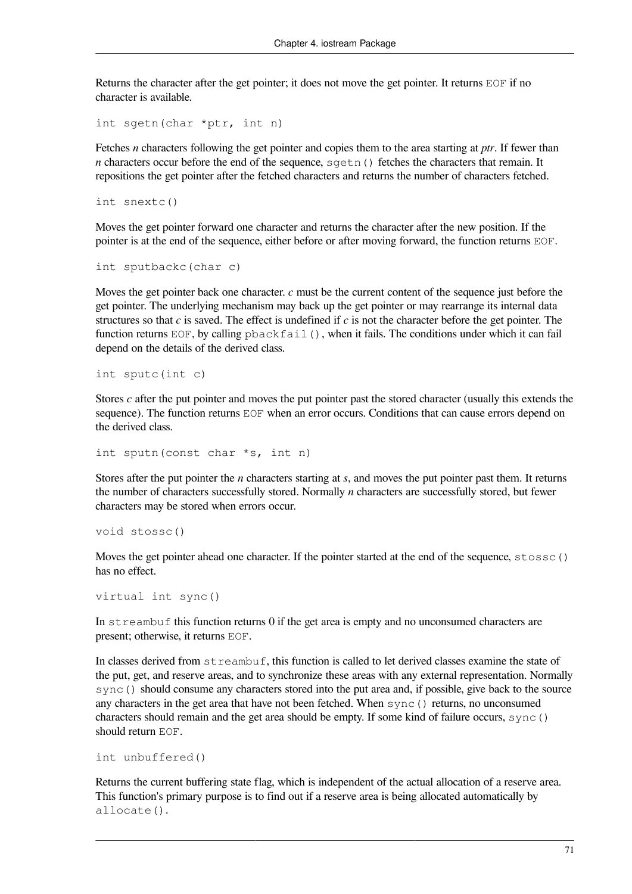Returns the character after the get pointer; it does not move the get pointer. It returns EOF if no character is available.

int sgetn(char \*ptr, int n)

Fetches *n* characters following the get pointer and copies them to the area starting at *ptr*. If fewer than *n* characters occur before the end of the sequence,  $\sqrt{9}$  etches the characters that remain. It repositions the get pointer after the fetched characters and returns the number of characters fetched.

int snextc()

Moves the get pointer forward one character and returns the character after the new position. If the pointer is at the end of the sequence, either before or after moving forward, the function returns EOF.

int sputbackc(char c)

Moves the get pointer back one character. *c* must be the current content of the sequence just before the get pointer. The underlying mechanism may back up the get pointer or may rearrange its internal data structures so that *c* is saved. The effect is undefined if *c* is not the character before the get pointer. The function returns EOF, by calling  $p$ backfail(), when it fails. The conditions under which it can fail depend on the details of the derived class.

int sputc(int c)

Stores *c* after the put pointer and moves the put pointer past the stored character (usually this extends the sequence). The function returns EOF when an error occurs. Conditions that can cause errors depend on the derived class.

int sputn(const char \*s, int n)

Stores after the put pointer the *n* characters starting at *s*, and moves the put pointer past them. It returns the number of characters successfully stored. Normally *n* characters are successfully stored, but fewer characters may be stored when errors occur.

void stossc()

Moves the get pointer ahead one character. If the pointer started at the end of the sequence,  $\text{stossc}()$ has no effect.

```
virtual int sync()
```
In  $str$ eambuf this function returns 0 if the get area is empty and no unconsumed characters are present; otherwise, it returns EOF.

In classes derived from streambuf, this function is called to let derived classes examine the state of the put, get, and reserve areas, and to synchronize these areas with any external representation. Normally sync() should consume any characters stored into the put area and, if possible, give back to the source any characters in the get area that have not been fetched. When  $\text{sync}$  () returns, no unconsumed characters should remain and the get area should be empty. If some kind of failure occurs, sync() should return EOF.

```
int unbuffered()
```
Returns the current buffering state flag, which is independent of the actual allocation of a reserve area. This function's primary purpose is to find out if a reserve area is being allocated automatically by allocate().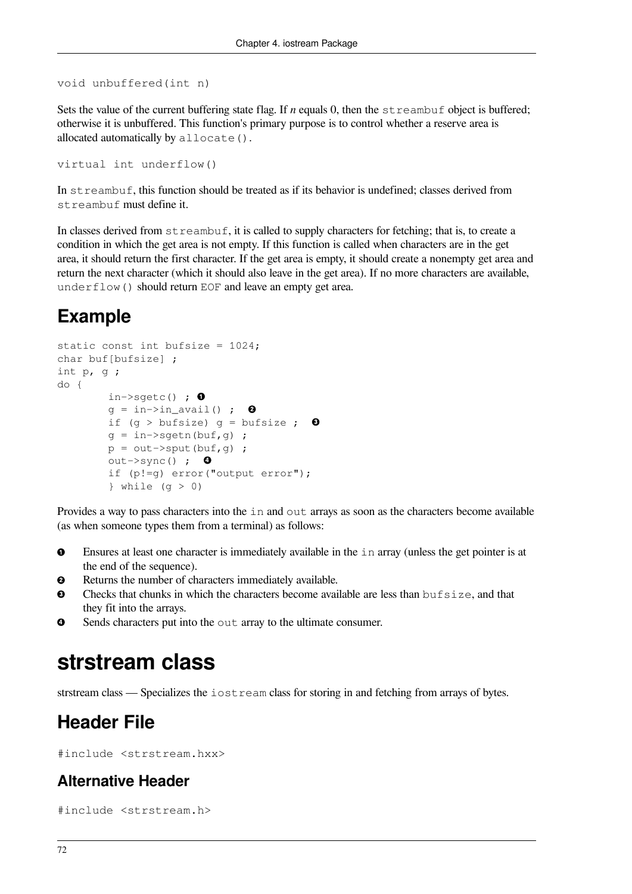```
void unbuffered(int n)
```
Sets the value of the current buffering state flag. If *n* equals 0, then the streambuf object is buffered; otherwise it is unbuffered. This function's primary purpose is to control whether a reserve area is allocated automatically by allocate().

```
virtual int underflow()
```
In streambuf, this function should be treated as if its behavior is undefined; classes derived from streambuf must define it.

In classes derived from streambuf, it is called to supply characters for fetching; that is, to create a condition in which the get area is not empty. If this function is called when characters are in the get area, it should return the first character. If the get area is empty, it should create a nonempty get area and return the next character (which it should also leave in the get area). If no more characters are available, underflow() should return EOF and leave an empty get area.

## **Example**

```
static const int bufsize = 1024;
char buf[bufsize] ;
int p, g ;
do {
         in \rightarrowsgetc() ; \bulletg = in \rightarrow in \_avail(); 0
         if (g > bufsize) g = bufsize ; \bulletg = in->sgetn(buf,g);
         p = out->sput(buf,g);out->sync() ; \Theta if (p!=g) error("output error");
         } while (q > 0)
```
Provides a way to pass characters into the in and out arrays as soon as the characters become available (as when someone types them from a terminal) as follows:

- $\bullet$ Ensures at least one character is immediately available in the in array (unless the get pointer is at the end of the sequence).
- Returns the number of characters immediately available.  $\boldsymbol{\Omega}$
- $\mathbf{\Theta}$ Checks that chunks in which the characters become available are less than bufsize, and that they fit into the arrays.
- Sends characters put into the out array to the ultimate consumer.  $\bullet$

## **strstream class**

strstream class — Specializes the iostream class for storing in and fetching from arrays of bytes.

## **Header File**

#include <strstream.hxx>

### **Alternative Header**

#include <strstream.h>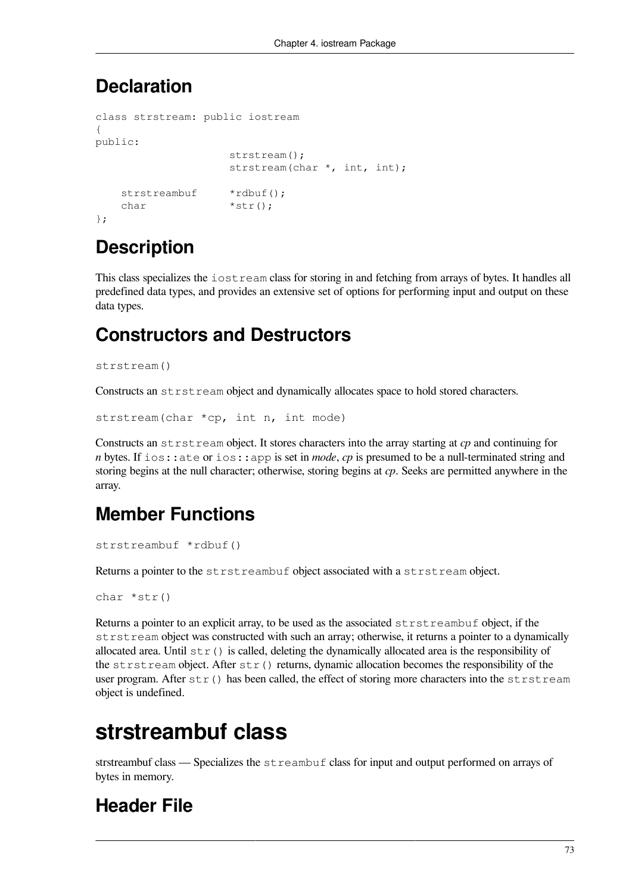### **Declaration**

```
class strstream: public iostream
{
public:
                     strstream();
                    strstream(char *, int, int);
   strstreambuf *rdbuf();
   char *str();
};
```
## **Description**

This class specializes the iostream class for storing in and fetching from arrays of bytes. It handles all predefined data types, and provides an extensive set of options for performing input and output on these data types.

### **Constructors and Destructors**

```
strstream()
```
Constructs an strstream object and dynamically allocates space to hold stored characters.

strstream(char \*cp, int n, int mode)

Constructs an strstream object. It stores characters into the array starting at *cp* and continuing for *n* bytes. If ios::ate or ios::app is set in *mode*, *cp* is presumed to be a null-terminated string and storing begins at the null character; otherwise, storing begins at *cp*. Seeks are permitted anywhere in the array.

## **Member Functions**

```
strstreambuf *rdbuf()
```
Returns a pointer to the strstreambuf object associated with a strstream object.

```
char *str()
```
Returns a pointer to an explicit array, to be used as the associated strstreambuf object, if the strstream object was constructed with such an array; otherwise, it returns a pointer to a dynamically allocated area. Until  $str()$  is called, deleting the dynamically allocated area is the responsibility of the strstream object. After  $str()$  returns, dynamic allocation becomes the responsibility of the user program. After str() has been called, the effect of storing more characters into the strstream object is undefined.

## **strstreambuf class**

strstreambuf class — Specializes the streambuf class for input and output performed on arrays of bytes in memory.

## **Header File**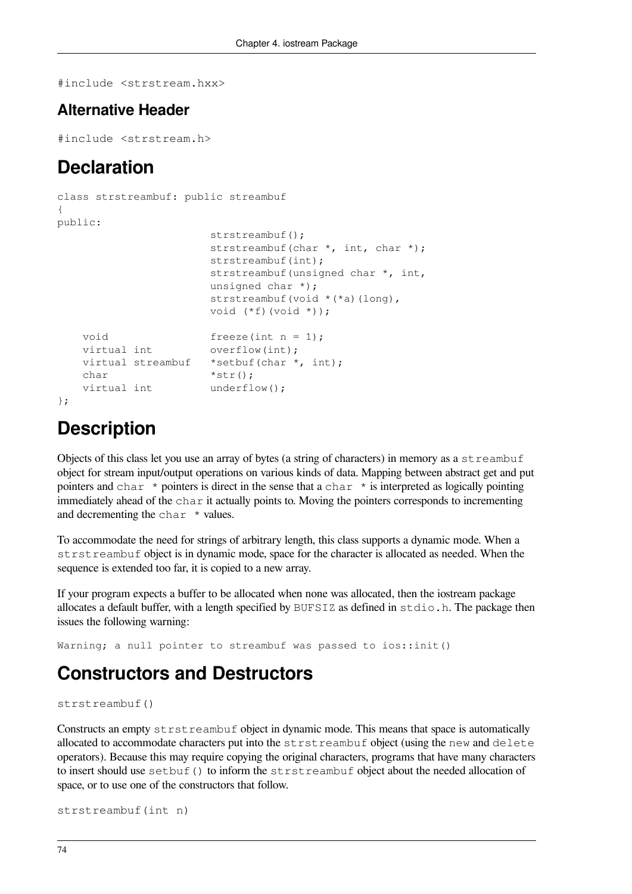#include <strstream.hxx>

#### **Alternative Header**

#include <strstream.h>

### **Declaration**

```
class strstreambuf: public streambuf
{
public:
                       strstreambuf();
                     strstreambuf(char *, int, char *);
                     strstreambuf(int);
                       strstreambuf(unsigned char *, int,
                       unsigned char *);
                      strstreambuf(void *(*a)(long),
                       void (*f)(void *));
   void freeze(int n = 1);
   virtual int overflow(int);
   virtual streambuf *setbuf(char *, int);
   char *str();
   virtual int underflow();
};
```
## **Description**

Objects of this class let you use an array of bytes (a string of characters) in memory as a streambuf object for stream input/output operations on various kinds of data. Mapping between abstract get and put pointers and char  $\star$  pointers is direct in the sense that a char  $\star$  is interpreted as logically pointing immediately ahead of the char it actually points to. Moving the pointers corresponds to incrementing and decrementing the char  $\star$  values.

To accommodate the need for strings of arbitrary length, this class supports a dynamic mode. When a strstreambuf object is in dynamic mode, space for the character is allocated as needed. When the sequence is extended too far, it is copied to a new array.

If your program expects a buffer to be allocated when none was allocated, then the iostream package allocates a default buffer, with a length specified by BUFSIZ as defined in stdio.h. The package then issues the following warning:

Warning; a null pointer to streambuf was passed to ios::init()

### **Constructors and Destructors**

strstreambuf()

Constructs an empty strstreambuf object in dynamic mode. This means that space is automatically allocated to accommodate characters put into the strstreambuf object (using the new and delete operators). Because this may require copying the original characters, programs that have many characters to insert should use setbuf() to inform the strstreambuf object about the needed allocation of space, or to use one of the constructors that follow.

```
strstreambuf(int n)
```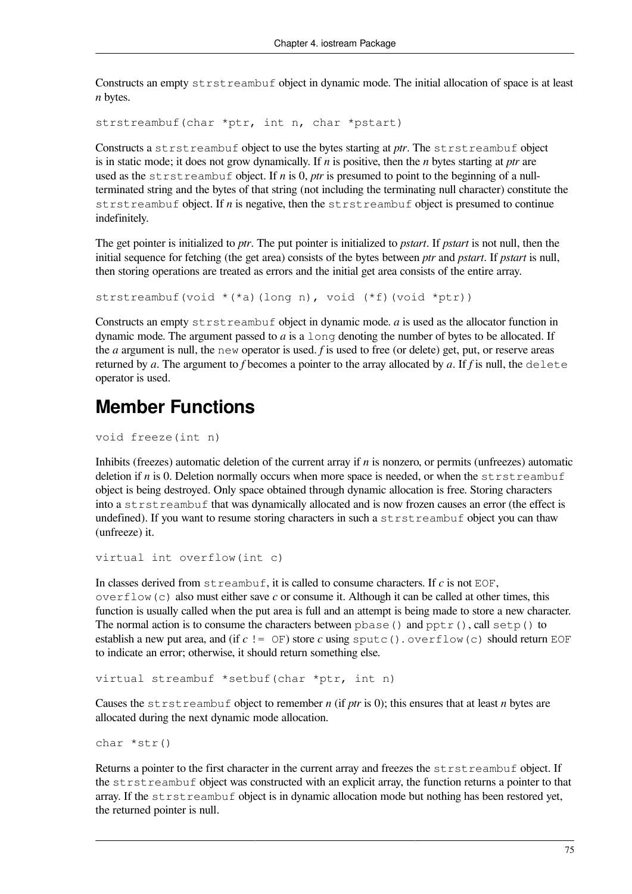Constructs an empty strstreambuf object in dynamic mode. The initial allocation of space is at least *n* bytes.

strstreambuf(char \*ptr, int n, char \*pstart)

Constructs a strstreambuf object to use the bytes starting at *ptr*. The strstreambuf object is in static mode; it does not grow dynamically. If *n* is positive, then the *n* bytes starting at *ptr* are used as the strstreambuf object. If *n* is 0, *ptr* is presumed to point to the beginning of a nullterminated string and the bytes of that string (not including the terminating null character) constitute the strstreambuf object. If *n* is negative, then the strstreambuf object is presumed to continue indefinitely.

The get pointer is initialized to *ptr*. The put pointer is initialized to *pstart*. If *pstart* is not null, then the initial sequence for fetching (the get area) consists of the bytes between *ptr* and *pstart*. If *pstart* is null, then storing operations are treated as errors and the initial get area consists of the entire array.

strstreambuf(void  $*(*)$ (long n), void  $(*f)$ (void  $*ptr)$ )

Constructs an empty strstreambuf object in dynamic mode. *a* is used as the allocator function in dynamic mode. The argument passed to *a* is a  $\text{long}$  denoting the number of bytes to be allocated. If the *a* argument is null, the new operator is used. *f* is used to free (or delete) get, put, or reserve areas returned by *a*. The argument to *f* becomes a pointer to the array allocated by *a*. If *f* is null, the delete operator is used.

### **Member Functions**

void freeze(int n)

Inhibits (freezes) automatic deletion of the current array if *n* is nonzero, or permits (unfreezes) automatic deletion if *n* is 0. Deletion normally occurs when more space is needed, or when the strstreambuf object is being destroyed. Only space obtained through dynamic allocation is free. Storing characters into a strstreambuf that was dynamically allocated and is now frozen causes an error (the effect is undefined). If you want to resume storing characters in such a strstreambuf object you can thaw (unfreeze) it.

```
virtual int overflow(int c)
```
In classes derived from streambuf, it is called to consume characters. If *c* is not EOF, overflow(c) also must either save *c* or consume it. Although it can be called at other times, this function is usually called when the put area is full and an attempt is being made to store a new character. The normal action is to consume the characters between  $pbase()$  and  $pptr()$ , call  $setp()$  to establish a new put area, and (if  $c$  != OF) store  $c$  using sputc(). overflow(c) should return EOF to indicate an error; otherwise, it should return something else.

```
virtual streambuf *setbuf(char *ptr, int n)
```
Causes the strstreambuf object to remember *n* (if *ptr* is 0); this ensures that at least *n* bytes are allocated during the next dynamic mode allocation.

char \*str()

Returns a pointer to the first character in the current array and freezes the strstreambuf object. If the strstreambuf object was constructed with an explicit array, the function returns a pointer to that array. If the  $strst$  reambuf object is in dynamic allocation mode but nothing has been restored yet, the returned pointer is null.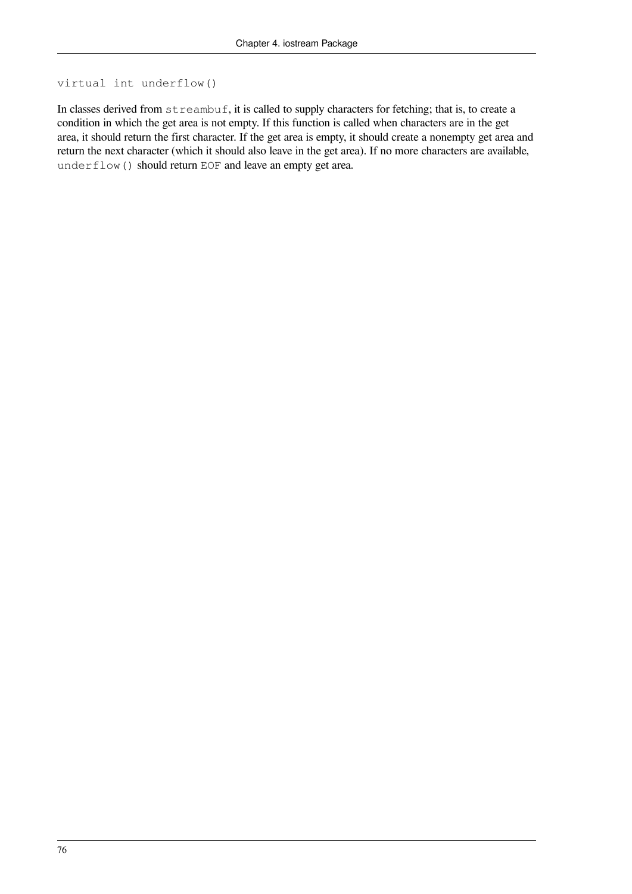#### virtual int underflow()

In classes derived from streambuf, it is called to supply characters for fetching; that is, to create a condition in which the get area is not empty. If this function is called when characters are in the get area, it should return the first character. If the get area is empty, it should create a nonempty get area and return the next character (which it should also leave in the get area). If no more characters are available, underflow() should return EOF and leave an empty get area.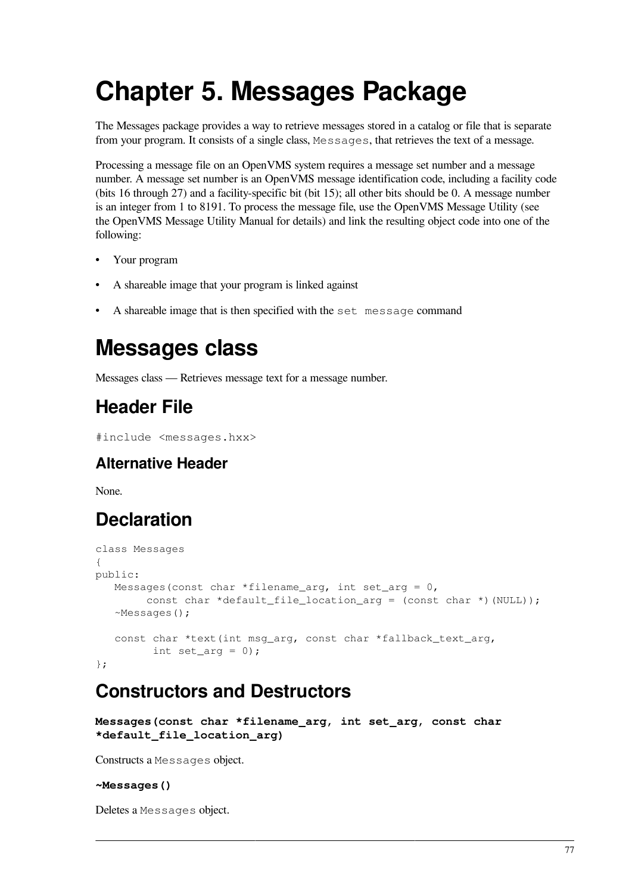# **Chapter 5. Messages Package**

The Messages package provides a way to retrieve messages stored in a catalog or file that is separate from your program. It consists of a single class, Messages, that retrieves the text of a message.

Processing a message file on an OpenVMS system requires a message set number and a message number. A message set number is an OpenVMS message identification code, including a facility code (bits 16 through 27) and a facility-specific bit (bit 15); all other bits should be 0. A message number is an integer from 1 to 8191. To process the message file, use the OpenVMS Message Utility (see the OpenVMS Message Utility Manual for details) and link the resulting object code into one of the following:

- Your program
- A shareable image that your program is linked against
- A shareable image that is then specified with the set message command

## **Messages class**

Messages class — Retrieves message text for a message number.

## **Header File**

```
#include <messages.hxx>
```
### **Alternative Header**

None.

## **Declaration**

```
class Messages
{
public:
  Messages(const char *filename arg, int set arg = 0,
        const char *default_file_location_arg = (const char *) (NULL));
    ~Messages();
    const char *text(int msg_arg, const char *fallback_text_arg,
         int set_arg = 0);
};
```
## **Constructors and Destructors**

```
Messages(const char *filename_arg, int set_arg, const char
*default_file_location_arg)
```
Constructs a Messages object.

#### **~Messages()**

Deletes a Messages object.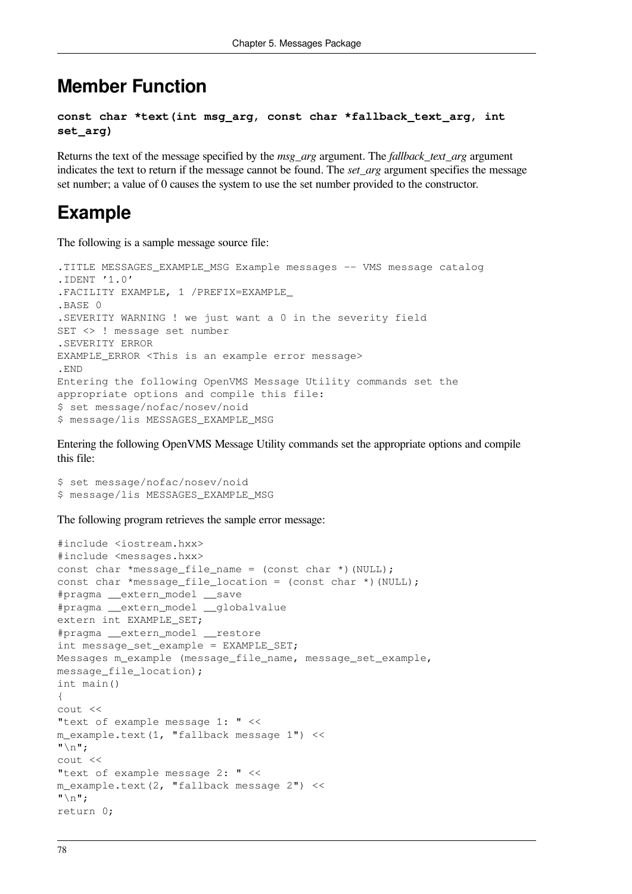### **Member Function**

```
const char *text(int msg_arg, const char *fallback_text_arg, int
set_arg)
```
Returns the text of the message specified by the *msg\_arg* argument. The *fallback\_text\_arg* argument indicates the text to return if the message cannot be found. The *set\_arg* argument specifies the message set number; a value of 0 causes the system to use the set number provided to the constructor.

### **Example**

The following is a sample message source file:

```
.TITLE MESSAGES EXAMPLE MSG Example messages -- VMS message catalog
.IDENT '1.0'
.FACILITY EXAMPLE, 1 /PREFIX=EXAMPLE_
.BASE 0
.SEVERITY WARNING ! we just want a 0 in the severity field
SET <> ! message set number
.SEVERITY ERROR
EXAMPLE_ERROR <This is an example error message>
.END
Entering the following OpenVMS Message Utility commands set the
appropriate options and compile this file:
$ set message/nofac/nosev/noid
$ message/lis MESSAGES_EXAMPLE_MSG
```
Entering the following OpenVMS Message Utility commands set the appropriate options and compile this file:

```
$ set message/nofac/nosev/noid
$ message/lis MESSAGES_EXAMPLE_MSG
```
The following program retrieves the sample error message:

```
#include <iostream.hxx>
#include <messages.hxx>
const char *message file name = (const char *)(NULL);
const char *message_file_location = (const char *)(NULL);
#pragma __extern_model __save
#pragma __extern_model __globalvalue
extern int EXAMPLE_SET;
#pragma __extern_model __restore
int message_set_example = EXAMPLE_SET;
Messages m_example (message file name, message set example,
message_file_location);
int main()
{
cout <<
"text of example message 1: " <<
m_example.text(1, "fallback message 1") <<
" \n\wedge n";
cout <<
"text of example message 2: " <<
m_example.text(2, "fallback message 2") <<
"\n";
return 0;
```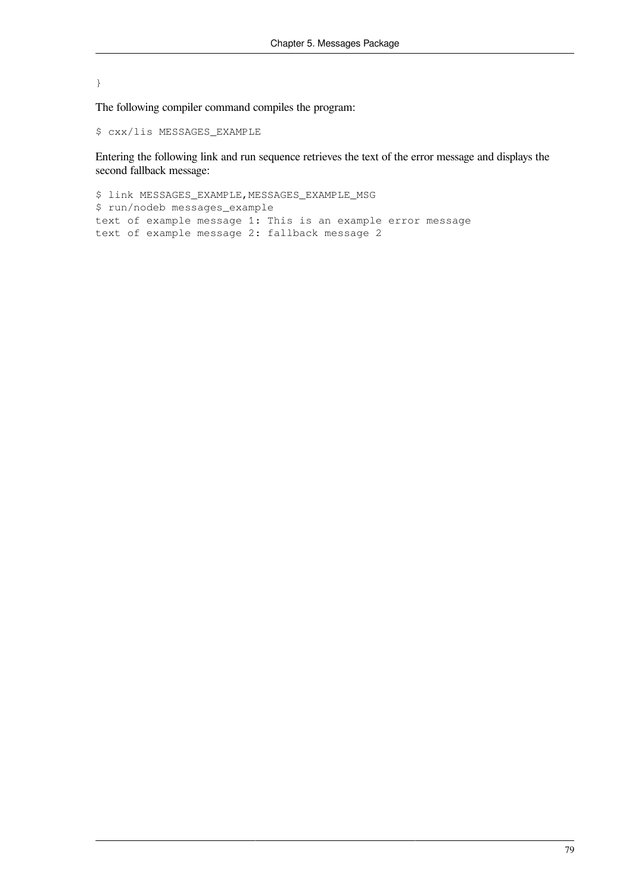#### }

The following compiler command compiles the program:

\$ cxx/lis MESSAGES\_EXAMPLE

Entering the following link and run sequence retrieves the text of the error message and displays the second fallback message:

\$ link MESSAGES\_EXAMPLE, MESSAGES\_EXAMPLE\_MSG \$ run/nodeb messages\_example text of example message 1: This is an example error message text of example message 2: fallback message 2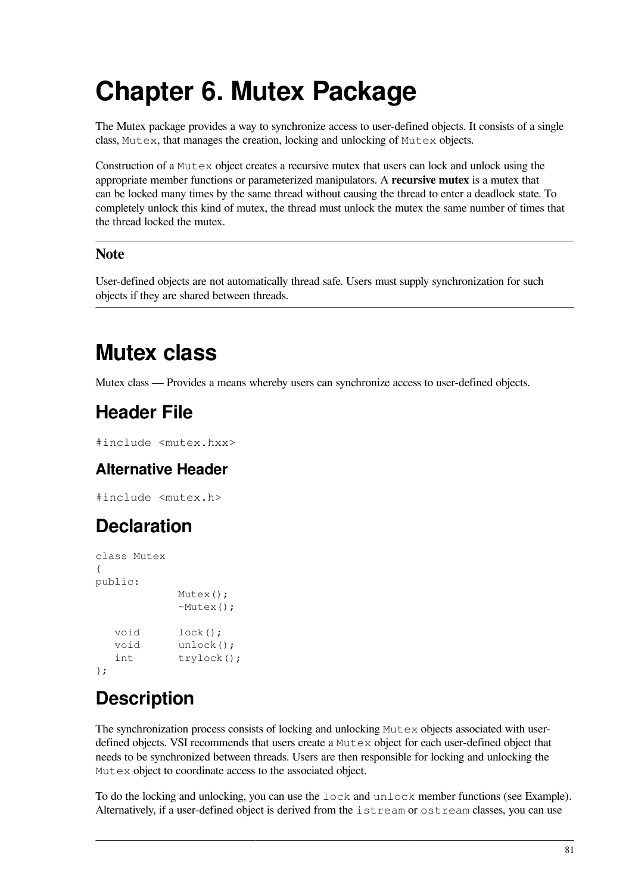# **Chapter 6. Mutex Package**

The Mutex package provides a way to synchronize access to user-defined objects. It consists of a single class, Mutex, that manages the creation, locking and unlocking of Mutex objects.

Construction of a Mutex object creates a recursive mutex that users can lock and unlock using the appropriate member functions or parameterized manipulators. A **recursive mutex** is a mutex that can be locked many times by the same thread without causing the thread to enter a deadlock state. To completely unlock this kind of mutex, the thread must unlock the mutex the same number of times that the thread locked the mutex.

### **Note**

User-defined objects are not automatically thread safe. Users must supply synchronization for such objects if they are shared between threads.

## **Mutex class**

Mutex class — Provides a means whereby users can synchronize access to user-defined objects.

## **Header File**

#include <mutex.hxx>

### **Alternative Header**

#include <mutex.h>

## **Declaration**

```
class Mutex
{
public:
             Mutex();
             ~Mutex();
   void lock();
   void unlock();
   int trylock();
};
```
## **Description**

The synchronization process consists of locking and unlocking Mutex objects associated with userdefined objects. VSI recommends that users create a Mutex object for each user-defined object that needs to be synchronized between threads. Users are then responsible for locking and unlocking the Mutex object to coordinate access to the associated object.

To do the locking and unlocking, you can use the lock and unlock member functions (see Example). Alternatively, if a user-defined object is derived from the istream or ostream classes, you can use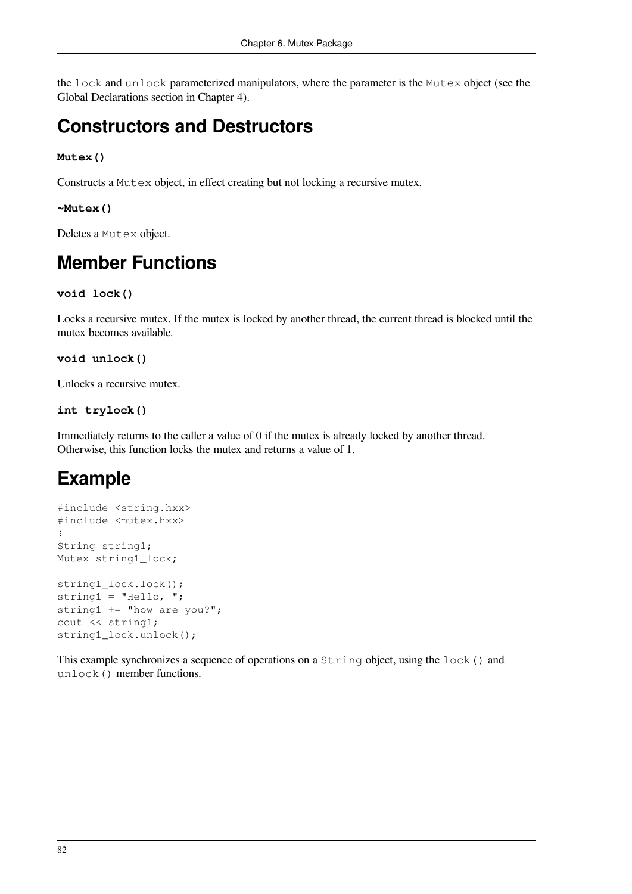the lock and unlock parameterized manipulators, where the parameter is the Mutex object (see the Global Declarations section in [Chapter](#page-22-0) 4).

## **Constructors and Destructors**

#### **Mutex()**

Constructs a Mutex object, in effect creating but not locking a recursive mutex.

#### **~Mutex()**

Deletes a Mutex object.

## **Member Functions**

```
void lock()
```
Locks a recursive mutex. If the mutex is locked by another thread, the current thread is blocked until the mutex becomes available.

```
void unlock()
```
Unlocks a recursive mutex.

#### **int trylock()**

Immediately returns to the caller a value of 0 if the mutex is already locked by another thread. Otherwise, this function locks the mutex and returns a value of 1.

## **Example**

```
#include <string.hxx>
#include <mutex.hxx>
⋮
String string1;
Mutex string1_lock;
string1_lock.lock();
string1 = "Hello, ";
string1 += "how are you?";
cout << string1;
string1_lock.unlock();
```
This example synchronizes a sequence of operations on a String object, using the lock() and unlock() member functions.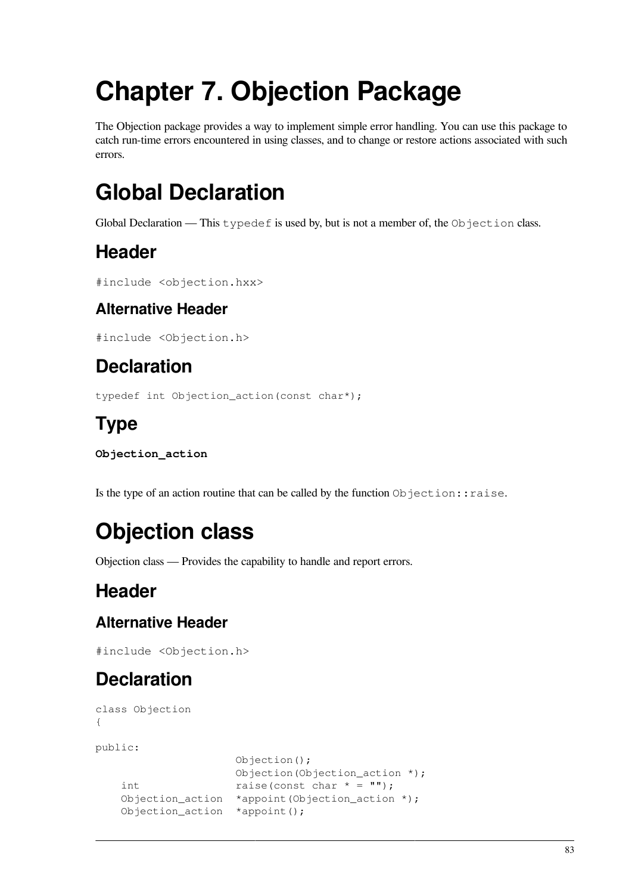# **Chapter 7. Objection Package**

The Objection package provides a way to implement simple error handling. You can use this package to catch run-time errors encountered in using classes, and to change or restore actions associated with such errors.

## **Global Declaration**

Global Declaration — This typedef is used by, but is not a member of, the Objection class.

## **Header**

```
#include <objection.hxx>
```
### **Alternative Header**

```
#include <Objection.h>
```
## **Declaration**

typedef int Objection\_action(const char\*);

## **Type**

```
Objection_action
```
Is the type of an action routine that can be called by the function Objection::raise.

## **Objection class**

Objection class — Provides the capability to handle and report errors.

## **Header**

### **Alternative Header**

#include <Objection.h>

## **Declaration**

```
class Objection
{
public:
                      Objection();
                      Objection(Objection_action *);
   int raise(const char * = ""); Objection_action *appoint(Objection_action *);
    Objection_action *appoint();
```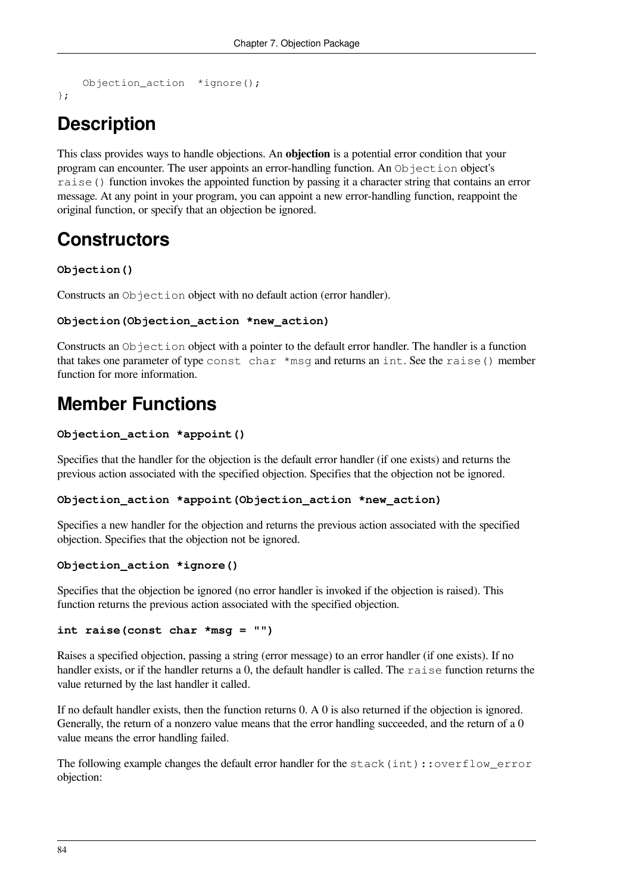```
Objection_action *ignore();
```
};

## **Description**

This class provides ways to handle objections. An **objection** is a potential error condition that your program can encounter. The user appoints an error-handling function. An Objection object's raise() function invokes the appointed function by passing it a character string that contains an error message. At any point in your program, you can appoint a new error-handling function, reappoint the original function, or specify that an objection be ignored.

## **Constructors**

#### **Objection()**

Constructs an Objection object with no default action (error handler).

```
Objection(Objection_action *new_action)
```
Constructs an Objection object with a pointer to the default error handler. The handler is a function that takes one parameter of type const char \*msg and returns an int. See the raise() member function for more information.

## **Member Functions**

```
Objection_action *appoint()
```
Specifies that the handler for the objection is the default error handler (if one exists) and returns the previous action associated with the specified objection. Specifies that the objection not be ignored.

#### **Objection\_action \*appoint(Objection\_action \*new\_action)**

Specifies a new handler for the objection and returns the previous action associated with the specified objection. Specifies that the objection not be ignored.

#### **Objection\_action \*ignore()**

Specifies that the objection be ignored (no error handler is invoked if the objection is raised). This function returns the previous action associated with the specified objection.

#### **int raise(const char \*msg = "")**

Raises a specified objection, passing a string (error message) to an error handler (if one exists). If no handler exists, or if the handler returns a 0, the default handler is called. The raise function returns the value returned by the last handler it called.

If no default handler exists, then the function returns 0. A 0 is also returned if the objection is ignored. Generally, the return of a nonzero value means that the error handling succeeded, and the return of a 0 value means the error handling failed.

The following example changes the default error handler for the stack(int):: overflow error objection: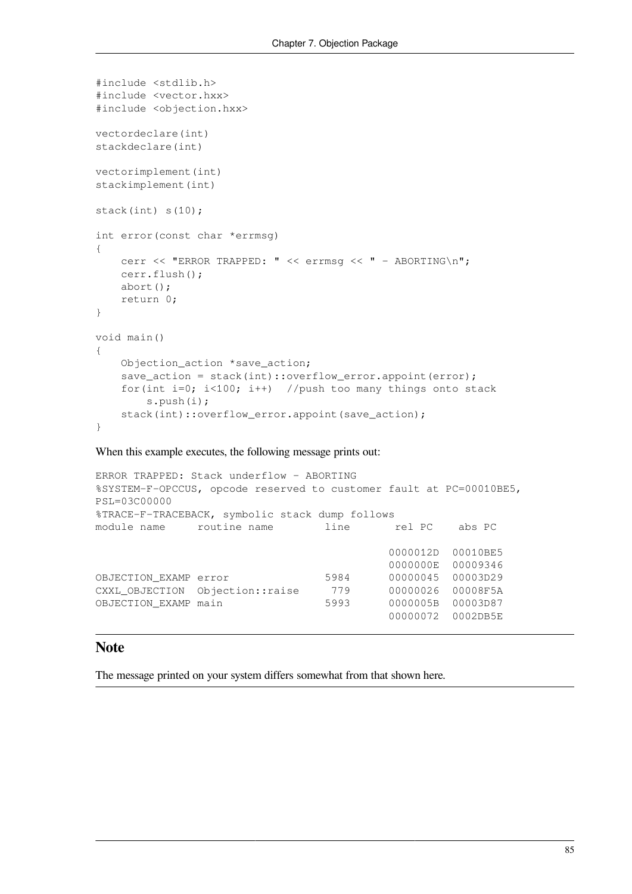```
#include <stdlib.h>
#include <vector.hxx>
#include <objection.hxx>
vectordeclare(int)
stackdeclare(int)
vectorimplement(int)
stackimplement(int)
stack(int) s(10);
int error(const char *errmsg)
{
     cerr << "ERROR TRAPPED: " << errmsg << " – ABORTING\n";
     cerr.flush();
     abort();
     return 0;
}
void main()
{
     Objection_action *save_action;
    save_action = stack(int)::overflow_error.appoint(error);
     for(int i=0; i<100; i++) //push too many things onto stack
         s.push(i);
    stack(int):: overflow error.appoint(save action);
}
```
When this example executes, the following message prints out:

```
ERROR TRAPPED: Stack underflow – ABORTING
%SYSTEM-F-OPCCUS, opcode reserved to customer fault at PC=00010BE5,
PSL=03C00000
%TRACE-F-TRACEBACK, symbolic stack dump follows
module name routine name line rel PC abs PC
                                        0000012D 00010BE5
                                        0000000E 00009346
OBJECTION_EXAMP error 5984 00000045 00003D29
CXXL_OBJECTION Objection::raise 779 00000026 00008F5A
OBJECTION_EXAMP main 5993 0000005B 00003D87
                                        00000072 0002DB5E
```
#### **Note**

The message printed on your system differs somewhat from that shown here.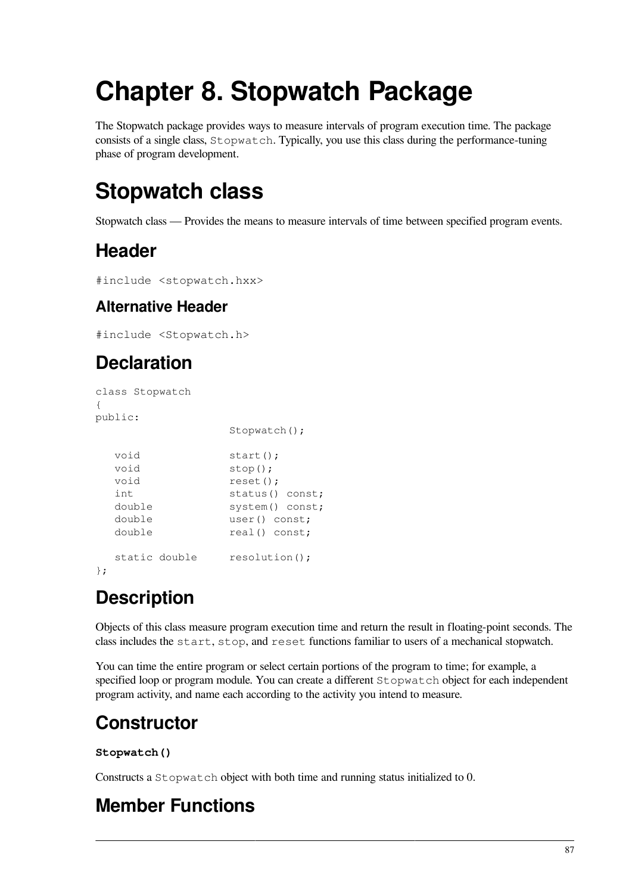# **Chapter 8. Stopwatch Package**

The Stopwatch package provides ways to measure intervals of program execution time. The package consists of a single class, Stopwatch. Typically, you use this class during the performance-tuning phase of program development.

## **Stopwatch class**

Stopwatch class — Provides the means to measure intervals of time between specified program events.

## **Header**

```
#include <stopwatch.hxx>
```
### **Alternative Header**

#include <Stopwatch.h>

## **Declaration**

```
class Stopwatch
{
public:
              Stopwatch();
  void start();
  void stop();
  void reset();
  int status() const;
   double system() const;
   double user() const;
  double real() const;static double resolution();
};
```
## **Description**

Objects of this class measure program execution time and return the result in floating-point seconds. The class includes the start, stop, and reset functions familiar to users of a mechanical stopwatch.

You can time the entire program or select certain portions of the program to time; for example, a specified loop or program module. You can create a different Stopwatch object for each independent program activity, and name each according to the activity you intend to measure.

## **Constructor**

#### **Stopwatch()**

Constructs a Stopwatch object with both time and running status initialized to 0.

## **Member Functions**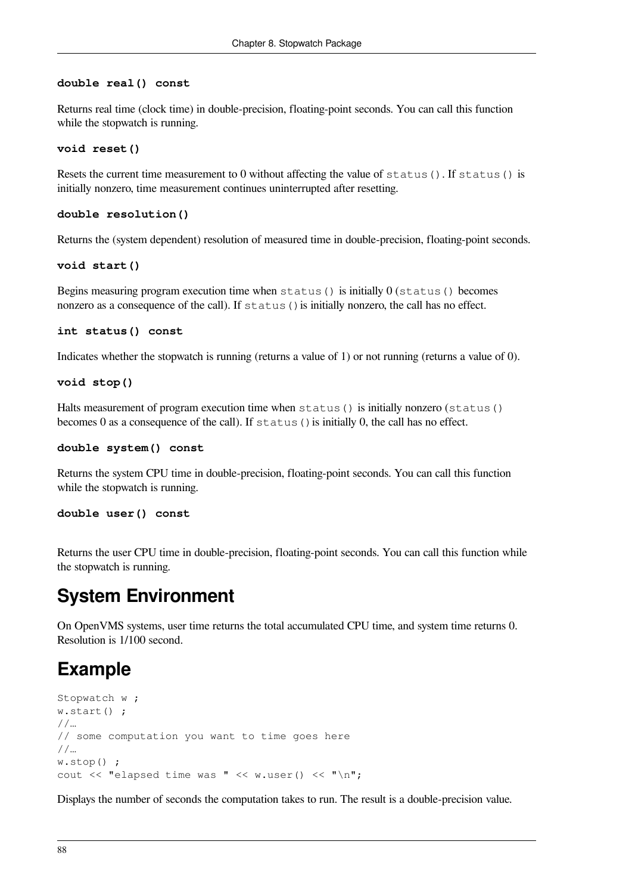#### **double real() const**

Returns real time (clock time) in double-precision, floating-point seconds. You can call this function while the stopwatch is running.

#### **void reset()**

Resets the current time measurement to 0 without affecting the value of status(). If status() is initially nonzero, time measurement continues uninterrupted after resetting.

#### **double resolution()**

Returns the (system dependent) resolution of measured time in double-precision, floating-point seconds.

#### **void start()**

Begins measuring program execution time when status() is initially 0 (status() becomes nonzero as a consequence of the call). If status () is initially nonzero, the call has no effect.

```
int status() const
```
Indicates whether the stopwatch is running (returns a value of 1) or not running (returns a value of 0).

#### **void stop()**

Halts measurement of program execution time when status() is initially nonzero (status() becomes 0 as a consequence of the call). If  $status()$  is initially 0, the call has no effect.

#### **double system() const**

Returns the system CPU time in double-precision, floating-point seconds. You can call this function while the stopwatch is running.

#### **double user() const**

Returns the user CPU time in double-precision, floating-point seconds. You can call this function while the stopwatch is running.

### **System Environment**

On OpenVMS systems, user time returns the total accumulated CPU time, and system time returns 0. Resolution is 1/100 second.

### **Example**

```
Stopwatch w ;
w.start() ;
//…
// some computation you want to time goes here
//…
w.stop() ;
cout \lt "elapsed time was " \lt w.user() \lt "\n";
```
Displays the number of seconds the computation takes to run. The result is a double-precision value.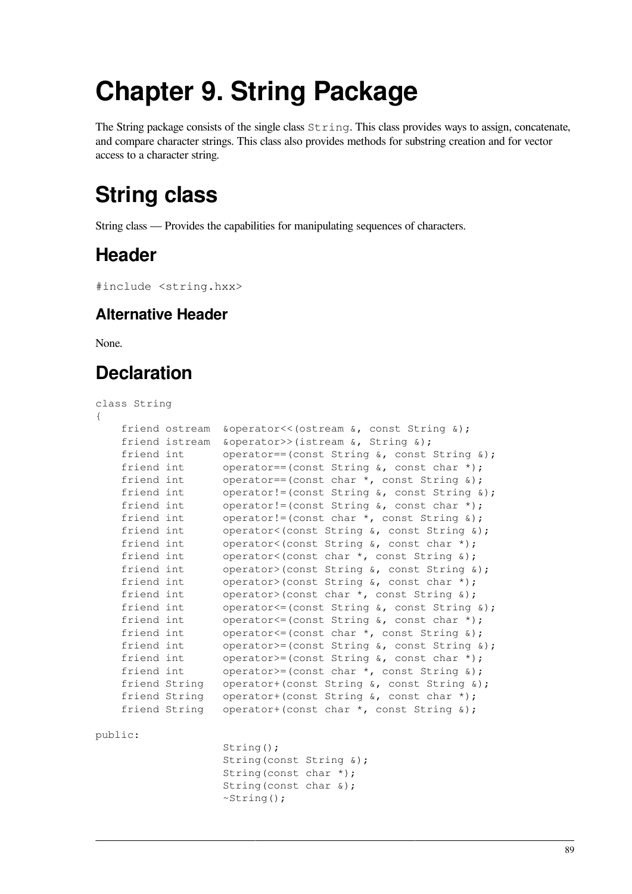# **Chapter 9. String Package**

The String package consists of the single class  $String$ . This class provides ways to assign, concatenate, and compare character strings. This class also provides methods for substring creation and for vector access to a character string.

## **String class**

String class — Provides the capabilities for manipulating sequences of characters.

## **Header**

```
#include <string.hxx>
```
### **Alternative Header**

None.

## **Declaration**

#### class String

| $\{$           |                                                        |
|----------------|--------------------------------------------------------|
| friend ostream | $\&\text{operator<<}(ostream \&, const String \&);$    |
| friend istream | &operator>>(istream &, String &);                      |
| friend int     | operator==(const String $\⊂>l$ , const String $\⊂>l$ ; |
| friend int     | operator==(const String $\⊂>l$ , const char *);        |
| friend int     | operator==(const char $\star$ , const String $\&)$ ;   |
| friend int     | operator!=(const String $\⊂>l$ , const String $\⊂>l$ ; |
| friend int     | operator!=(const String $\⊂>l$ , const char *);        |
| friend int     | operator!=(const char $\star$ , const String $\&)$ ;   |
| friend int     | operator<(const String &, const String &);             |
| friend int     | operator<(const String $\⊂>l$ , const char *);         |
| friend int     | operator<(const char $\star$ , const String $\&)$ ;    |
| friend int     | operator>(const String &, const String &);             |
| friend int     | operator>(const String $\⊂>l$ , const char *);         |
| friend int     | operator>(const char $\star$ , const String &);        |
| friend int     | operator $\leq$ (const String &, const String &);      |
| friend int     | operator $\leq$ (const String &, const char $\star$ ); |
| friend int     | operator $\leq$ (const char $\star$ , const String &); |
| friend int     | operator>=(const String $\⊂>0$ , const String $\⊂>0$ ; |
| friend int     | operator>=(const String $\⊂>0$ , const char *);        |
| friend int     | operator>=(const char $\star$ , const String $\&)$ ;   |
| friend String  | operator+(const String &, const String &);             |
| friend String  | operator+(const String $\⊂>l$ , const char *);         |
| friend String  | operator+(const char *, const String &);               |
| public:        |                                                        |
|                | $String()$ ;                                           |
|                | String (const String &);                               |

 String(const char \*); String(const char &);

 $~\sim$ String();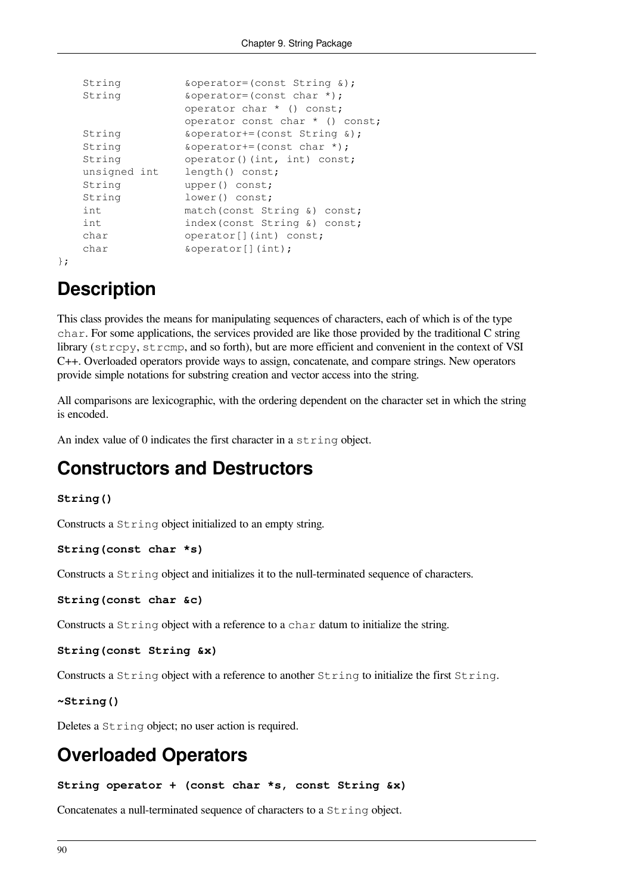```
String \&\text{operator=}(const \text{ String } \&);
String \&\text{operator=}(const \text{ char }*);
                operator char * () const;
                operator const char * () const;
String \&\text{operator+=}(const \text{ String } \&);
String \&\text{operator+=}(const \text{ char}^*);
String operator()(int, int) const;
unsigned int length() const;
String upper() const;
String lower() const;
int match(const String &) const;
int index(const String &) const;
char operator[](int) const;
char \&\text{operator}[](\text{int});
```

```
};
```
## **Description**

This class provides the means for manipulating sequences of characters, each of which is of the type char. For some applications, the services provided are like those provided by the traditional C string library (strcpy, strcmp, and so forth), but are more efficient and convenient in the context of VSI C++. Overloaded operators provide ways to assign, concatenate, and compare strings. New operators provide simple notations for substring creation and vector access into the string.

All comparisons are lexicographic, with the ordering dependent on the character set in which the string is encoded.

An index value of 0 indicates the first character in a string object.

### **Constructors and Destructors**

#### **String()**

Constructs a String object initialized to an empty string.

#### **String(const char \*s)**

Constructs a String object and initializes it to the null-terminated sequence of characters.

```
String(const char &c)
```
Constructs a  $String$  object with a reference to a char datum to initialize the string.

```
String(const String &x)
```
Constructs a String object with a reference to another String to initialize the first String.

```
~String()
```
Deletes a String object; no user action is required.

## **Overloaded Operators**

**String operator + (const char \*s, const String &x)**

Concatenates a null-terminated sequence of characters to a String object.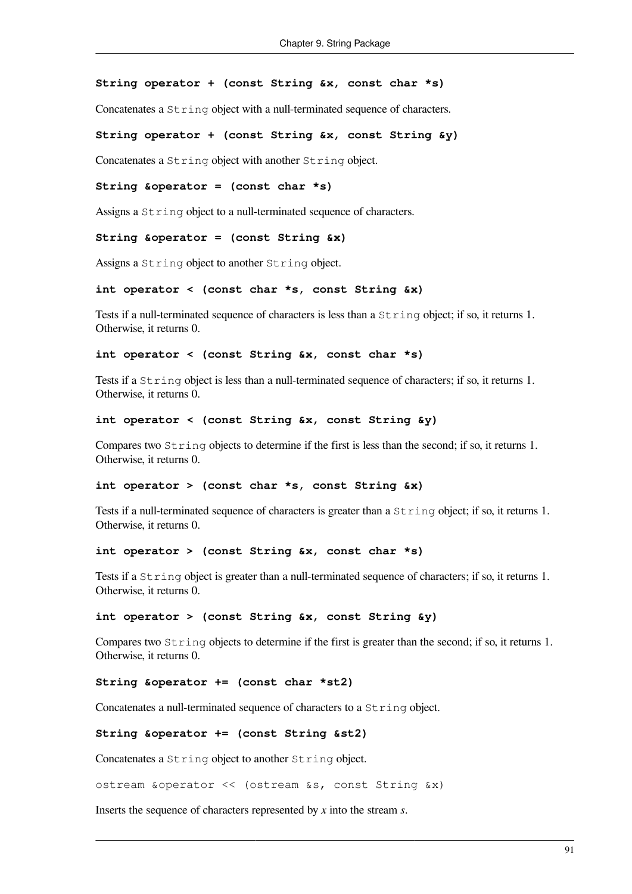#### **String operator + (const String &x, const char \*s)**

Concatenates a String object with a null-terminated sequence of characters.

#### **String operator + (const String &x, const String &y)**

Concatenates a String object with another String object.

#### **String &operator = (const char \*s)**

Assigns a  $String$  object to a null-terminated sequence of characters.

#### **String &operator = (const String &x)**

Assigns a String object to another String object.

#### **int operator < (const char \*s, const String &x)**

Tests if a null-terminated sequence of characters is less than a String object; if so, it returns 1. Otherwise, it returns 0.

#### **int operator < (const String &x, const char \*s)**

Tests if a String object is less than a null-terminated sequence of characters; if so, it returns 1. Otherwise, it returns 0.

#### **int operator < (const String &x, const String &y)**

Compares two String objects to determine if the first is less than the second; if so, it returns 1. Otherwise, it returns 0.

#### **int operator > (const char \*s, const String &x)**

Tests if a null-terminated sequence of characters is greater than a String object; if so, it returns 1. Otherwise, it returns 0.

#### **int operator > (const String &x, const char \*s)**

Tests if a String object is greater than a null-terminated sequence of characters; if so, it returns 1. Otherwise, it returns 0.

#### **int operator > (const String &x, const String &y)**

Compares two String objects to determine if the first is greater than the second; if so, it returns 1. Otherwise, it returns 0.

#### **String &operator += (const char \*st2)**

Concatenates a null-terminated sequence of characters to a String object.

#### **String &operator += (const String &st2)**

Concatenates a String object to another String object.

ostream &operator << (ostream &s, const String &x)

Inserts the sequence of characters represented by *x* into the stream *s*.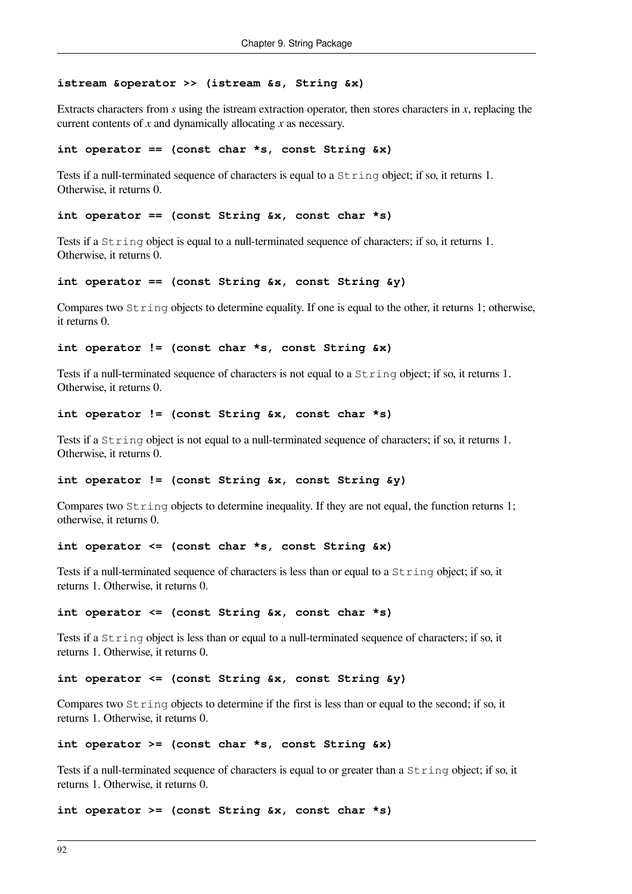#### **istream &operator >> (istream &s, String &x)**

Extracts characters from *s* using the istream extraction operator, then stores characters in *x*, replacing the current contents of *x* and dynamically allocating *x* as necessary.

#### **int operator == (const char \*s, const String &x)**

Tests if a null-terminated sequence of characters is equal to a  $S_{\text{tring}}$  object; if so, it returns 1. Otherwise, it returns 0.

#### **int operator == (const String &x, const char \*s)**

Tests if a String object is equal to a null-terminated sequence of characters; if so, it returns 1. Otherwise, it returns 0.

#### **int operator == (const String &x, const String &y)**

Compares two String objects to determine equality. If one is equal to the other, it returns 1; otherwise, it returns 0.

#### **int operator != (const char \*s, const String &x)**

Tests if a null-terminated sequence of characters is not equal to a String object; if so, it returns 1. Otherwise, it returns 0.

#### **int operator != (const String &x, const char \*s)**

Tests if a String object is not equal to a null-terminated sequence of characters; if so, it returns 1. Otherwise, it returns 0.

#### **int operator != (const String &x, const String &y)**

Compares two  $String$  objects to determine inequality. If they are not equal, the function returns 1; otherwise, it returns 0.

#### **int operator <= (const char \*s, const String &x)**

Tests if a null-terminated sequence of characters is less than or equal to a String object; if so, it returns 1. Otherwise, it returns 0.

**int operator <= (const String &x, const char \*s)**

Tests if a String object is less than or equal to a null-terminated sequence of characters; if so, it returns 1. Otherwise, it returns 0.

#### **int operator <= (const String &x, const String &y)**

Compares two  $String$  objects to determine if the first is less than or equal to the second; if so, it returns 1. Otherwise, it returns 0.

```
int operator >= (const char *s, const String &x)
```
Tests if a null-terminated sequence of characters is equal to or greater than a String object; if so, it returns 1. Otherwise, it returns 0.

**int operator >= (const String &x, const char \*s)**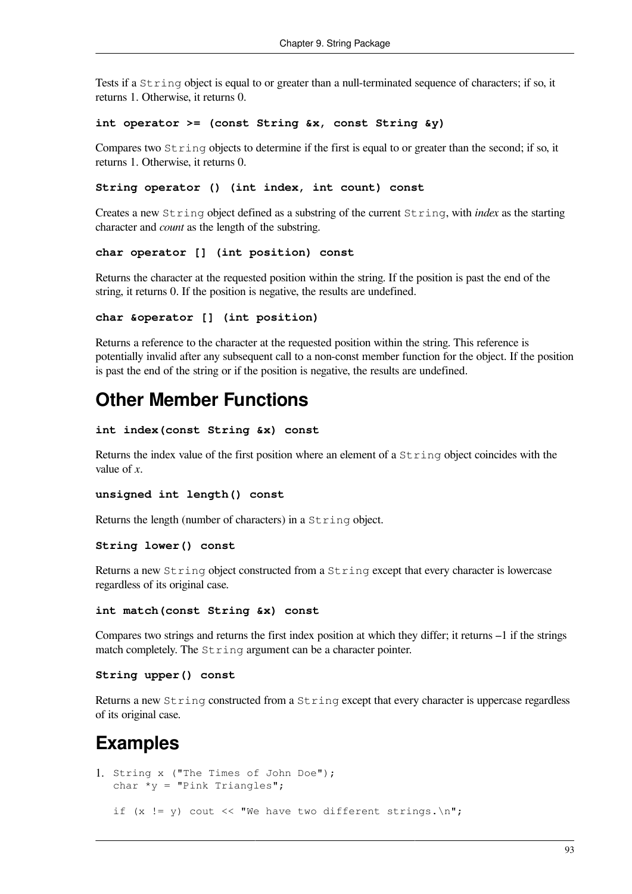Tests if a String object is equal to or greater than a null-terminated sequence of characters; if so, it returns 1. Otherwise, it returns 0.

#### **int operator >= (const String &x, const String &y)**

Compares two  $String$  objects to determine if the first is equal to or greater than the second; if so, it returns 1. Otherwise, it returns 0.

#### **String operator () (int index, int count) const**

Creates a new String object defined as a substring of the current String, with *index* as the starting character and *count* as the length of the substring.

#### **char operator [] (int position) const**

Returns the character at the requested position within the string. If the position is past the end of the string, it returns 0. If the position is negative, the results are undefined.

#### **char &operator [] (int position)**

Returns a reference to the character at the requested position within the string. This reference is potentially invalid after any subsequent call to a non-const member function for the object. If the position is past the end of the string or if the position is negative, the results are undefined.

### **Other Member Functions**

```
int index(const String &x) const
```
Returns the index value of the first position where an element of a String object coincides with the value of *x*.

```
unsigned int length() const
```
Returns the length (number of characters) in a String object.

#### **String lower() const**

Returns a new String object constructed from a String except that every character is lowercase regardless of its original case.

#### **int match(const String &x) const**

Compares two strings and returns the first index position at which they differ; it returns –1 if the strings match completely. The  $String$  argument can be a character pointer.

#### **String upper() const**

Returns a new String constructed from a String except that every character is uppercase regardless of its original case.

### **Examples**

```
1. String x ("The Times of John Doe");
  char *_y = "Pink Triangles";
  if (x := y) cout \lt\lt "We have two different strings. \n";
```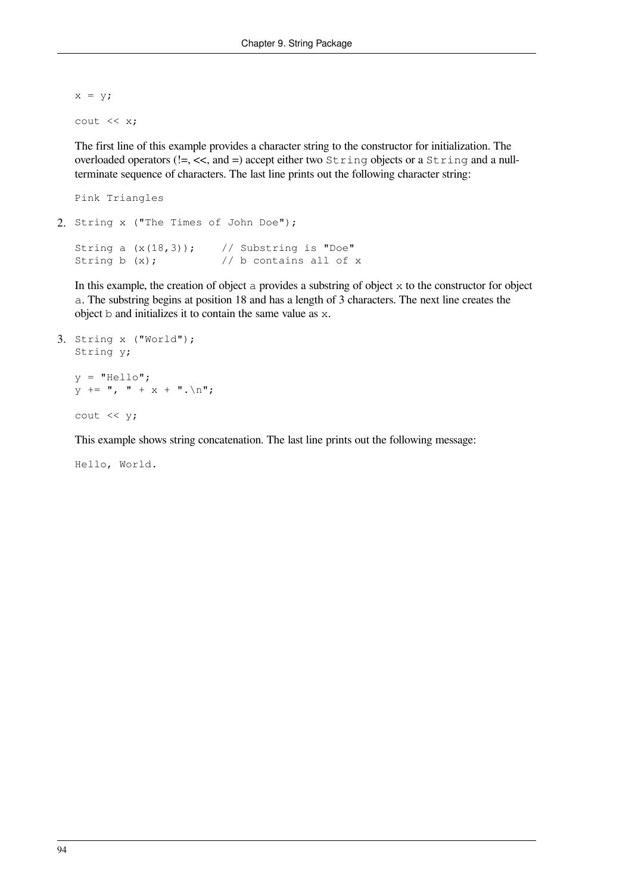$x = y;$ cout << x;

The first line of this example provides a character string to the constructor for initialization. The overloaded operators ( $!=, \lt\lt$ , and  $=$ ) accept either two String objects or a String and a nullterminate sequence of characters. The last line prints out the following character string:

```
Pink Triangles
2. String x ("The Times of John Doe");
  String a (x(18,3)); // Substring is "Doe"
  String b (x); \frac{1}{2} // b contains all of x
```
In this example, the creation of object a provides a substring of object x to the constructor for object a. The substring begins at position 18 and has a length of 3 characters. The next line creates the object b and initializes it to contain the same value as x.

```
3. String x ("World");
  String y;
  y = "Hello";y += '', '' + x + ''. \n";
  cout << y;
```
This example shows string concatenation. The last line prints out the following message:

Hello, World.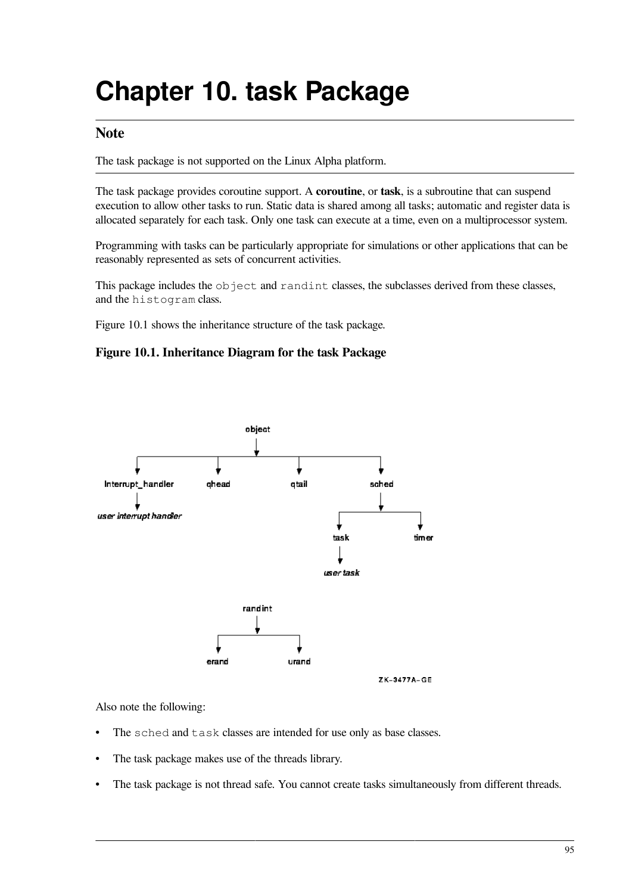# **Chapter 10. task Package**

### **Note**

The task package is not supported on the Linux Alpha platform.

The task package provides coroutine support. A **coroutine**, or **task**, is a subroutine that can suspend execution to allow other tasks to run. Static data is shared among all tasks; automatic and register data is allocated separately for each task. Only one task can execute at a time, even on a multiprocessor system.

Programming with tasks can be particularly appropriate for simulations or other applications that can be reasonably represented as sets of concurrent activities.

This package includes the object and randint classes, the subclasses derived from these classes, and the histogram class.

<span id="page-100-0"></span>[Figure](#page-100-0) 10.1 shows the inheritance structure of the task package.

#### **Figure 10.1. Inheritance Diagram for the task Package**



#### Also note the following:

- The sched and task classes are intended for use only as base classes.
- The task package makes use of the threads library.
- The task package is not thread safe. You cannot create tasks simultaneously from different threads.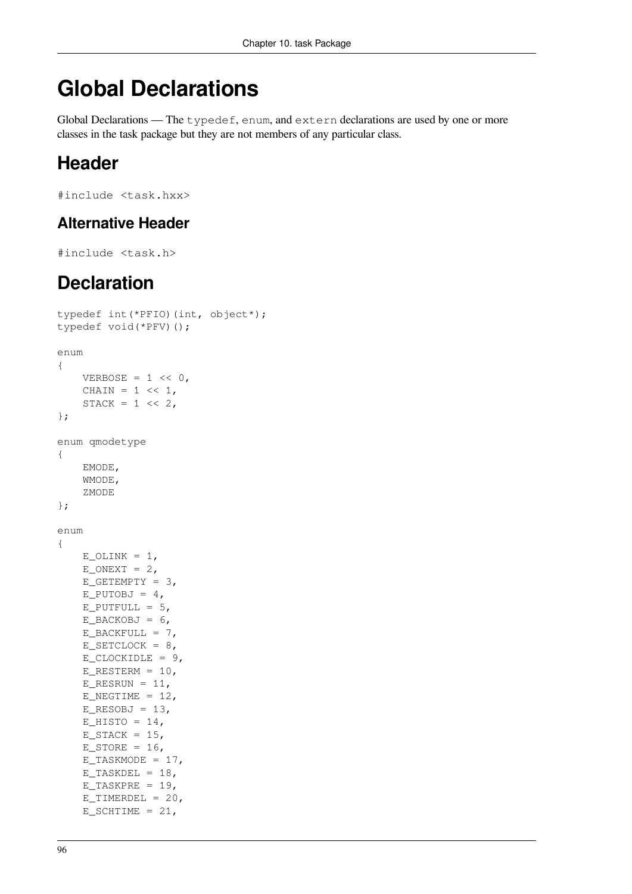## **Global Declarations**

Global Declarations — The typedef, enum, and extern declarations are used by one or more classes in the task package but they are not members of any particular class.

## **Header**

```
#include <task.hxx>
```
### **Alternative Header**

```
#include <task.h>
```
## **Declaration**

```
typedef int(*PFIO)(int, object*);
typedef void(*PFV)();
enum
{
    VERBOSE = 1 \lt\lt 0,
    CHAIN = 1 \leq 1,
    STACK = 1 \lt\lt 2,};
enum qmodetype
{
     EMODE,
     WMODE,
     ZMODE
};
enum
{
    E_OLINK = 1,E_ONEXT = 2,
    E_{C}GETEMPTY = 3,
    E_PUTOBJ = 4,E_PUTFULL = 5,
    E_BACKOBJ = 6,
    E_BACKFULL = 7,
    E_SETCLOCK = 8,
    E CLOCKIDLE = 9,
    E_RESTERM = 10,
    E\_RESRUN = 11,E_NEGTIME = 12,
    E\_RESOBJ = 13,E_HISTO = 14,
    E_STACK = 15,
    E_STORE = 16,
    E_TASKMODE = 17,
    E_TASKDEL = 18,E_TASKPRE = 19,E TIMERDEL = 20,
    E_SCHTIME = 21,
```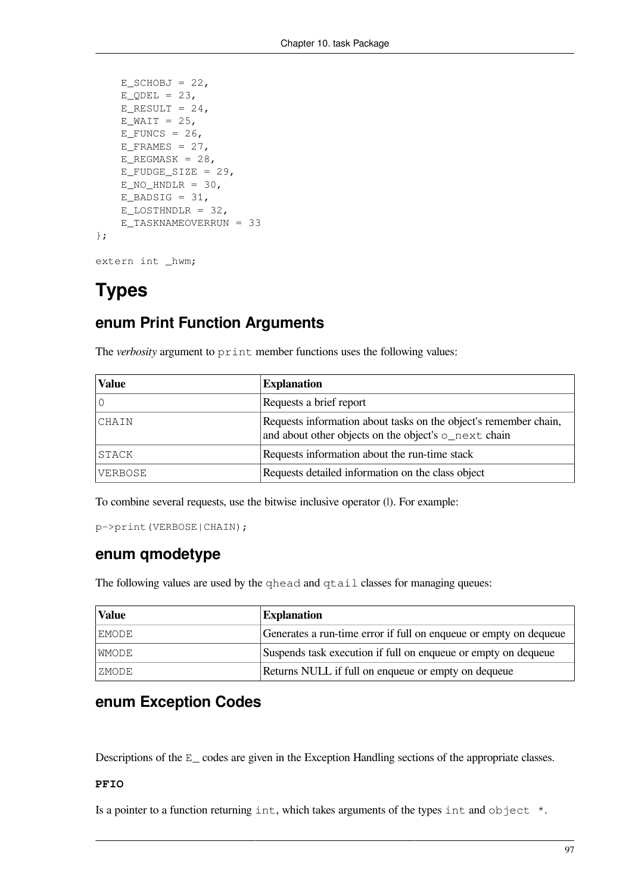```
E_SCHOBJ = 22E_QDEL = 23,
    E_RESULT = 24,E_WAIT = 25,
   E_FUNCS = 26,
    E_FRAMES = 27,
   E_REGMASK = 28,
   E_FUDGE_SIZE = 29,E_NO_HNDLR = 30,
   E_BADSIG = 31,
   E_LOSTHNDLR = 32,
    E_TASKNAMEOVERRUN = 33
};
```

```
extern int _hwm;
```
## **Types**

### **enum Print Function Arguments**

The *verbosity* argument to print member functions uses the following values:

| <b>Value</b> | <b>Explanation</b>                                                                                                       |
|--------------|--------------------------------------------------------------------------------------------------------------------------|
|              | Requests a brief report                                                                                                  |
| CHAIN        | Requests information about tasks on the object's remember chain,<br>and about other objects on the object's o_next chain |
| STACK        | Requests information about the run-time stack                                                                            |
| VERBOSE      | Requests detailed information on the class object                                                                        |

To combine several requests, use the bitwise inclusive operator (|). For example:

```
p->print(VERBOSE|CHAIN);
```
### **enum qmodetype**

The following values are used by the qhead and qtail classes for managing queues:

| Value | <b>Explanation</b>                                                |
|-------|-------------------------------------------------------------------|
| EMODE | Generates a run-time error if full on enqueue or empty on dequeue |
| WMODE | Suspends task execution if full on enqueue or empty on dequeue    |
| ZMODE | Returns NULL if full on enqueue or empty on dequeue               |

### **enum Exception Codes**

Descriptions of the E\_ codes are given in the Exception Handling sections of the appropriate classes.

#### **PFIO**

Is a pointer to a function returning int, which takes arguments of the types int and object  $\star$ .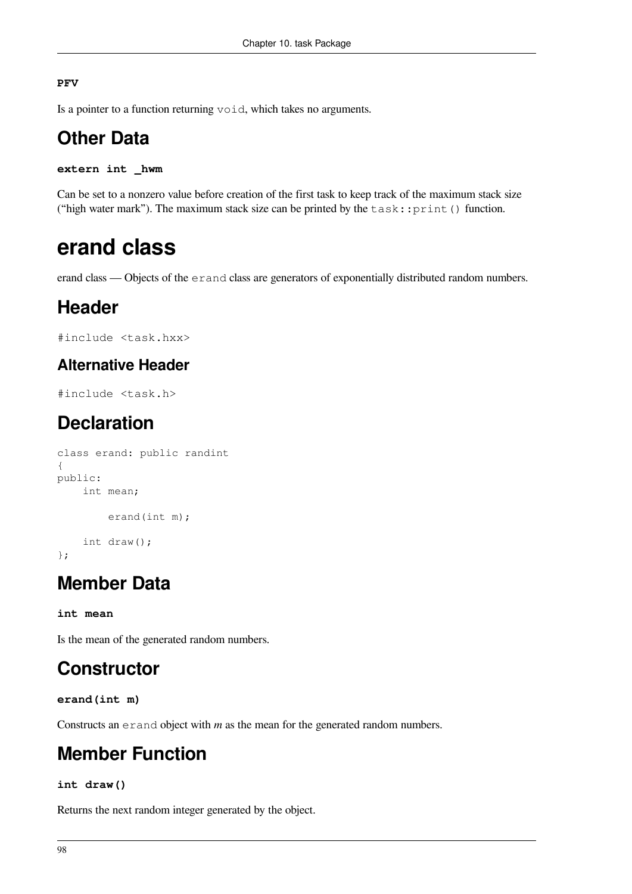#### **PFV**

Is a pointer to a function returning void, which takes no arguments.

## **Other Data**

```
extern int _hwm
```
Can be set to a nonzero value before creation of the first task to keep track of the maximum stack size ("high water mark"). The maximum stack size can be printed by the  $task::print()$  function.

## **erand class**

erand class — Objects of the erand class are generators of exponentially distributed random numbers.

## **Header**

#include <task.hxx>

### **Alternative Header**

#include <task.h>

## **Declaration**

```
class erand: public randint
{
public:
     int mean;
         erand(int m);
     int draw();
};
```
## **Member Data**

**int mean**

Is the mean of the generated random numbers.

## **Constructor**

**erand(int m)**

Constructs an erand object with *m* as the mean for the generated random numbers.

## **Member Function**

#### **int draw()**

Returns the next random integer generated by the object.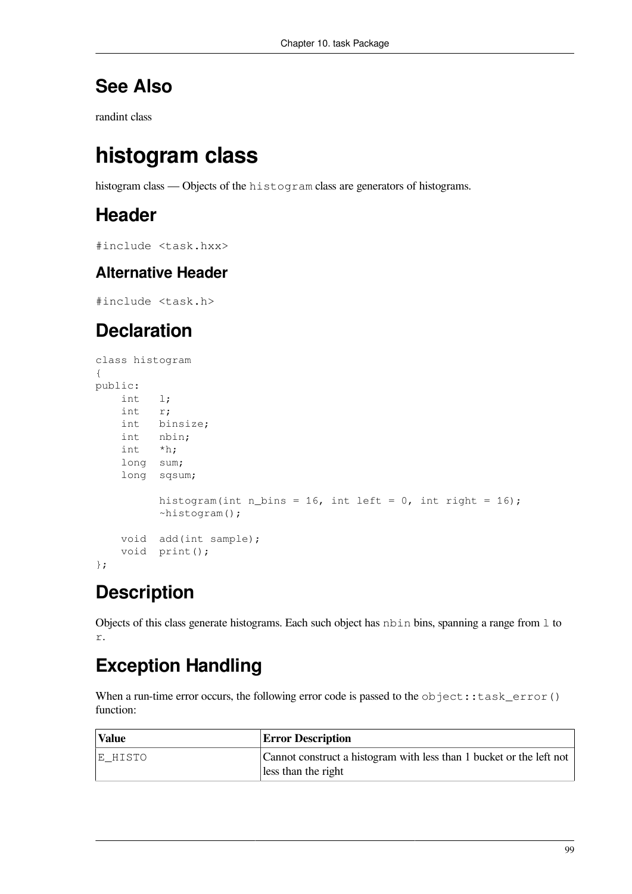## **See Also**

[randint](#page-116-0) class

## **histogram class**

histogram class — Objects of the histogram class are generators of histograms.

## **Header**

#include <task.hxx>

### **Alternative Header**

#include <task.h>

## **Declaration**

```
class histogram
{
public:
     int l;
     int r;
     int binsize;
    int nbin;
     int *h;
     long sum;
     long sqsum;
          histogram(int n_bins = 16, int left = 0, int right = 16);
           ~histogram();
     void add(int sample);
     void print();
};
```
## **Description**

Objects of this class generate histograms. Each such object has nbin bins, spanning a range from 1 to r.

## **Exception Handling**

When a run-time error occurs, the following error code is passed to the  $object::task_error()$ function:

| <b>Value</b> | <b>Error Description</b>                                                                    |
|--------------|---------------------------------------------------------------------------------------------|
| E HISTO      | Cannot construct a histogram with less than 1 bucket or the left not<br>less than the right |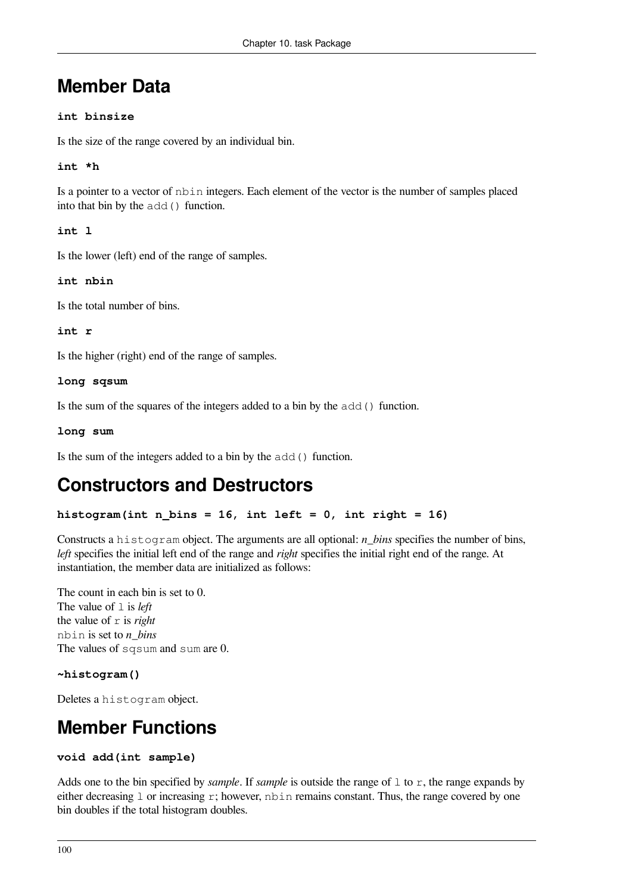## **Member Data**

#### **int binsize**

Is the size of the range covered by an individual bin.

#### **int \*h**

Is a pointer to a vector of nbin integers. Each element of the vector is the number of samples placed into that bin by the add() function.

**int l**

Is the lower (left) end of the range of samples.

**int nbin**

Is the total number of bins.

**int r**

Is the higher (right) end of the range of samples.

#### **long sqsum**

Is the sum of the squares of the integers added to a bin by the add() function.

**long sum**

Is the sum of the integers added to a bin by the add() function.

## **Constructors and Destructors**

#### histogram(int n bins =  $16$ , int left =  $0$ , int right =  $16$ )

Constructs a histogram object. The arguments are all optional: *n\_bins* specifies the number of bins, *left* specifies the initial left end of the range and *right* specifies the initial right end of the range. At instantiation, the member data are initialized as follows:

The count in each bin is set to 0. The value of 1 is *left* the value of  $r$  is *right* nbin is set to *n\_bins* The values of sqsum and sum are 0.

#### **~histogram()**

Deletes a histogram object.

## **Member Functions**

```
void add(int sample)
```
Adds one to the bin specified by *sample*. If *sample* is outside the range of  $\perp$  to  $\Gamma$ , the range expands by either decreasing  $\perp$  or increasing  $\perp$ ; however,  $n \times n$  remains constant. Thus, the range covered by one bin doubles if the total histogram doubles.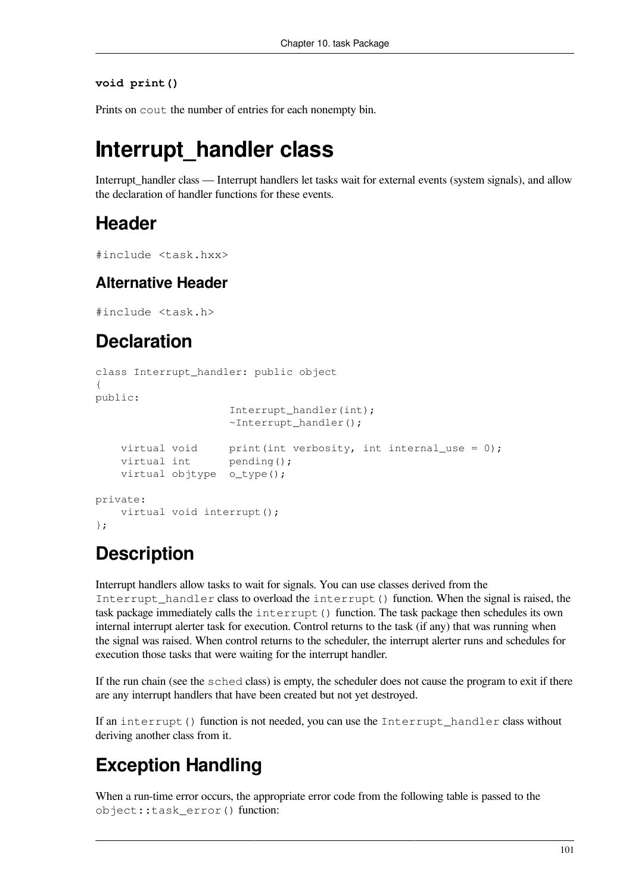#### **void print()**

Prints on cout the number of entries for each nonempty bin.

## **Interrupt\_handler class**

Interrupt\_handler class — Interrupt handlers let tasks wait for external events (system signals), and allow the declaration of handler functions for these events.

### **Header**

```
#include <task.hxx>
```
### **Alternative Header**

#include <task.h>

## **Declaration**

```
class Interrupt_handler: public object
{
public:
                     Interrupt handler(int);
                     \simInterrupt handler();
    virtual void print(int verbosity, int internal use = 0);
    virtual int pending();
     virtual objtype o_type();
private:
     virtual void interrupt();
};
```
## **Description**

Interrupt handlers allow tasks to wait for signals. You can use classes derived from the Interrupt handler class to overload the interrupt () function. When the signal is raised, the task package immediately calls the interrupt() function. The task package then schedules its own internal interrupt alerter task for execution. Control returns to the task (if any) that was running when the signal was raised. When control returns to the scheduler, the interrupt alerter runs and schedules for execution those tasks that were waiting for the interrupt handler.

If the run chain (see the sched class) is empty, the scheduler does not cause the program to exit if there are any interrupt handlers that have been created but not yet destroyed.

If an interrupt() function is not needed, you can use the Interrupt\_handler class without deriving another class from it.

## **Exception Handling**

When a run-time error occurs, the appropriate error code from the following table is passed to the object::task\_error() function: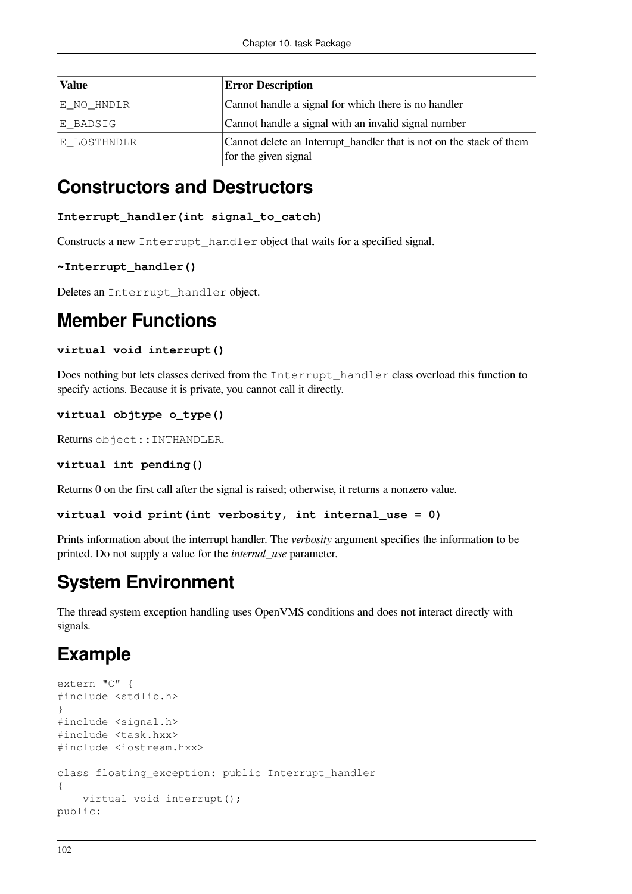| <b>Value</b> | <b>Error Description</b>                                                                    |
|--------------|---------------------------------------------------------------------------------------------|
| E NO HNDLR   | Cannot handle a signal for which there is no handler                                        |
| E BADSIG     | Cannot handle a signal with an invalid signal number                                        |
| E LOSTHNDLR  | Cannot delete an Interrupt_handler that is not on the stack of them<br>for the given signal |

### **Constructors and Destructors**

#### **Interrupt\_handler(int signal\_to\_catch)**

Constructs a new Interrupt\_handler object that waits for a specified signal.

```
~Interrupt_handler()
```
Deletes an Interrupt handler object.

### **Member Functions**

#### **virtual void interrupt()**

Does nothing but lets classes derived from the Interrupt\_handler class overload this function to specify actions. Because it is private, you cannot call it directly.

```
virtual objtype o_type()
```
Returns object::INTHANDLER.

```
virtual int pending()
```
Returns 0 on the first call after the signal is raised; otherwise, it returns a nonzero value.

```
virtual void print(int verbosity, int internal_use = 0)
```
Prints information about the interrupt handler. The *verbosity* argument specifies the information to be printed. Do not supply a value for the *internal\_use* parameter.

### **System Environment**

The thread system exception handling uses OpenVMS conditions and does not interact directly with signals.

## **Example**

```
extern "C" {
#include <stdlib.h>
}
#include <signal.h>
#include <task.hxx>
#include <iostream.hxx>
class floating_exception: public Interrupt_handler
{
     virtual void interrupt();
public:
```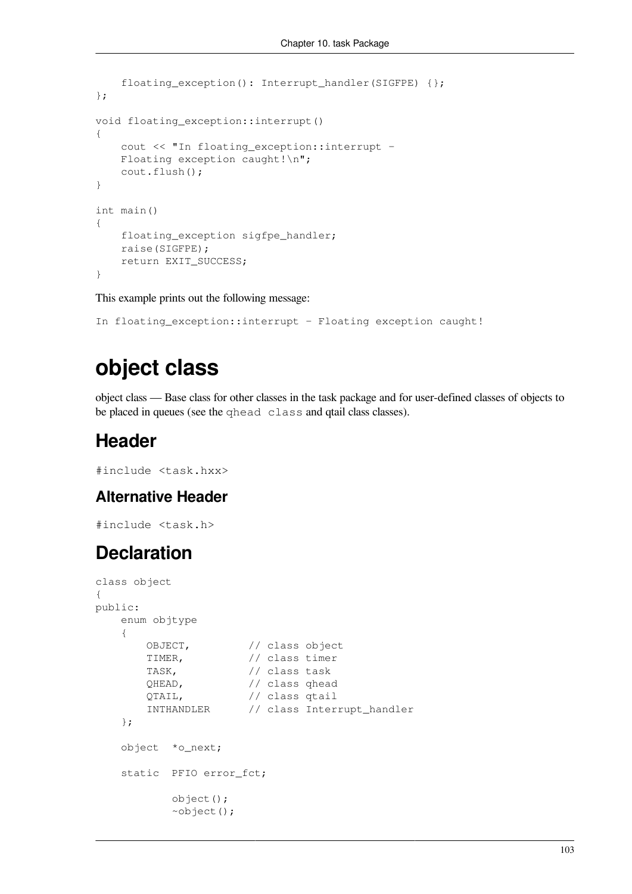```
 floating_exception(): Interrupt_handler(SIGFPE) {};
};
void floating_exception::interrupt()
{
     cout << "In floating_exception::interrupt –
    Floating exception caught!\n";
     cout.flush();
}
int main()
{
     floating_exception sigfpe_handler;
     raise(SIGFPE);
     return EXIT_SUCCESS;
}
```
This example prints out the following message:

```
In floating_exception::interrupt – Floating exception caught!
```
# **object class**

object class — Base class for other classes in the task package and for user-defined classes of objects to be placed in queues (see the [qhead class](#page-111-0) and qtail [class](#page-113-0) classes).

## **Header**

```
#include <task.hxx>
```
### **Alternative Header**

#include <task.h>

## **Declaration**

```
class object
{
public:
    enum objtype
    {
        OBJECT, // class object
        TIMER, // class timer
        TASK, // class task
        QHEAD, // class qhead
        QTAIL, // class qtail
        INTHANDLER // class Interrupt_handler
    };
    object *o_next;
    static PFIO error_fct;
           object();
           ~object();
```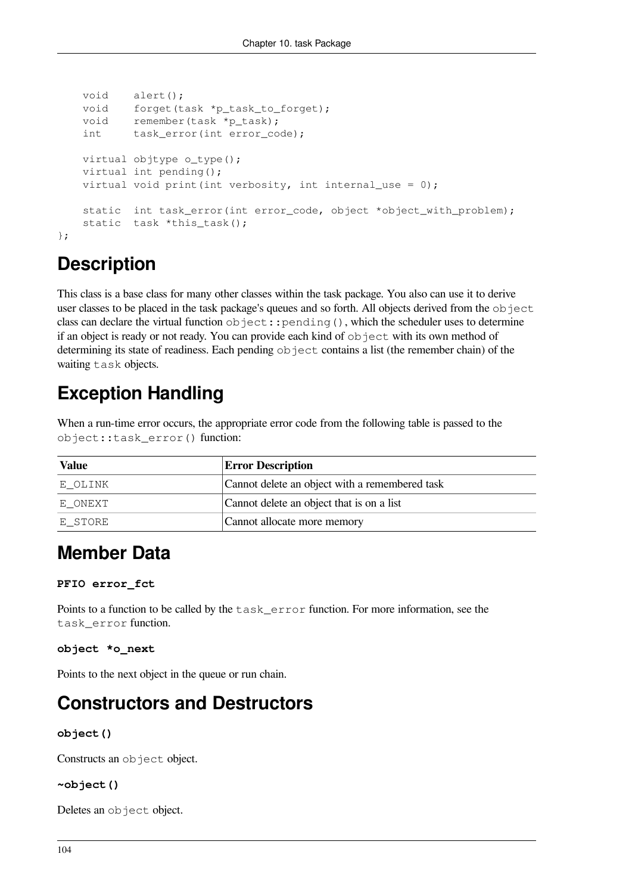```
 void alert();
    void forget(task *p_task_to_forget);
    void remember(task *p_task);
    int task_error(int error_code);
    virtual objtype o_type();
    virtual int pending();
   virtual void print(int verbosity, int internal_use = 0);
   static int task_error(int error_code, object *object_with_problem);
   static task *this_task();
};
```
# **Description**

This class is a base class for many other classes within the task package. You also can use it to derive user classes to be placed in the task package's queues and so forth. All objects derived from the  $\circ$ b ject class can declare the virtual function object::pending(), which the scheduler uses to determine if an object is ready or not ready. You can provide each kind of  $\circ$ b ject with its own method of determining its state of readiness. Each pending object contains a list (the remember chain) of the waiting task objects.

# **Exception Handling**

When a run-time error occurs, the appropriate error code from the following table is passed to the object::task\_error() function:

| <b>Value</b> | <b>Error Description</b>                       |
|--------------|------------------------------------------------|
| E OLINK      | Cannot delete an object with a remembered task |
| E ONEXT      | Cannot delete an object that is on a list      |
| E STORE      | Cannot allocate more memory                    |

# **Member Data**

### **PFIO error\_fct**

Points to a function to be called by the task\_error function. For more information, see the task\_error function.

### **object \*o\_next**

Points to the next object in the queue or run chain.

## **Constructors and Destructors**

### **object()**

Constructs an object object.

### **~object()**

Deletes an object object.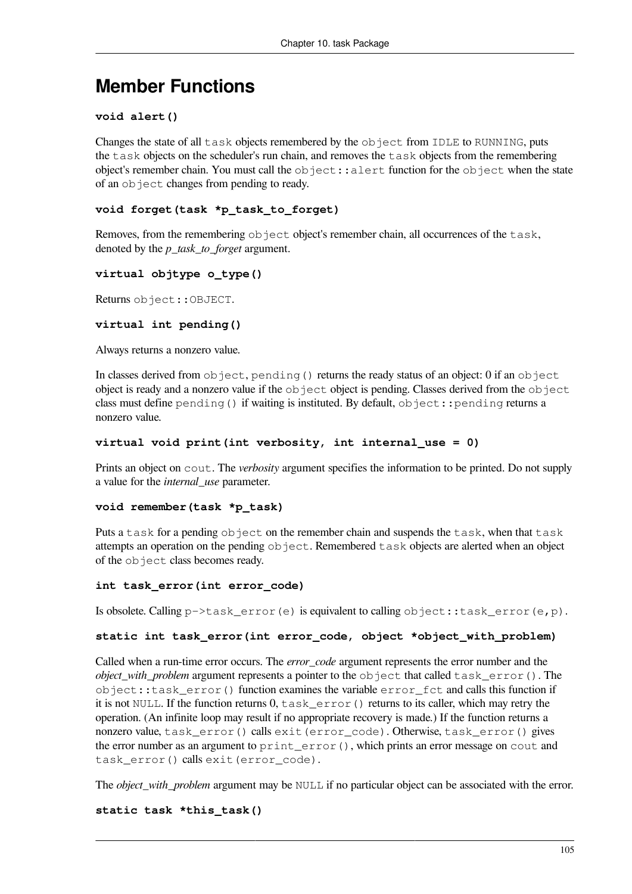## **Member Functions**

#### **void alert()**

Changes the state of all task objects remembered by the object from IDLE to RUNNING, puts the task objects on the scheduler's run chain, and removes the task objects from the remembering object's remember chain. You must call the  $\circ$ b ject::alert function for the  $\circ$ b ject when the state of an object changes from pending to ready.

### **void forget(task \*p\_task\_to\_forget)**

Removes, from the remembering  $\circ$ b ject object's remember chain, all occurrences of the task, denoted by the *p\_task\_to\_forget* argument.

### **virtual objtype o\_type()**

Returns object::OBJECT.

#### **virtual int pending()**

Always returns a nonzero value.

In classes derived from  $object, pending()$  returns the ready status of an object: 0 if an object object is ready and a nonzero value if the  $\circ$ b ject object is pending. Classes derived from the  $\circ$ b ject class must define pending() if waiting is instituted. By default,  $object: :$ pending returns a nonzero value.

#### **virtual void print(int verbosity, int internal\_use = 0)**

Prints an object on cout. The *verbosity* argument specifies the information to be printed. Do not supply a value for the *internal\_use* parameter.

#### **void remember(task \*p\_task)**

Puts a task for a pending object on the remember chain and suspends the task, when that task attempts an operation on the pending object. Remembered task objects are alerted when an object of the object class becomes ready.

#### **int task\_error(int error\_code)**

Is obsolete. Calling  $p$ ->task error(e) is equivalent to calling object::task error(e,p).

### **static int task\_error(int error\_code, object \*object\_with\_problem)**

Called when a run-time error occurs. The *error\_code* argument represents the error number and the *object\_with\_problem* argument represents a pointer to the object that called task\_error(). The object::task\_error() function examines the variable error\_fct and calls this function if it is not NULL. If the function returns  $0, \text{task}$  error() returns to its caller, which may retry the operation. (An infinite loop may result if no appropriate recovery is made.) If the function returns a nonzero value, task\_error() calls exit(error\_code). Otherwise, task\_error() gives the error number as an argument to print\_error(), which prints an error message on cout and task\_error() calls exit(error\_code).

The *object\_with\_problem* argument may be NULL if no particular object can be associated with the error.

### **static task \*this\_task()**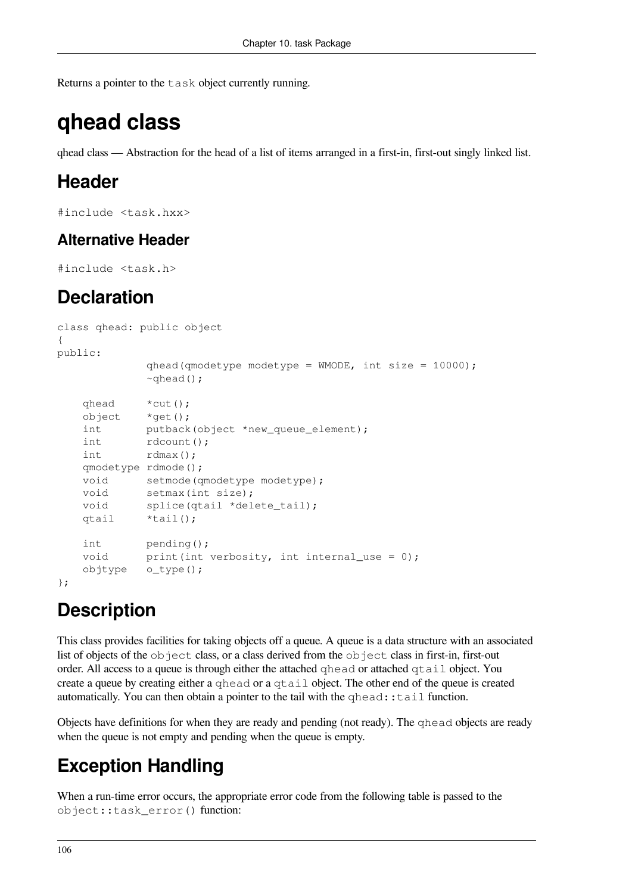<span id="page-111-0"></span>Returns a pointer to the task object currently running.

# **qhead class**

qhead class — Abstraction for the head of a list of items arranged in a first-in, first-out singly linked list.

# **Header**

#include <task.hxx>

### **Alternative Header**

```
#include <task.h>
```
## **Declaration**

```
class qhead: public object
{
public:
            qhead(qmodelype modelype = WMODE, int size = 10000);~\simqhead();
    qhead *cut();
    object *get();
    int putback(object *new_queue_element);
    int rdcount();
    int rdmax();
    qmodetype rdmode();
   void setmode(qmodetype modetype);
   void setmax(int size);
   void splice(qtail *delete_tail);
    qtail *tail();
    int pending();
   void print(int verbosity, int internal_use = 0);
    objtype o_type();
};
```
# **Description**

This class provides facilities for taking objects off a queue. A queue is a data structure with an associated list of objects of the object class, or a class derived from the object class in first-in, first-out order. All access to a queue is through either the attached qhead or attached qtail object. You create a queue by creating either a qhead or a qtail object. The other end of the queue is created automatically. You can then obtain a pointer to the tail with the  $q$ head::tail function.

Objects have definitions for when they are ready and pending (not ready). The qhead objects are ready when the queue is not empty and pending when the queue is empty.

# **Exception Handling**

When a run-time error occurs, the appropriate error code from the following table is passed to the object::task\_error() function: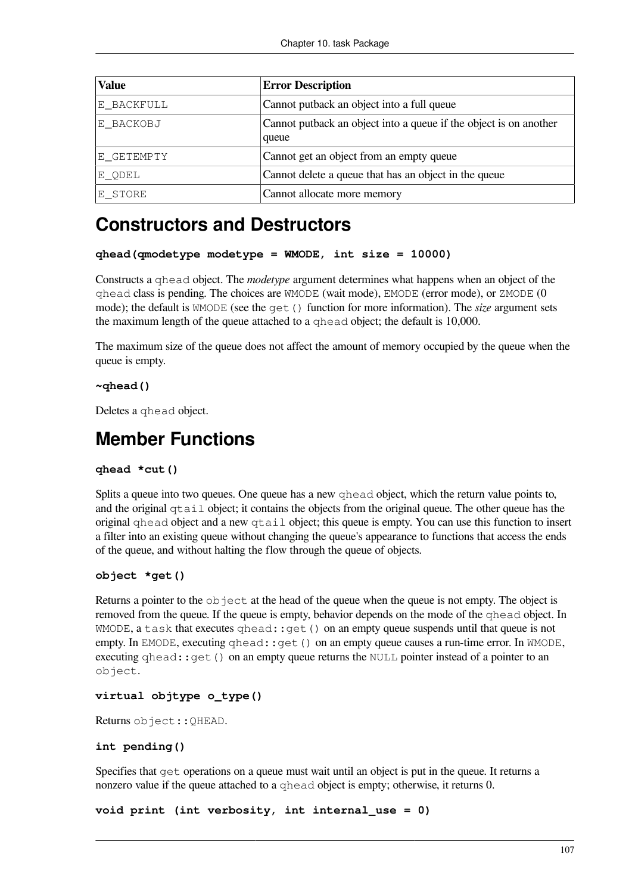| <b>Value</b> | <b>Error Description</b>                                                    |
|--------------|-----------------------------------------------------------------------------|
| E_BACKFULL   | Cannot putback an object into a full queue                                  |
| E BACKOBJ    | Cannot put back an object into a queue if the object is on another<br>queue |
| E_GETEMPTY   | Cannot get an object from an empty queue                                    |
| E ODEL       | Cannot delete a queue that has an object in the queue                       |
| E STORE      | Cannot allocate more memory                                                 |

## **Constructors and Destructors**

```
qhead(qmodetype modetype = WMODE, int size = 10000)
```
Constructs a qhead object. The *modetype* argument determines what happens when an object of the qhead class is pending. The choices are WMODE (wait mode), EMODE (error mode), or ZMODE (0 mode); the default is WMODE (see the get() function for more information). The *size* argument sets the maximum length of the queue attached to a qhead object; the default is 10,000.

The maximum size of the queue does not affect the amount of memory occupied by the queue when the queue is empty.

### **~qhead()**

Deletes a qhead object.

### **Member Functions**

### **qhead \*cut()**

Splits a queue into two queues. One queue has a new qhead object, which the return value points to, and the original qtail object; it contains the objects from the original queue. The other queue has the original qhead object and a new qtail object; this queue is empty. You can use this function to insert a filter into an existing queue without changing the queue's appearance to functions that access the ends of the queue, and without halting the flow through the queue of objects.

### **object \*get()**

Returns a pointer to the  $\circ$ b ject at the head of the queue when the queue is not empty. The object is removed from the queue. If the queue is empty, behavior depends on the mode of the qhead object. In  $WMODE$ , a task that executes qhead:: qet() on an empty queue suspends until that queue is not empty. In EMODE, executing qhead:: qet () on an empty queue causes a run-time error. In WMODE, executing qhead::get() on an empty queue returns the NULL pointer instead of a pointer to an object.

### **virtual objtype o\_type()**

Returns object::QHEAD.

### **int pending()**

Specifies that get operations on a queue must wait until an object is put in the queue. It returns a nonzero value if the queue attached to a qhead object is empty; otherwise, it returns 0.

```
void print (int verbosity, int internal_use = 0)
```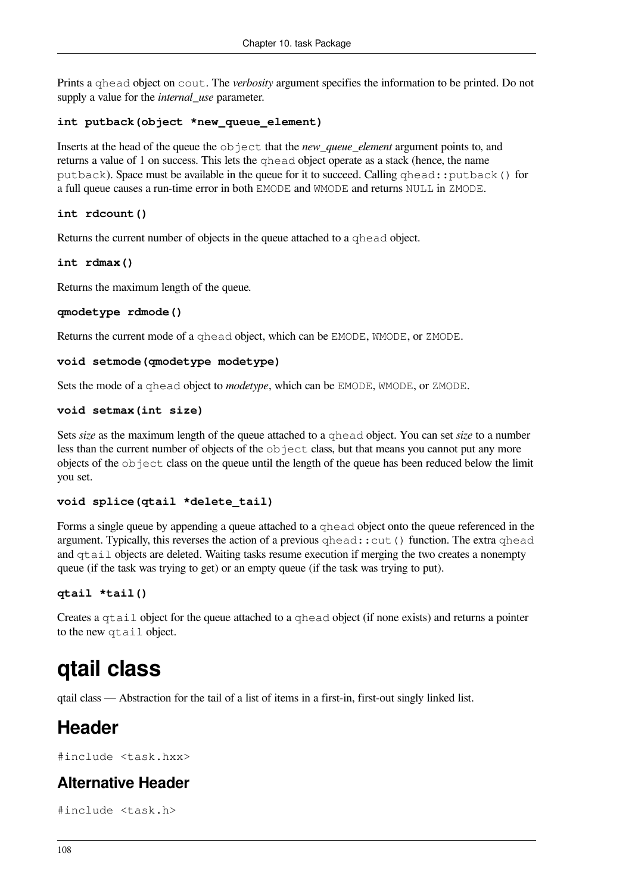Prints a qhead object on cout. The *verbosity* argument specifies the information to be printed. Do not supply a value for the *internal\_use* parameter.

### **int putback(object \*new\_queue\_element)**

Inserts at the head of the queue the object that the *new\_queue\_element* argument points to, and returns a value of 1 on success. This lets the qhead object operate as a stack (hence, the name putback). Space must be available in the queue for it to succeed. Calling qhead::putback() for a full queue causes a run-time error in both EMODE and WMODE and returns NULL in ZMODE.

### **int rdcount()**

Returns the current number of objects in the queue attached to a qhead object.

**int rdmax()**

Returns the maximum length of the queue.

#### **qmodetype rdmode()**

Returns the current mode of a qhead object, which can be EMODE, WMODE, or ZMODE.

```
void setmode(qmodetype modetype)
```
Sets the mode of a qhead object to *modetype*, which can be EMODE, WMODE, or ZMODE.

#### **void setmax(int size)**

Sets *size* as the maximum length of the queue attached to a qhead object. You can set *size* to a number less than the current number of objects of the object class, but that means you cannot put any more objects of the object class on the queue until the length of the queue has been reduced below the limit you set.

### **void splice(qtail \*delete\_tail)**

Forms a single queue by appending a queue attached to a qhead object onto the queue referenced in the argument. Typically, this reverses the action of a previous qhead:: cut() function. The extra qhead and qtail objects are deleted. Waiting tasks resume execution if merging the two creates a nonempty queue (if the task was trying to get) or an empty queue (if the task was trying to put).

### **qtail \*tail()**

Creates a qtail object for the queue attached to a qhead object (if none exists) and returns a pointer to the new qtail object.

# <span id="page-113-0"></span>**qtail class**

qtail class — Abstraction for the tail of a list of items in a first-in, first-out singly linked list.

### **Header**

#include <task.hxx>

### **Alternative Header**

#include <task.h>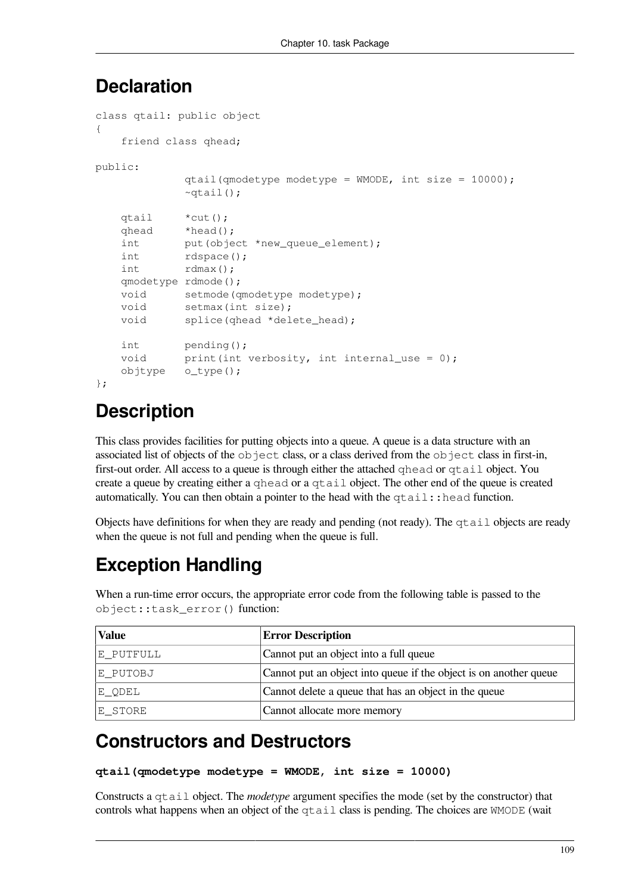### **Declaration**

```
class qtail: public object
{
    friend class qhead;
public:
              qtail(qmodetype modetype = WMODE, int size = 10000);
             ~\simqtail();
    qtail *cut();
    qhead *head();
    int put(object *new_queue_element);
    int rdspace();
    int rdmax();
    qmodetype rdmode();
   void setmode(qmodetype modetype);
   void setmax(int size);
   void splice(qhead *delete_head);
    int pending();
   void print(int verbosity, int internal_use = 0);
    objtype o_type();
```

```
};
```
# **Description**

This class provides facilities for putting objects into a queue. A queue is a data structure with an associated list of objects of the object class, or a class derived from the object class in first-in, first-out order. All access to a queue is through either the attached qhead or qtail object. You create a queue by creating either a qhead or a qtail object. The other end of the queue is created automatically. You can then obtain a pointer to the head with the  $\forall$ tail::head function.

Objects have definitions for when they are ready and pending (not ready). The qtail objects are ready when the queue is not full and pending when the queue is full.

# **Exception Handling**

When a run-time error occurs, the appropriate error code from the following table is passed to the object::task\_error() function:

| <b>Value</b> | <b>Error Description</b>                                          |
|--------------|-------------------------------------------------------------------|
| E_PUTFULL    | Cannot put an object into a full queue                            |
| E PUTOBJ     | Cannot put an object into queue if the object is on another queue |
| E_QDEL       | Cannot delete a queue that has an object in the queue             |
| E STORE      | Cannot allocate more memory                                       |

# **Constructors and Destructors**

```
qtail(qmodetype modetype = WMODE, int size = 10000)
```
Constructs a qtail object. The *modetype* argument specifies the mode (set by the constructor) that controls what happens when an object of the qtail class is pending. The choices are WMODE (wait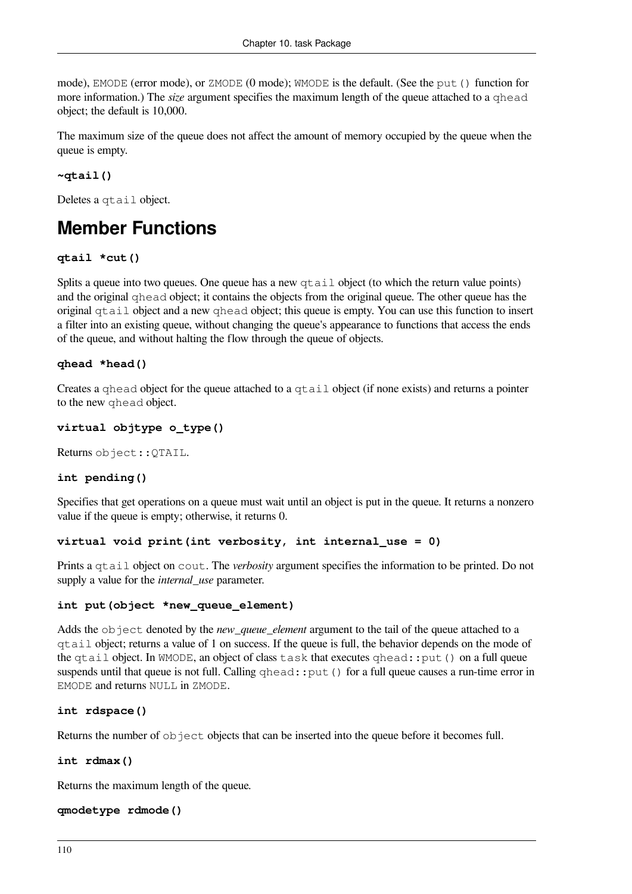mode), EMODE (error mode), or ZMODE (0 mode); WMODE is the default. (See the put() function for more information.) The *size* argument specifies the maximum length of the queue attached to a qhead object; the default is 10,000.

The maximum size of the queue does not affect the amount of memory occupied by the queue when the queue is empty.

### **~qtail()**

Deletes a qtail object.

# **Member Functions**

### **qtail \*cut()**

Splits a queue into two queues. One queue has a new  $\forall$ tail object (to which the return value points) and the original qhead object; it contains the objects from the original queue. The other queue has the original  $\sigma$ tail object and a new  $\sigma$ head object; this queue is empty. You can use this function to insert a filter into an existing queue, without changing the queue's appearance to functions that access the ends of the queue, and without halting the flow through the queue of objects.

### **qhead \*head()**

Creates a qhead object for the queue attached to a qtail object (if none exists) and returns a pointer to the new qhead object.

### **virtual objtype o\_type()**

Returns object::QTAIL.

### **int pending()**

Specifies that get operations on a queue must wait until an object is put in the queue. It returns a nonzero value if the queue is empty; otherwise, it returns 0.

### **virtual void print(int verbosity, int internal\_use = 0)**

Prints a qtail object on cout. The *verbosity* argument specifies the information to be printed. Do not supply a value for the *internal\_use* parameter.

### **int put(object \*new\_queue\_element)**

Adds the object denoted by the *new\_queue\_element* argument to the tail of the queue attached to a qtail object; returns a value of 1 on success. If the queue is full, the behavior depends on the mode of the qtail object. In WMODE, an object of class task that executes qhead::put() on a full queue suspends until that queue is not full. Calling  $qhead$ : put() for a full queue causes a run-time error in EMODE and returns NULL in ZMODE.

### **int rdspace()**

Returns the number of  $\circ$ b ject objects that can be inserted into the queue before it becomes full.

### **int rdmax()**

Returns the maximum length of the queue.

### **qmodetype rdmode()**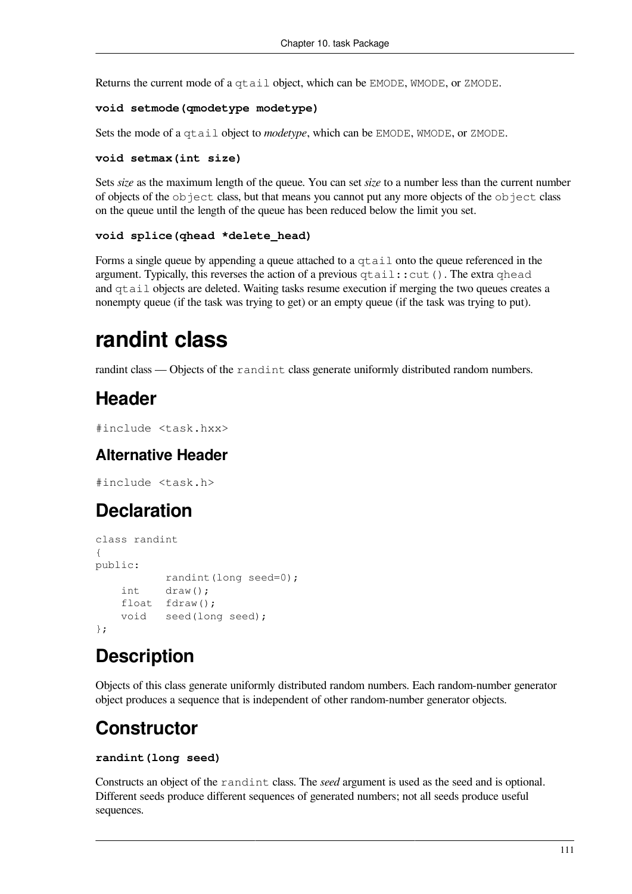Returns the current mode of a qtail object, which can be EMODE, WMODE, or ZMODE.

### **void setmode(qmodetype modetype)**

Sets the mode of a qtail object to *modetype*, which can be EMODE, WMODE, or ZMODE.

#### **void setmax(int size)**

Sets *size* as the maximum length of the queue. You can set *size* to a number less than the current number of objects of the object class, but that means you cannot put any more objects of the object class on the queue until the length of the queue has been reduced below the limit you set.

### **void splice(qhead \*delete\_head)**

Forms a single queue by appending a queue attached to a  $qtail$  onto the queue referenced in the argument. Typically, this reverses the action of a previous  $\forall$ tail:: $cut()$ . The extra  $\forall$ head and qtail objects are deleted. Waiting tasks resume execution if merging the two queues creates a nonempty queue (if the task was trying to get) or an empty queue (if the task was trying to put).

# <span id="page-116-0"></span>**randint class**

randint class — Objects of the randint class generate uniformly distributed random numbers.

## **Header**

```
#include <task.hxx>
```
### **Alternative Header**

#include <task.h>

# **Declaration**

```
class randint
{
public:
            randint(long seed=0);
     int draw();
     float fdraw();
     void seed(long seed);
};
```
# **Description**

Objects of this class generate uniformly distributed random numbers. Each random-number generator object produces a sequence that is independent of other random-number generator objects.

## **Constructor**

### **randint(long seed)**

Constructs an object of the randint class. The *seed* argument is used as the seed and is optional. Different seeds produce different sequences of generated numbers; not all seeds produce useful sequences.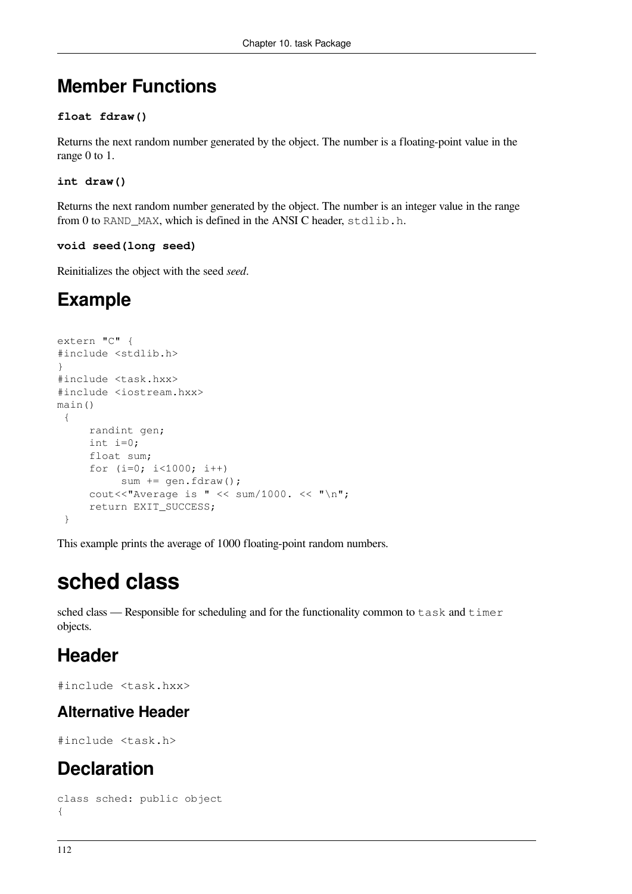# **Member Functions**

### **float fdraw()**

Returns the next random number generated by the object. The number is a floating-point value in the range 0 to 1.

**int draw()**

Returns the next random number generated by the object. The number is an integer value in the range from 0 to RAND MAX, which is defined in the ANSI C header, stdlib.h.

### **void seed(long seed)**

Reinitializes the object with the seed *seed*.

# **Example**

```
extern "C" {
#include <stdlib.h>
}
#include <task.hxx>
#include <iostream.hxx>
main()
  {
      randint gen;
      int i=0;
      float sum;
     for (i=0; i<1000; i++)sum += gen.fdraw();
     cout<<"Average is " << sum/1000. << "\n";
      return EXIT_SUCCESS;
  }
```
This example prints the average of 1000 floating-point random numbers.

# **sched class**

sched class — Responsible for scheduling and for the functionality common to task and timer objects.

## **Header**

```
#include <task.hxx>
```
### **Alternative Header**

#include <task.h>

# **Declaration**

```
class sched: public object
{
```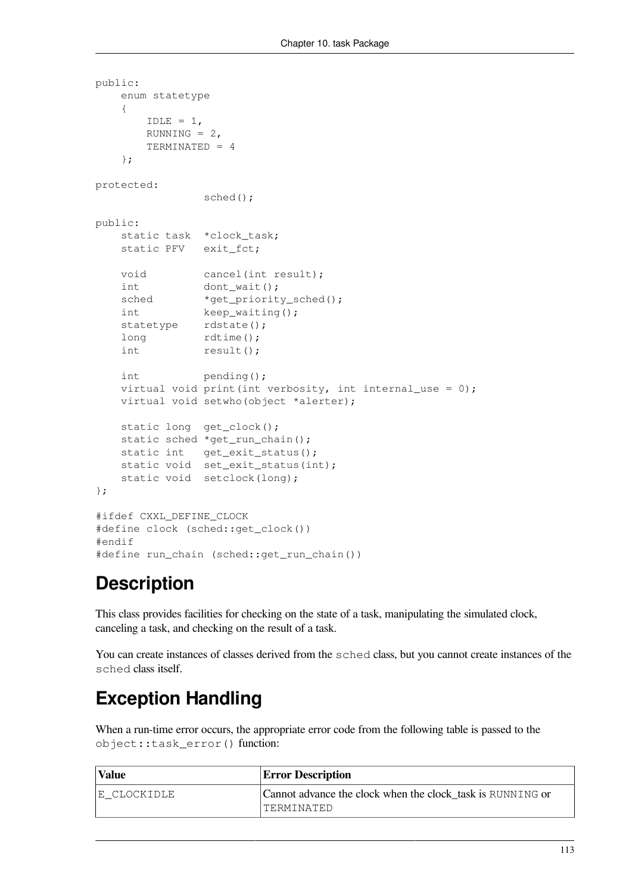```
public:
    enum statetype
    {
       IDLE = 1,RUNNING = 2,
        TERMINATED = 4
    };
protected:
                 sched();
public:
   static task *clock task;
    static PFV exit_fct;
   void cancel(int result);
   int dont wait();
   sched *qet_priority_sched();
    int keep_waiting();
   statetype rdstate();
   long rdtime();
   int result();
    int pending();
   virtual void print(int verbosity, int internal_use = 0);
    virtual void setwho(object *alerter);
   static long get_clock();
   static sched *get_run_chain();
    static int get_exit_status();
    static void set_exit_status(int);
   static void setclock(long);
};
#ifdef CXXL_DEFINE_CLOCK
#define clock (sched::get_clock())
#endif
#define run chain (sched::get run chain())
```
# **Description**

This class provides facilities for checking on the state of a task, manipulating the simulated clock, canceling a task, and checking on the result of a task.

You can create instances of classes derived from the sched class, but you cannot create instances of the sched class itself.

# **Exception Handling**

When a run-time error occurs, the appropriate error code from the following table is passed to the object::task\_error() function:

| <b>Value</b> | <b>Error Description</b>                                   |
|--------------|------------------------------------------------------------|
| IE CLOCKIDLE | Cannot advance the clock when the clock task is RUNNING or |
|              | 'TERMINATED                                                |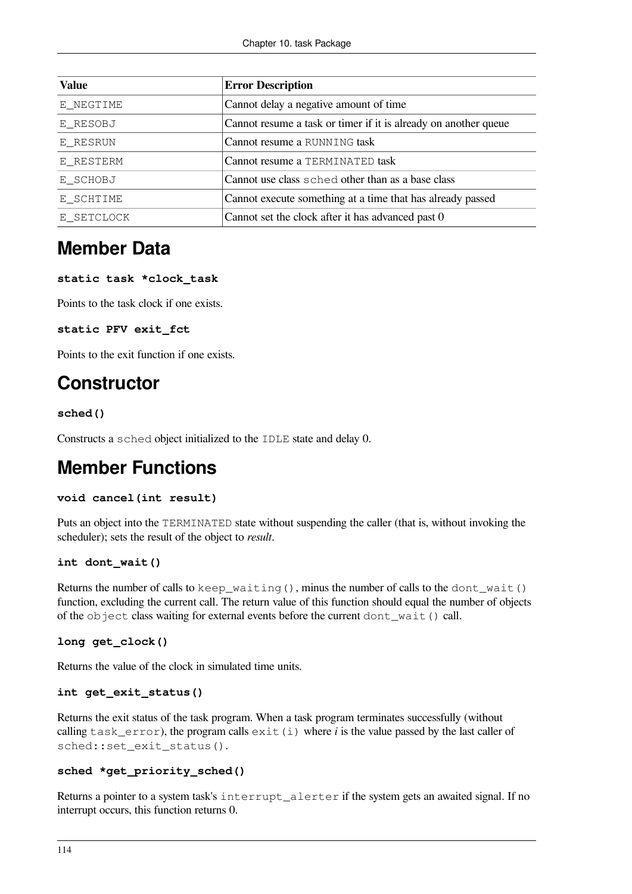| <b>Value</b> | <b>Error Description</b>                                        |
|--------------|-----------------------------------------------------------------|
| E NEGTIME    | Cannot delay a negative amount of time                          |
| E RESOBJ     | Cannot resume a task or timer if it is already on another queue |
| E RESRUN     | Cannot resume a RUNNING task                                    |
| E RESTERM    | Cannot resume a TERMINATED task                                 |
| E_SCHOBJ     | Cannot use class sched other than as a base class               |
| E SCHTIME    | Cannot execute something at a time that has already passed      |
| E SETCLOCK   | Cannot set the clock after it has advanced past 0               |

## **Member Data**

### **static task \*clock\_task**

Points to the task clock if one exists.

### **static PFV exit\_fct**

Points to the exit function if one exists.

### **Constructor**

### **sched()**

Constructs a sched object initialized to the IDLE state and delay 0.

### **Member Functions**

### **void cancel(int result)**

Puts an object into the TERMINATED state without suspending the caller (that is, without invoking the scheduler); sets the result of the object to *result*.

### **int dont\_wait()**

Returns the number of calls to keep\_waiting(), minus the number of calls to the dont\_wait() function, excluding the current call. The return value of this function should equal the number of objects of the object class waiting for external events before the current dont\_wait() call.

### **long get\_clock()**

Returns the value of the clock in simulated time units.

```
int get_exit_status()
```
Returns the exit status of the task program. When a task program terminates successfully (without calling task\_error), the program calls exit(i) where *i* is the value passed by the last caller of sched::set\_exit\_status().

### **sched \*get\_priority\_sched()**

Returns a pointer to a system task's interrupt\_alerter if the system gets an awaited signal. If no interrupt occurs, this function returns 0.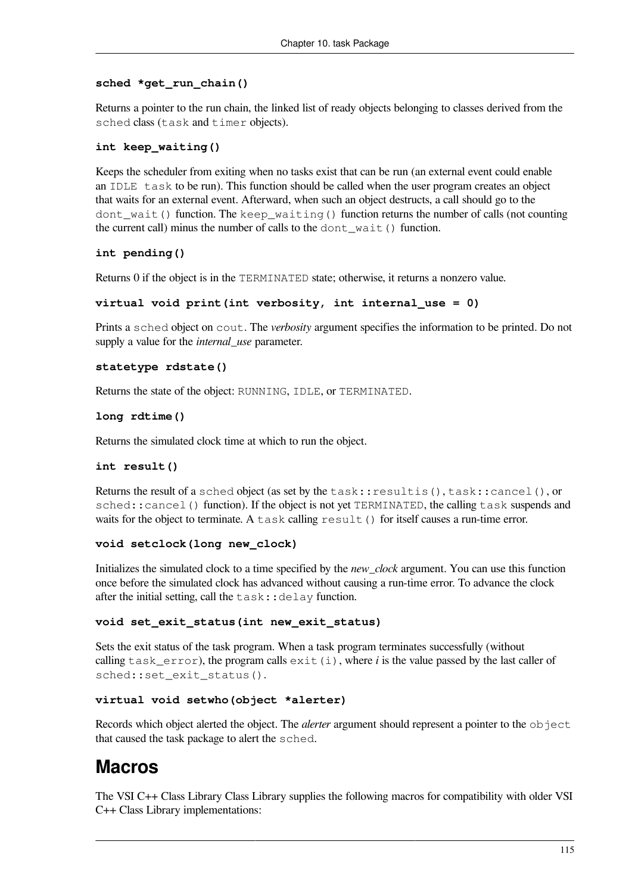### **sched \*get\_run\_chain()**

Returns a pointer to the run chain, the linked list of ready objects belonging to classes derived from the sched class (task and timer objects).

### **int keep\_waiting()**

Keeps the scheduler from exiting when no tasks exist that can be run (an external event could enable an IDLE task to be run). This function should be called when the user program creates an object that waits for an external event. Afterward, when such an object destructs, a call should go to the dont wait() function. The keep waiting() function returns the number of calls (not counting the current call) minus the number of calls to the dont\_wait() function.

### **int pending()**

Returns 0 if the object is in the TERMINATED state; otherwise, it returns a nonzero value.

#### **virtual void print(int verbosity, int internal\_use = 0)**

Prints a sched object on cout. The *verbosity* argument specifies the information to be printed. Do not supply a value for the *internal\_use* parameter.

#### **statetype rdstate()**

Returns the state of the object: RUNNING, IDLE, or TERMINATED.

#### **long rdtime()**

Returns the simulated clock time at which to run the object.

### **int result()**

Returns the result of a sched object (as set by the task::resultis(), task::cancel(), or sched::cancel() function). If the object is not yet TERMINATED, the calling task suspends and waits for the object to terminate. A task calling result () for itself causes a run-time error.

### **void setclock(long new\_clock)**

Initializes the simulated clock to a time specified by the *new\_clock* argument. You can use this function once before the simulated clock has advanced without causing a run-time error. To advance the clock after the initial setting, call the  $\text{task::delay}$  function.

### **void set\_exit\_status(int new\_exit\_status)**

Sets the exit status of the task program. When a task program terminates successfully (without calling task  $error$ ), the program calls  $exit(i)$ , where *i* is the value passed by the last caller of sched::set\_exit\_status().

### **virtual void setwho(object \*alerter)**

Records which object alerted the object. The *alerter* argument should represent a pointer to the object that caused the task package to alert the sched.

### **Macros**

The VSI C++ Class Library Class Library supplies the following macros for compatibility with older VSI C++ Class Library implementations: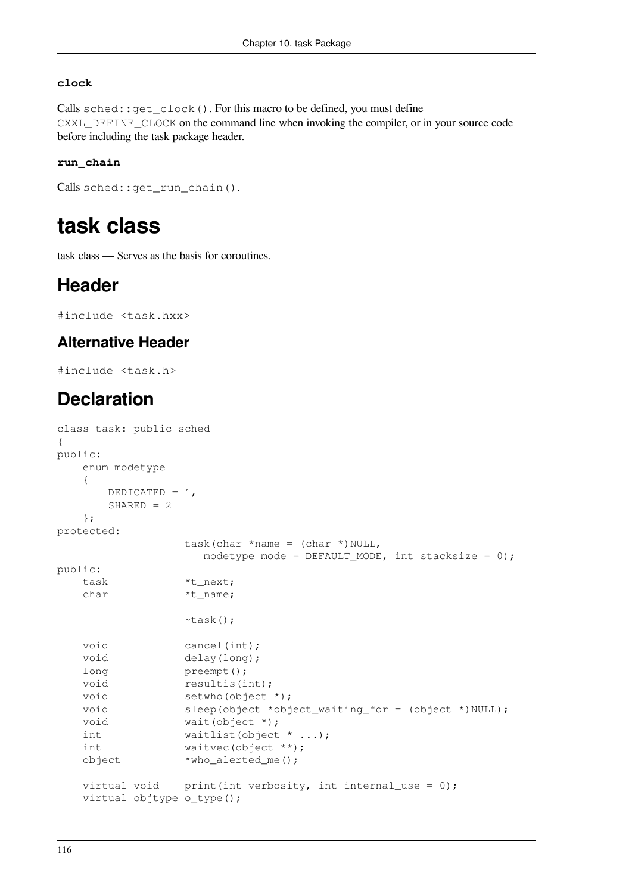### **clock**

Calls sched::get\_clock(). For this macro to be defined, you must define CXXL\_DEFINE\_CLOCK on the command line when invoking the compiler, or in your source code before including the task package header.

### **run\_chain**

```
Calls sched::get_run_chain().
```
# **task class**

task class — Serves as the basis for coroutines.

## **Header**

#include <task.hxx>

### **Alternative Header**

#include <task.h>

## **Declaration**

```
class task: public sched
{
public:
    enum modetype
    {
       DEDICATED = 1,
      SHARED = 2 };
protected:
                task(char *name = (char *)NULL,
                   modetype mode = DEFAULT_MODE, int stacksize = 0);
public:
    task *t_next;
   char *_{t\_name};
                 ~task();
   void cancel(int);
   void delay(long);
   long preempt();
   void resultis(int);
   void setwho(object *);
   void sleep(object *object_waiting_for = (object *)NULL);
   void wait(object *);
   int waitlist(object * ...);
   int waitvec(object **);
    object *who_alerted_me();
   virtual void print(int verbosity, int internal_use = 0);
    virtual objtype o_type();
```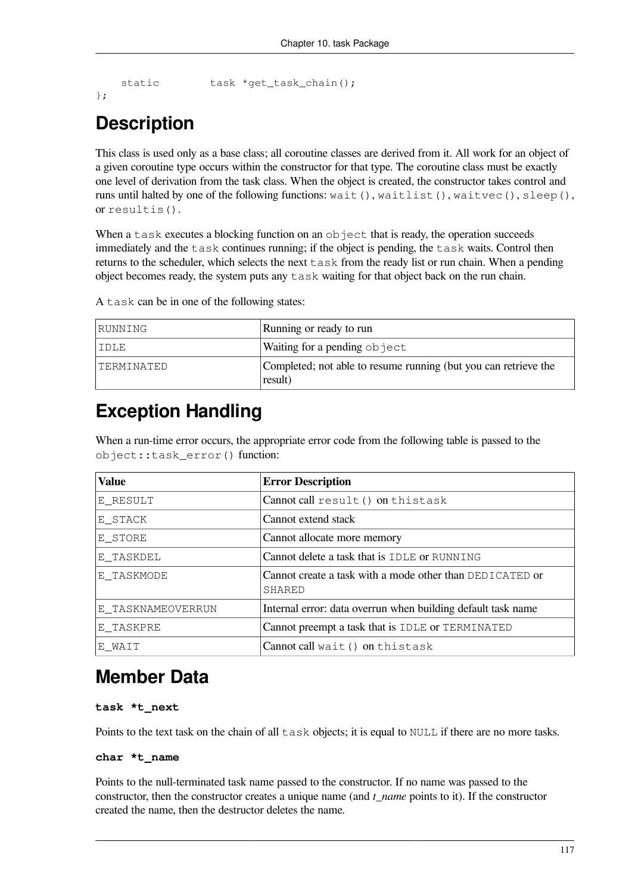```
static task *get_task_chain();
```

```
};
```
# **Description**

This class is used only as a base class; all coroutine classes are derived from it. All work for an object of a given coroutine type occurs within the constructor for that type. The coroutine class must be exactly one level of derivation from the task class. When the object is created, the constructor takes control and runs until halted by one of the following functions: wait(), waitlist(), waitvec(), sleep(), or resultis().

When a task executes a blocking function on an  $\circ$ b ject that is ready, the operation succeeds immediately and the task continues running; if the object is pending, the task waits. Control then returns to the scheduler, which selects the next  $\text{task}$  from the ready list or run chain. When a pending object becomes ready, the system puts any  $\text{task}$  waiting for that object back on the run chain.

| RUNNING    | Running or ready to run                                                    |
|------------|----------------------------------------------------------------------------|
| IDLE       | Waiting for a pending object                                               |
| TERMINATED | Completed; not able to resume running (but you can retrieve the<br>result) |

A task can be in one of the following states:

# **Exception Handling**

When a run-time error occurs, the appropriate error code from the following table is passed to the object::task\_error() function:

| <b>Value</b>      | <b>Error Description</b>                                                  |
|-------------------|---------------------------------------------------------------------------|
| E RESULT          | Cannot call result () on thistask                                         |
| E STACK           | Cannot extend stack                                                       |
| E STORE           | Cannot allocate more memory                                               |
| E TASKDEL         | Cannot delete a task that is IDLE or RUNNING                              |
| E_TASKMODE        | Cannot create a task with a mode other than DEDICATED or<br><b>SHARED</b> |
| E_TASKNAMEOVERRUN | Internal error: data overrun when building default task name              |
| E TASKPRE         | Cannot preempt a task that is IDLE or TERMINATED                          |
| E WAIT            | Cannot call wait () on thistask                                           |

## **Member Data**

### **task \*t\_next**

Points to the text task on the chain of all  $\text{task}$  objects; it is equal to NULL if there are no more tasks.

### **char \*t\_name**

Points to the null-terminated task name passed to the constructor. If no name was passed to the constructor, then the constructor creates a unique name (and *t\_name* points to it). If the constructor created the name, then the destructor deletes the name.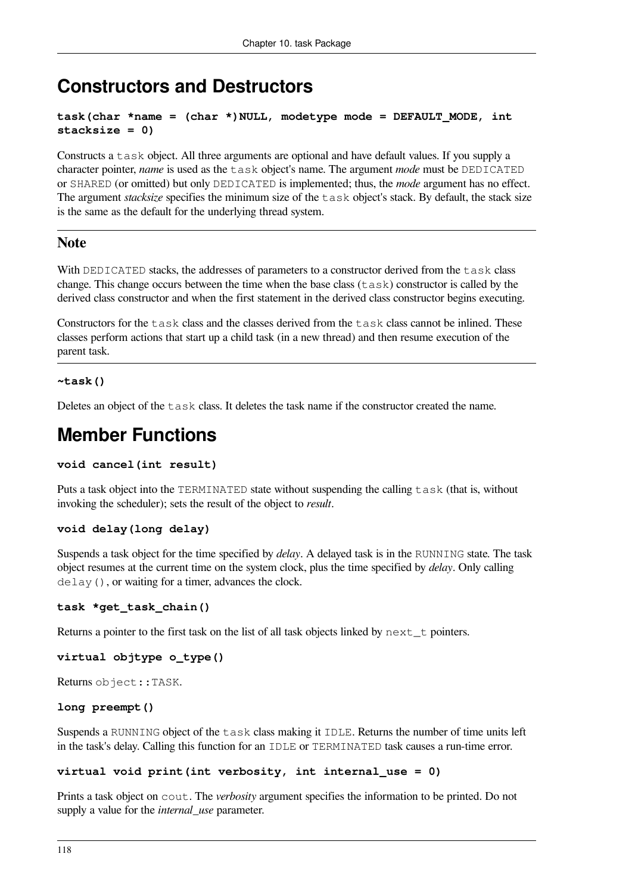## **Constructors and Destructors**

```
task(char *name = (char *)NULL, modetype mode = DEFAULT_MODE, int
stacksize = 0)
```
Constructs a task object. All three arguments are optional and have default values. If you supply a character pointer, *name* is used as the task object's name. The argument *mode* must be DEDICATED or SHARED (or omitted) but only DEDICATED is implemented; thus, the *mode* argument has no effect. The argument *stacksize* specifies the minimum size of the task object's stack. By default, the stack size is the same as the default for the underlying thread system.

### **Note**

With DEDICATED stacks, the addresses of parameters to a constructor derived from the task class change. This change occurs between the time when the base class  $(\text{task})$  constructor is called by the derived class constructor and when the first statement in the derived class constructor begins executing.

Constructors for the task class and the classes derived from the task class cannot be inlined. These classes perform actions that start up a child task (in a new thread) and then resume execution of the parent task.

### **~task()**

Deletes an object of the task class. It deletes the task name if the constructor created the name.

## **Member Functions**

### **void cancel(int result)**

Puts a task object into the TERMINATED state without suspending the calling task (that is, without invoking the scheduler); sets the result of the object to *result*.

### **void delay(long delay)**

Suspends a task object for the time specified by *delay*. A delayed task is in the RUNNING state. The task object resumes at the current time on the system clock, plus the time specified by *delay*. Only calling delay(), or waiting for a timer, advances the clock.

### **task \*get\_task\_chain()**

Returns a pointer to the first task on the list of all task objects linked by  $next\_t$  pointers.

### **virtual objtype o\_type()**

Returns object::TASK.

### **long preempt()**

Suspends a RUNNING object of the task class making it IDLE. Returns the number of time units left in the task's delay. Calling this function for an IDLE or TERMINATED task causes a run-time error.

### **virtual void print(int verbosity, int internal\_use = 0)**

Prints a task object on cout. The *verbosity* argument specifies the information to be printed. Do not supply a value for the *internal\_use* parameter.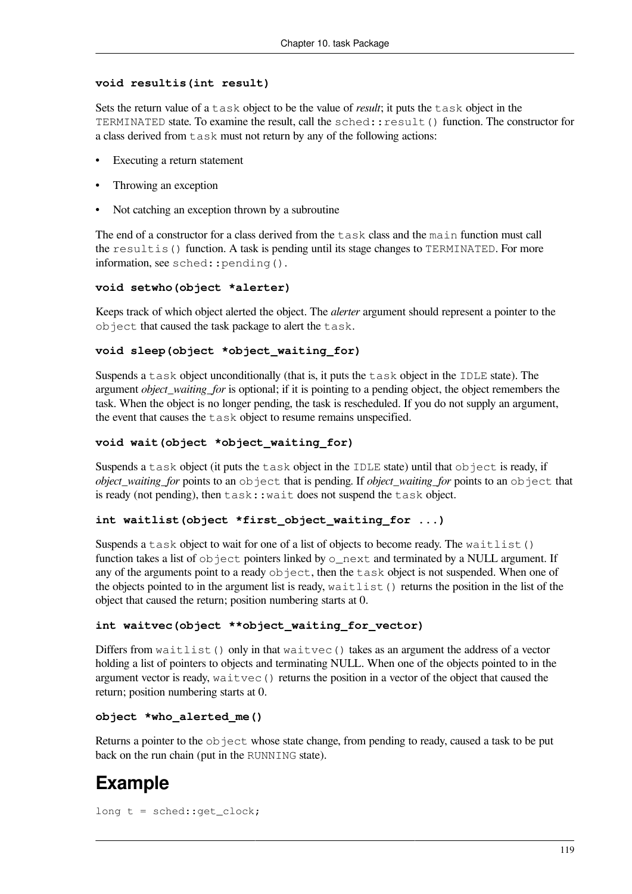### **void resultis(int result)**

Sets the return value of a task object to be the value of *result*; it puts the task object in the TERMINATED state. To examine the result, call the sched:: result() function. The constructor for a class derived from task must not return by any of the following actions:

- Executing a return statement
- Throwing an exception
- Not catching an exception thrown by a subroutine

The end of a constructor for a class derived from the task class and the main function must call the resultis() function. A task is pending until its stage changes to TERMINATED. For more information, see sched::pending().

### **void setwho(object \*alerter)**

Keeps track of which object alerted the object. The *alerter* argument should represent a pointer to the object that caused the task package to alert the task.

### **void sleep(object \*object\_waiting\_for)**

Suspends a task object unconditionally (that is, it puts the task object in the IDLE state). The argument *object* waiting for is optional; if it is pointing to a pending object, the object remembers the task. When the object is no longer pending, the task is rescheduled. If you do not supply an argument, the event that causes the task object to resume remains unspecified.

### **void wait(object \*object\_waiting\_for)**

Suspends a task object (it puts the task object in the IDLE state) until that object is ready, if *object\_waiting\_for* points to an object that is pending. If *object\_waiting\_for* points to an object that is ready (not pending), then  $\text{task:}:$  wait does not suspend the  $\text{task}$  object.

### **int waitlist(object \*first\_object\_waiting\_for ...)**

Suspends a task object to wait for one of a list of objects to become ready. The waitlist() function takes a list of  $\circ$ b ject pointers linked by  $\circ$ \_next and terminated by a NULL argument. If any of the arguments point to a ready object, then the task object is not suspended. When one of the objects pointed to in the argument list is ready, waitlist() returns the position in the list of the object that caused the return; position numbering starts at 0.

### **int waitvec(object \*\*object\_waiting\_for\_vector)**

Differs from  $width()$  only in that  $width$   $width$   $vertex()$  takes as an argument the address of a vector holding a list of pointers to objects and terminating NULL. When one of the objects pointed to in the argument vector is ready, waitvec() returns the position in a vector of the object that caused the return; position numbering starts at 0.

### **object \*who\_alerted\_me()**

Returns a pointer to the  $\circ$ b ject whose state change, from pending to ready, caused a task to be put back on the run chain (put in the RUNNING state).

# **Example**

```
long t = sched::get_clock;
```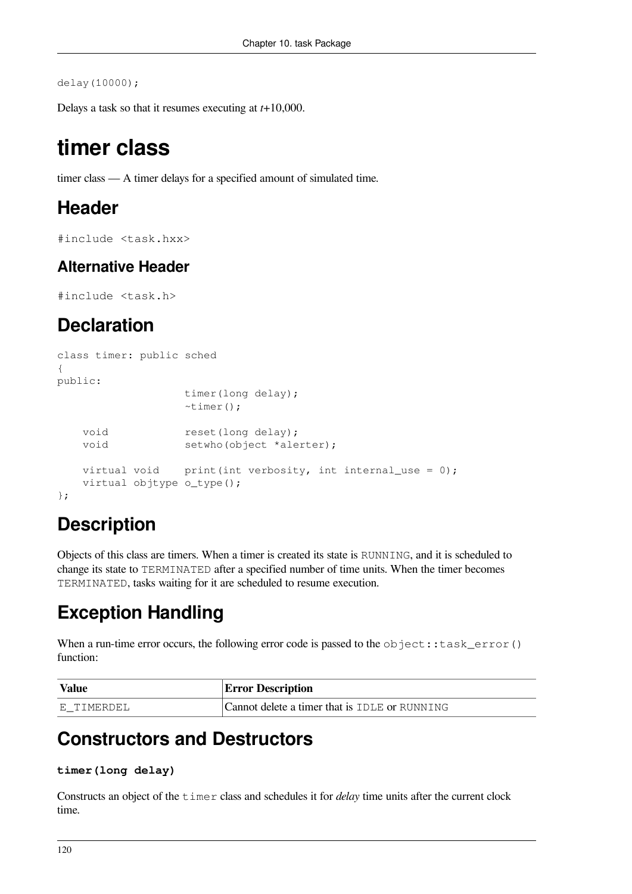delay(10000);

Delays a task so that it resumes executing at *t*+10,000.

# **timer class**

timer class — A timer delays for a specified amount of simulated time.

### **Header**

#include <task.hxx>

### **Alternative Header**

#include <task.h>

## **Declaration**

```
class timer: public sched
{
public:
                   timer(long delay);
                   ~timer();
   void reset(long delay);
   void setwho(object *alerter);
   virtual void print(int verbosity, int internal_use = 0);
    virtual objtype o_type();
};
```
# **Description**

Objects of this class are timers. When a timer is created its state is RUNNING, and it is scheduled to change its state to TERMINATED after a specified number of time units. When the timer becomes TERMINATED, tasks waiting for it are scheduled to resume execution.

# **Exception Handling**

When a run-time error occurs, the following error code is passed to the  $object:$ : task  $error()$ function:

| <i><b>Value</b></i> | <b>Error Description</b>                      |
|---------------------|-----------------------------------------------|
| E TIMERDEL          | Cannot delete a timer that is IDLE or RUNNING |

## **Constructors and Destructors**

### **timer(long delay)**

Constructs an object of the timer class and schedules it for *delay* time units after the current clock time.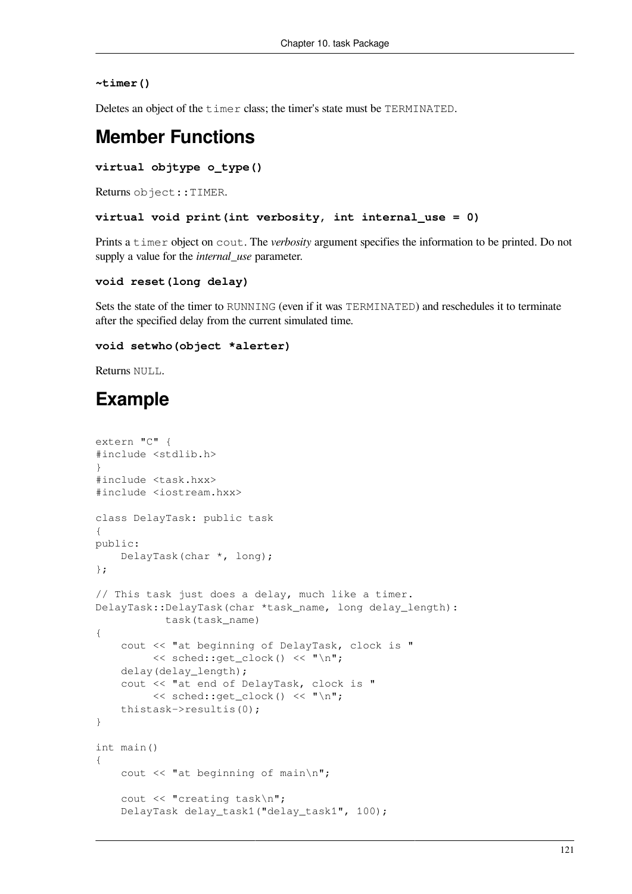#### **~timer()**

Deletes an object of the timer class; the timer's state must be TERMINATED.

### **Member Functions**

```
virtual objtype o_type()
```
Returns object::TIMER.

```
virtual void print(int verbosity, int internal_use = 0)
```
Prints a timer object on cout. The *verbosity* argument specifies the information to be printed. Do not supply a value for the *internal\_use* parameter.

#### **void reset(long delay)**

Sets the state of the timer to RUNNING (even if it was TERMINATED) and reschedules it to terminate after the specified delay from the current simulated time.

#### **void setwho(object \*alerter)**

Returns NULL.

# **Example**

```
extern "C" {
#include <stdlib.h>
}
#include <task.hxx>
#include <iostream.hxx>
class DelayTask: public task
{
public:
     DelayTask(char *, long);
};
// This task just does a delay, much like a timer.
DelayTask::DelayTask(char *task_name, long delay_length):
            task(task_name)
{
     cout << "at beginning of DelayTask, clock is "
         \lt\lt sched::get clock() \lt\lt "\n";
     delay(delay_length);
     cout << "at end of DelayTask, clock is "
          << sched::get_clock() << "\n";
     thistask->resultis(0);
}
int main()
{
     cout << "at beginning of main\n";
     cout << "creating task\n";
     DelayTask delay_task1("delay_task1", 100);
```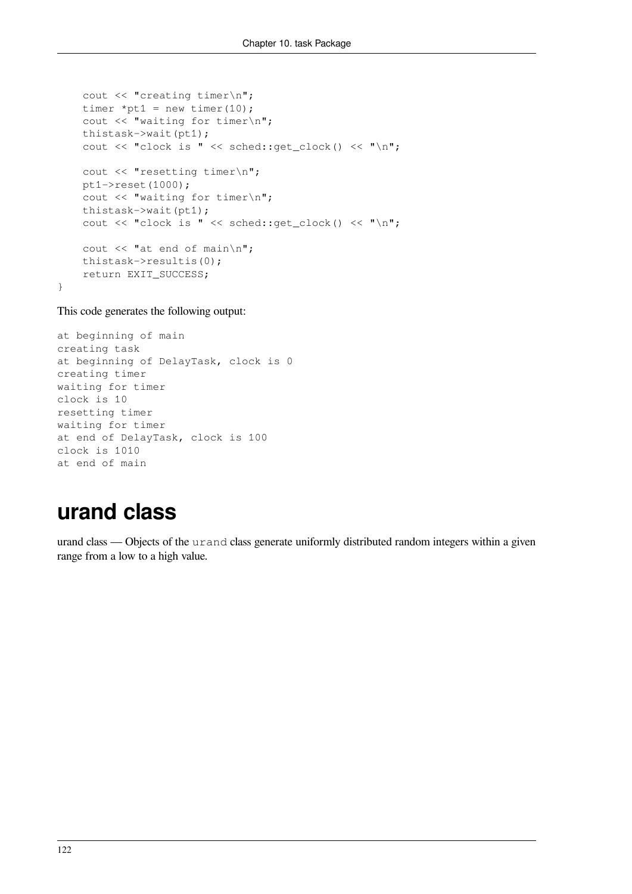```
 cout << "creating timer\n";
timer *pt1 = new timer(10);
 cout << "waiting for timer\n";
 thistask->wait(pt1);
 cout << "clock is " << sched::get_clock() << "\n";
cout << "resetting timer\n";
pt1->reset(1000);cout << "waiting for timer\n";
 thistask->wait(pt1);
 cout << "clock is " << sched::get_clock() << "\n";
cout << "at end of main\n";
 thistask->resultis(0);
 return EXIT_SUCCESS;
```
This code generates the following output:

}

```
at beginning of main
creating task
at beginning of DelayTask, clock is 0
creating timer
waiting for timer
clock is 10
resetting timer
waiting for timer
at end of DelayTask, clock is 100
clock is 1010
at end of main
```
# **urand class**

urand class — Objects of the urand class generate uniformly distributed random integers within a given range from a low to a high value.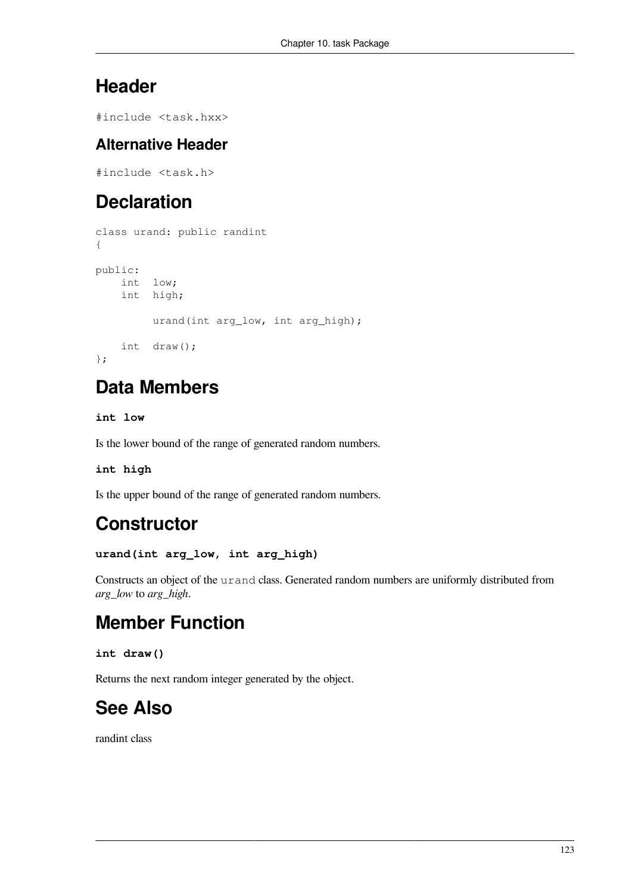# **Header**

#include <task.hxx>

### **Alternative Header**

#include <task.h>

# **Declaration**

```
class urand: public randint
{
public:
    int low;
     int high;
         urand(int arg_low, int arg_high);
     int draw();
};
```
# **Data Members**

### **int low**

Is the lower bound of the range of generated random numbers.

### **int high**

Is the upper bound of the range of generated random numbers.

## **Constructor**

### **urand(int arg\_low, int arg\_high)**

Constructs an object of the urand class. Generated random numbers are uniformly distributed from *arg\_low* to *arg\_high*.

# **Member Function**

### **int draw()**

Returns the next random integer generated by the object.

# **See Also**

[randint](#page-116-0) class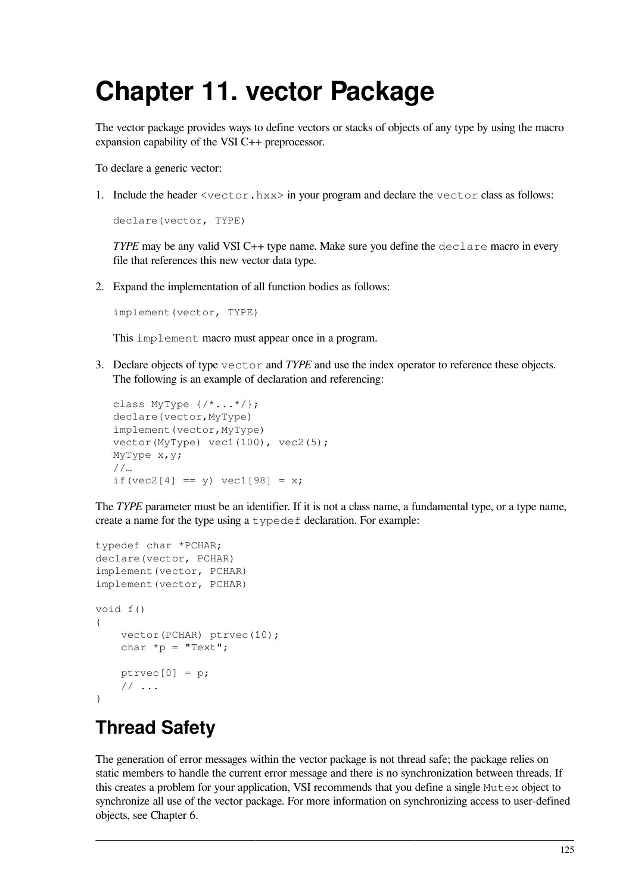# **Chapter 11. vector Package**

The vector package provides ways to define vectors or stacks of objects of any type by using the macro expansion capability of the VSI C++ preprocessor.

To declare a generic vector:

1. Include the header  $\leq$ vector.hxx $\geq$  in your program and declare the vector class as follows:

```
declare(vector, TYPE)
```
*TYPE* may be any valid VSI C++ type name. Make sure you define the declare macro in every file that references this new vector data type.

2. Expand the implementation of all function bodies as follows:

```
implement(vector, TYPE)
```
This implement macro must appear once in a program.

3. Declare objects of type vector and *TYPE* and use the index operator to reference these objects. The following is an example of declaration and referencing:

```
class MyType {/*...*/};
declare(vector,MyType)
implement(vector,MyType)
vector(MyType) vec1(100), vec2(5);
MyType x,y;
//…
if(vec2[4] == y) vec1[98] = x;
```
The *TYPE* parameter must be an identifier. If it is not a class name, a fundamental type, or a type name, create a name for the type using a typedef declaration. For example:

```
typedef char *PCHAR;
declare(vector, PCHAR)
implement(vector, PCHAR)
implement(vector, PCHAR)
void f()
{
    vector(PCHAR) ptrvec(10);
    char *_{p} = "Text";
    ptrvec[0] = p; // ...
}
```
# **Thread Safety**

The generation of error messages within the vector package is not thread safe; the package relies on static members to handle the current error message and there is no synchronization between threads. If this creates a problem for your application, VSI recommends that you define a single Mutex object to synchronize all use of the vector package. For more information on synchronizing access to user-defined objects, see [Chapter](#page-86-0) 6.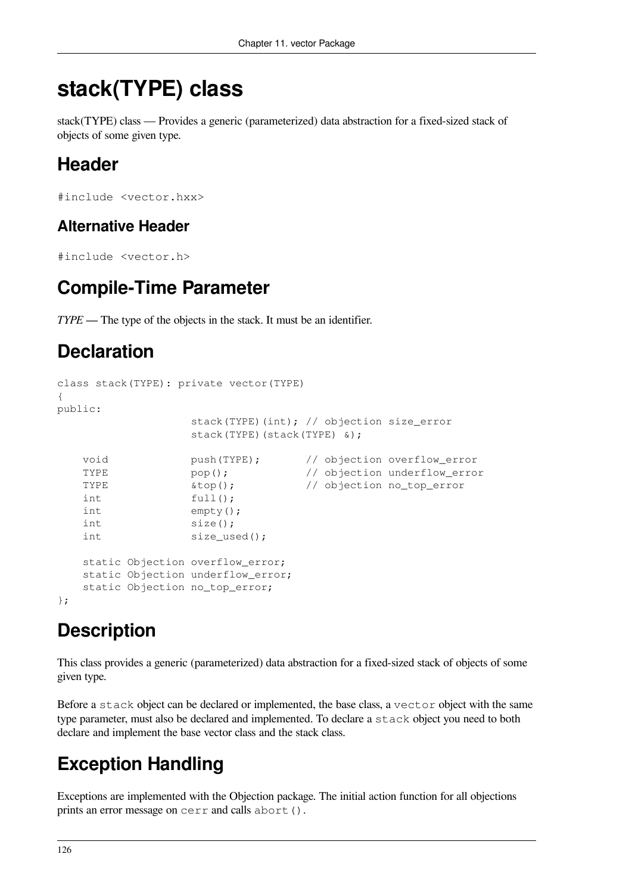# **stack(TYPE) class**

stack(TYPE) class — Provides a generic (parameterized) data abstraction for a fixed-sized stack of objects of some given type.

# **Header**

```
#include <vector.hxx>
```
### **Alternative Header**

```
#include <vector.h>
```
# **Compile-Time Parameter**

*TYPE* — The type of the objects in the stack. It must be an identifier.

# **Declaration**

```
class stack(TYPE): private vector(TYPE)
{
public:
                 stack(TYPE)(int); // objection size_error
                 stack(TYPE)(stack(TYPE) &);
    void push(TYPE); // objection overflow_error
   TYPE pop(); \frac{1}{2} // objection underflow_error
   TYPE \text{stop}(); // objection no_top_error
   int full();
    int empty();
    int size();
   int size_used();
    static Objection overflow_error;
    static Objection underflow_error;
    static Objection no_top_error;
};
```
# **Description**

This class provides a generic (parameterized) data abstraction for a fixed-sized stack of objects of some given type.

Before a stack object can be declared or implemented, the base class, a vector object with the same type parameter, must also be declared and implemented. To declare a stack object you need to both declare and implement the base vector class and the stack class.

# **Exception Handling**

Exceptions are implemented with the Objection package. The initial action function for all objections prints an error message on cerr and calls abort().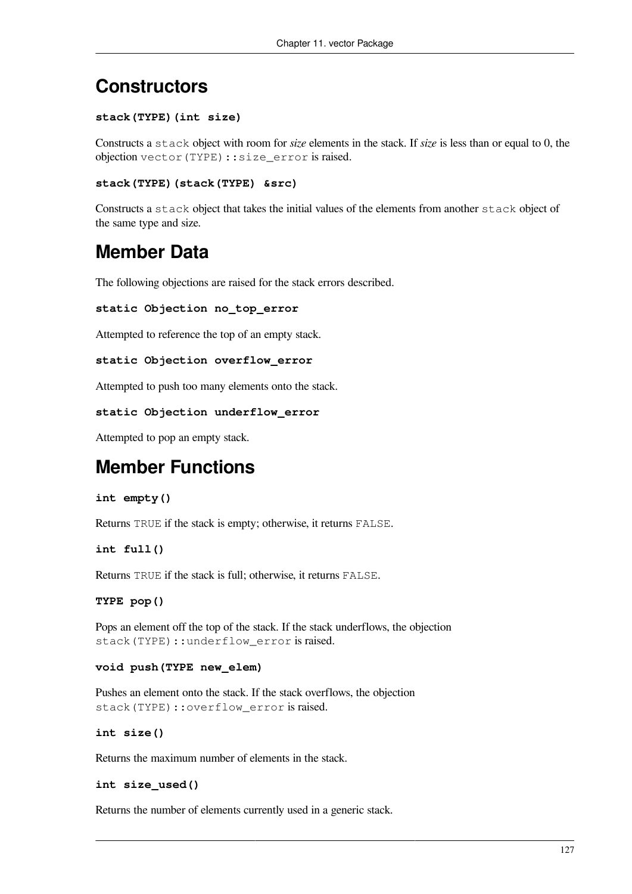## **Constructors**

### **stack(TYPE)(int size)**

Constructs a stack object with room for *size* elements in the stack. If *size* is less than or equal to 0, the objection vector(TYPE)::size\_error is raised.

```
stack(TYPE)(stack(TYPE) &src)
```
Constructs a stack object that takes the initial values of the elements from another stack object of the same type and size.

## **Member Data**

The following objections are raised for the stack errors described.

```
static Objection no_top_error
```
Attempted to reference the top of an empty stack.

```
static Objection overflow_error
```
Attempted to push too many elements onto the stack.

### **static Objection underflow\_error**

Attempted to pop an empty stack.

## **Member Functions**

### **int empty()**

Returns TRUE if the stack is empty; otherwise, it returns FALSE.

### **int full()**

Returns TRUE if the stack is full; otherwise, it returns FALSE.

### **TYPE pop()**

Pops an element off the top of the stack. If the stack underflows, the objection stack(TYPE)::underflow\_error is raised.

### **void push(TYPE new\_elem)**

Pushes an element onto the stack. If the stack overflows, the objection stack(TYPE)::overflow\_error is raised.

### **int size()**

Returns the maximum number of elements in the stack.

#### **int size\_used()**

Returns the number of elements currently used in a generic stack.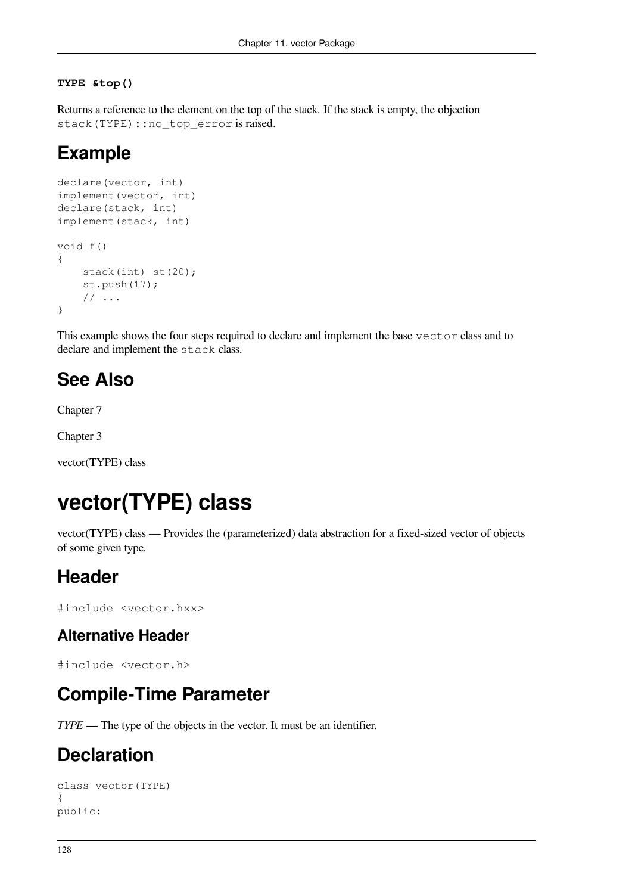#### **TYPE &top()**

Returns a reference to the element on the top of the stack. If the stack is empty, the objection stack(TYPE): : no\_top\_error is raised.

### **Example**

```
declare(vector, int)
implement(vector, int)
declare(stack, int)
implement(stack, int)
void f()
{
     stack(int) st(20);
     st.push(17);
     // ...
}
```
This example shows the four steps required to declare and implement the base vector class and to declare and implement the stack class.

### **See Also**

[Chapter](#page-88-0) 7

[Chapter](#page-16-0) 3

<span id="page-133-0"></span>[vector\(TYPE\)](#page-133-0) class

# **vector(TYPE) class**

vector(TYPE) class — Provides the (parameterized) data abstraction for a fixed-sized vector of objects of some given type.

### **Header**

#include <vector.hxx>

### **Alternative Header**

#include <vector.h>

### **Compile-Time Parameter**

*TYPE* — The type of the objects in the vector. It must be an identifier.

### **Declaration**

```
class vector(TYPE)
{
public:
```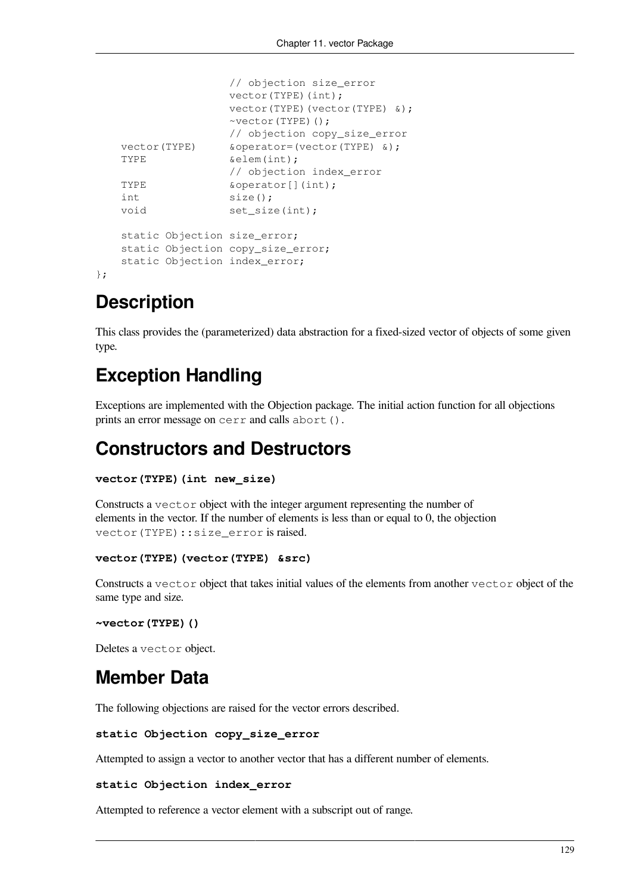```
 // objection size_error
                vector(TYPE)(int);
                 vector(TYPE)(vector(TYPE) &);
                 ~vector(TYPE)();
                 // objection copy_size_error
vector(TYPE) & Soperator=(vector(TYPE) &);
TYPE \&\text{elem(int)};
                 // objection index_error
TYPE \&\text{operator[} (int);
int size();
void set_size(int);
 static Objection size_error;
 static Objection copy_size_error;
 static Objection index_error;
```
## **Description**

};

This class provides the (parameterized) data abstraction for a fixed-sized vector of objects of some given type.

# **Exception Handling**

Exceptions are implemented with the Objection package. The initial action function for all objections prints an error message on cerr and calls abort().

### **Constructors and Destructors**

```
vector(TYPE)(int new_size)
```
Constructs a vector object with the integer argument representing the number of elements in the vector. If the number of elements is less than or equal to 0, the objection vector(TYPE): : size\_error is raised.

```
vector(TYPE)(vector(TYPE) &src)
```
Constructs a vector object that takes initial values of the elements from another vector object of the same type and size.

```
~vector(TYPE)()
```
Deletes a vector object.

### **Member Data**

The following objections are raised for the vector errors described.

```
static Objection copy_size_error
```
Attempted to assign a vector to another vector that has a different number of elements.

#### **static Objection index\_error**

Attempted to reference a vector element with a subscript out of range.